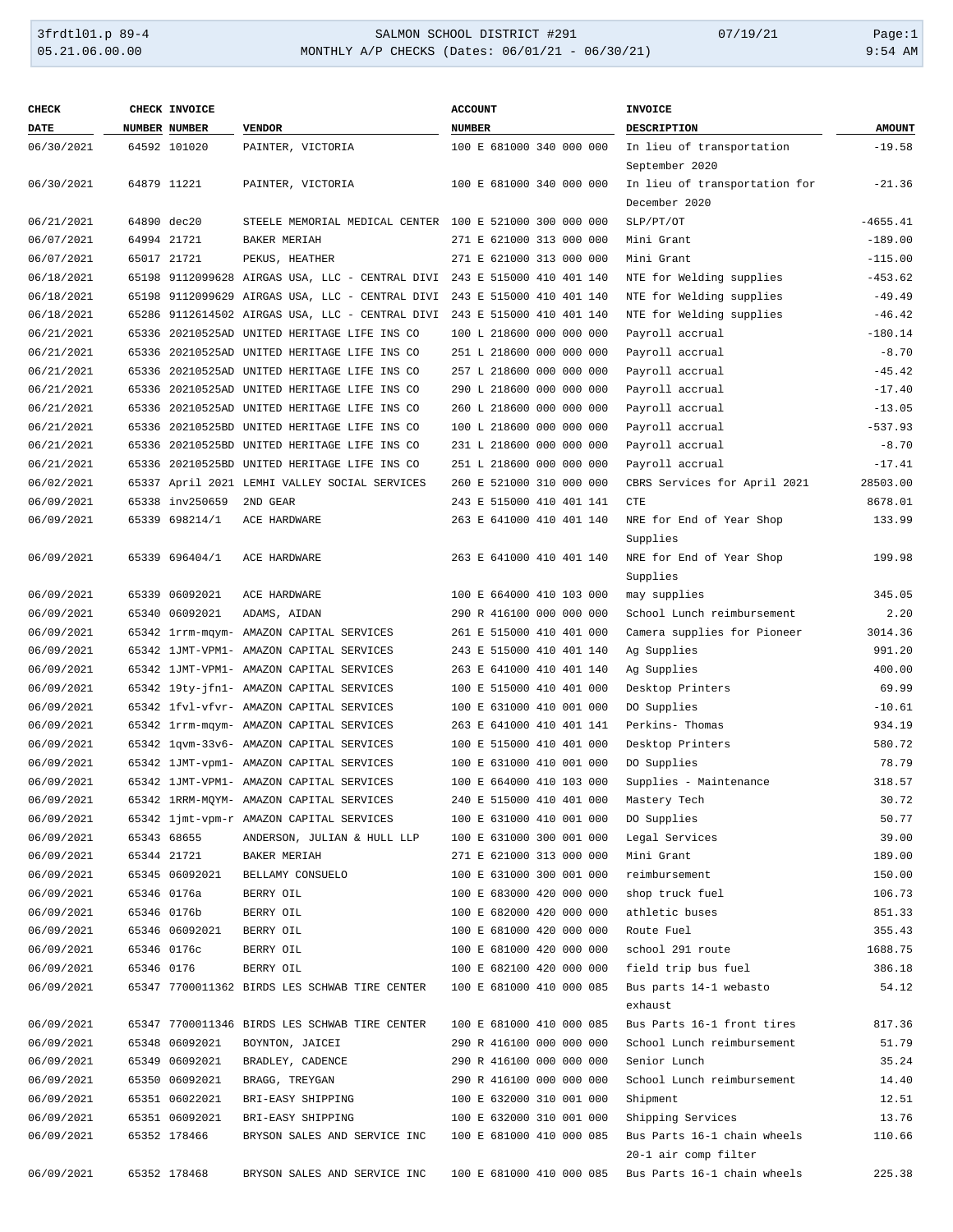#### 3frdtl01.p 89-4 SALMON SCHOOL DISTRICT #291 07/19/21 Page:1 MONTHLY A/P CHECKS (Dates: 06/01/21 - 06/30/21)

| <b>AMOUNT</b><br><b>DATE</b><br>NUMBER NUMBER<br><b>VENDOR</b><br><b>NUMBER</b><br>DESCRIPTION<br>64592 101020<br>100 E 681000 340 000 000<br>In lieu of transportation<br>$-19.58$<br>06/30/2021<br>PAINTER, VICTORIA<br>September 2020<br>64879 11221<br>100 E 681000 340 000 000<br>In lieu of transportation for<br>06/30/2021<br>PAINTER, VICTORIA<br>$-21.36$<br>December 2020<br>06/21/2021<br>STEELE MEMORIAL MEDICAL CENTER 100 E 521000 300 000 000<br>SLP/PT/OT<br>$-4655.41$<br>64890 dec20<br>64994 21721<br>$-189.00$<br>06/07/2021<br>BAKER MERIAH<br>271 E 621000 313 000 000<br>Mini Grant<br>271 E 621000 313 000 000<br>Mini Grant<br>$-115.00$<br>06/07/2021<br>65017 21721<br>PEKUS, HEATHER<br>243 E 515000 410 401 140<br>NTE for Welding supplies<br>$-453.62$<br>06/18/2021<br>65198 9112099628 AIRGAS USA, LLC - CENTRAL DIVI<br>06/18/2021<br>243 E 515000 410 401 140<br>NTE for Welding supplies<br>$-49.49$<br>65198 9112099629 AIRGAS USA, LLC - CENTRAL DIVI<br>06/18/2021<br>$-46.42$<br>65286 9112614502 AIRGAS USA, LLC - CENTRAL DIVI<br>243 E 515000 410 401 140<br>NTE for Welding supplies<br>$-180.14$<br>06/21/2021<br>65336 20210525AD UNITED HERITAGE LIFE INS CO<br>100 L 218600 000 000 000<br>Payroll accrual<br>$-8.70$<br>06/21/2021<br>65336 20210525AD UNITED HERITAGE LIFE INS CO<br>251 L 218600 000 000 000<br>Payroll accrual<br>$-45.42$<br>06/21/2021<br>65336 20210525AD UNITED HERITAGE LIFE INS CO<br>257 L 218600 000 000 000<br>Payroll accrual<br>$-17.40$<br>06/21/2021<br>65336 20210525AD UNITED HERITAGE LIFE INS CO<br>290 L 218600 000 000 000<br>Payroll accrual<br>$-13.05$<br>06/21/2021<br>65336 20210525AD UNITED HERITAGE LIFE INS CO<br>260 L 218600 000 000 000<br>Payroll accrual<br>100 L 218600 000 000 000<br>$-537.93$<br>06/21/2021<br>65336 20210525BD UNITED HERITAGE LIFE INS CO<br>Payroll accrual<br>$-8.70$<br>06/21/2021<br>65336 20210525BD UNITED HERITAGE LIFE INS CO<br>231 L 218600 000 000 000<br>Payroll accrual<br>65336 20210525BD UNITED HERITAGE LIFE INS CO<br>$-17.41$<br>06/21/2021<br>251 L 218600 000 000 000<br>Payroll accrual<br>06/02/2021<br>65337 April 2021 LEMHI VALLEY SOCIAL SERVICES<br>28503.00<br>260 E 521000 310 000 000<br>CBRS Services for April 2021<br>65338 inv250659<br>2ND GEAR<br>243 E 515000 410 401 141<br>8678.01<br>06/09/2021<br><b>CTE</b><br>06/09/2021<br>65339 698214/1<br>263 E 641000 410 401 140<br>133.99<br>ACE HARDWARE<br>NRE for End of Year Shop<br>Supplies<br>06/09/2021<br>263 E 641000 410 401 140<br>NRE for End of Year Shop<br>199.98<br>65339 696404/1<br>ACE HARDWARE<br>Supplies<br>06/09/2021<br>65339 06092021<br>100 E 664000 410 103 000<br>345.05<br>ACE HARDWARE<br>may supplies<br>06/09/2021<br>65340 06092021<br>290 R 416100 000 000 000<br>School Lunch reimbursement<br>2.20<br>ADAMS, AIDAN<br>06/09/2021<br>65342 1rrm-mqym- AMAZON CAPITAL SERVICES<br>261 E 515000 410 401 000<br>Camera supplies for Pioneer<br>3014.36<br>06/09/2021<br>65342 1JMT-VPM1- AMAZON CAPITAL SERVICES<br>243 E 515000 410 401 140<br>991.20<br>Ag Supplies<br>06/09/2021<br>65342 1JMT-VPM1- AMAZON CAPITAL SERVICES<br>263 E 641000 410 401 140<br>400.00<br>Ag Supplies<br>06/09/2021<br>65342 19ty-jfn1- AMAZON CAPITAL SERVICES<br>100 E 515000 410 401 000<br>Desktop Printers<br>69.99<br>06/09/2021<br>65342 1fvl-vfvr- AMAZON CAPITAL SERVICES<br>100 E 631000 410 001 000<br>DO Supplies<br>$-10.61$<br>06/09/2021<br>263 E 641000 410 401 141<br>934.19<br>65342 1rrm-mqym- AMAZON CAPITAL SERVICES<br>Perkins- Thomas<br>06/09/2021<br>100 E 515000 410 401 000<br>580.72<br>65342 1qvm-33v6- AMAZON CAPITAL SERVICES<br>Desktop Printers<br>100 E 631000 410 001 000<br>78.79<br>06/09/2021<br>65342 1JMT-vpm1- AMAZON CAPITAL SERVICES<br>DO Supplies<br>100 E 664000 410 103 000<br>318.57<br>06/09/2021<br>65342 1JMT-VPM1- AMAZON CAPITAL SERVICES<br>Supplies - Maintenance<br>30.72<br>06/09/2021<br>240 E 515000 410 401 000<br>65342 1RRM-MQYM- AMAZON CAPITAL SERVICES<br>Mastery Tech<br>06/09/2021<br>50.77<br>65342 ljmt-vpm-r AMAZON CAPITAL SERVICES<br>100 E 631000 410 001 000<br>DO Supplies<br>06/09/2021<br>100 E 631000 300 001 000<br>Legal Services<br>39.00<br>65343 68655<br>ANDERSON, JULIAN & HULL LLP<br>271 E 621000 313 000 000<br>189.00<br>06/09/2021<br>65344 21721<br>BAKER MERIAH<br>Mini Grant<br>06/09/2021<br>100 E 631000 300 001 000<br>reimbursement<br>150.00<br>65345 06092021<br>BELLAMY CONSUELO<br>06/09/2021<br>100 E 683000 420 000 000<br>106.73<br>65346 0176a<br>BERRY OIL<br>shop truck fuel<br>06/09/2021<br>100 E 682000 420 000 000<br>851.33<br>65346 0176b<br>BERRY OIL<br>athletic buses<br>06/09/2021<br>100 E 681000 420 000 000<br>355.43<br>65346 06092021<br>BERRY OIL<br>Route Fuel<br>06/09/2021<br>100 E 681000 420 000 000<br>school 291 route<br>1688.75<br>65346 0176c<br>BERRY OIL<br>100 E 682100 420 000 000<br>386.18<br>06/09/2021<br>65346 0176<br>BERRY OIL<br>field trip bus fuel<br>100 E 681000 410 000 085<br>54.12<br>06/09/2021<br>65347 7700011362 BIRDS LES SCHWAB TIRE CENTER<br>Bus parts 14-1 webasto<br>exhaust<br>65347 7700011346 BIRDS LES SCHWAB TIRE CENTER<br>100 E 681000 410 000 085<br>Bus Parts 16-1 front tires<br>817.36<br>06/09/2021<br>06/09/2021<br>65348 06092021<br>290 R 416100 000 000 000<br>School Lunch reimbursement<br>51.79<br>BOYNTON, JAICEI<br>06/09/2021<br>65349 06092021<br>290 R 416100 000 000 000<br>Senior Lunch<br>35.24<br>BRADLEY, CADENCE<br>06/09/2021<br>65350 06092021<br>290 R 416100 000 000 000<br>School Lunch reimbursement<br>14.40<br>BRAGG, TREYGAN<br>06/09/2021<br>65351 06022021<br>100 E 632000 310 001 000<br>12.51<br>BRI-EASY SHIPPING<br>Shipment<br>100 E 632000 310 001 000<br>Shipping Services<br>13.76<br>06/09/2021<br>65351 06092021<br>BRI-EASY SHIPPING<br>100 E 681000 410 000 085<br>Bus Parts 16-1 chain wheels<br>110.66<br>06/09/2021<br>65352 178466<br>BRYSON SALES AND SERVICE INC<br>20-1 air comp filter<br>225.38<br>06/09/2021<br>100 E 681000 410 000 085<br>Bus Parts 16-1 chain wheels<br>65352 178468<br>BRYSON SALES AND SERVICE INC | <b>CHECK</b> | CHECK INVOICE | <b>ACCOUNT</b> | <b>INVOICE</b> |  |
|-----------------------------------------------------------------------------------------------------------------------------------------------------------------------------------------------------------------------------------------------------------------------------------------------------------------------------------------------------------------------------------------------------------------------------------------------------------------------------------------------------------------------------------------------------------------------------------------------------------------------------------------------------------------------------------------------------------------------------------------------------------------------------------------------------------------------------------------------------------------------------------------------------------------------------------------------------------------------------------------------------------------------------------------------------------------------------------------------------------------------------------------------------------------------------------------------------------------------------------------------------------------------------------------------------------------------------------------------------------------------------------------------------------------------------------------------------------------------------------------------------------------------------------------------------------------------------------------------------------------------------------------------------------------------------------------------------------------------------------------------------------------------------------------------------------------------------------------------------------------------------------------------------------------------------------------------------------------------------------------------------------------------------------------------------------------------------------------------------------------------------------------------------------------------------------------------------------------------------------------------------------------------------------------------------------------------------------------------------------------------------------------------------------------------------------------------------------------------------------------------------------------------------------------------------------------------------------------------------------------------------------------------------------------------------------------------------------------------------------------------------------------------------------------------------------------------------------------------------------------------------------------------------------------------------------------------------------------------------------------------------------------------------------------------------------------------------------------------------------------------------------------------------------------------------------------------------------------------------------------------------------------------------------------------------------------------------------------------------------------------------------------------------------------------------------------------------------------------------------------------------------------------------------------------------------------------------------------------------------------------------------------------------------------------------------------------------------------------------------------------------------------------------------------------------------------------------------------------------------------------------------------------------------------------------------------------------------------------------------------------------------------------------------------------------------------------------------------------------------------------------------------------------------------------------------------------------------------------------------------------------------------------------------------------------------------------------------------------------------------------------------------------------------------------------------------------------------------------------------------------------------------------------------------------------------------------------------------------------------------------------------------------------------------------------------------------------------------------------------------------------------------------------------------------------------------------------------------------------------------------------------------------------------------------------------------------------------------------------------------------------------------------------------------------------------------------------------------------------------------------------------------------------------------------------------------------------------------------------------------------------------------------------------------------------------------------------------------------------------------------------------------------------------------------------------------------------------------------------------------------------------------------------------------------------------------------------------------------------------------------------------------------------------------------------------------------------------------------------------------------------------------------------------------------------------------------------------------------------------------------------------------------------------------------------------------------------------------------------------------------------------------------------------------------------------------------------------------------------------------------------------------------------------------------------------------|--------------|---------------|----------------|----------------|--|
|                                                                                                                                                                                                                                                                                                                                                                                                                                                                                                                                                                                                                                                                                                                                                                                                                                                                                                                                                                                                                                                                                                                                                                                                                                                                                                                                                                                                                                                                                                                                                                                                                                                                                                                                                                                                                                                                                                                                                                                                                                                                                                                                                                                                                                                                                                                                                                                                                                                                                                                                                                                                                                                                                                                                                                                                                                                                                                                                                                                                                                                                                                                                                                                                                                                                                                                                                                                                                                                                                                                                                                                                                                                                                                                                                                                                                                                                                                                                                                                                                                                                                                                                                                                                                                                                                                                                                                                                                                                                                                                                                                                                                                                                                                                                                                                                                                                                                                                                                                                                                                                                                                                                                                                                                                                                                                                                                                                                                                                                                                                                                                                                                                                                                                                                                                                                                                                                                                                                                                                                                                                                                                                                                                                         |              |               |                |                |  |
|                                                                                                                                                                                                                                                                                                                                                                                                                                                                                                                                                                                                                                                                                                                                                                                                                                                                                                                                                                                                                                                                                                                                                                                                                                                                                                                                                                                                                                                                                                                                                                                                                                                                                                                                                                                                                                                                                                                                                                                                                                                                                                                                                                                                                                                                                                                                                                                                                                                                                                                                                                                                                                                                                                                                                                                                                                                                                                                                                                                                                                                                                                                                                                                                                                                                                                                                                                                                                                                                                                                                                                                                                                                                                                                                                                                                                                                                                                                                                                                                                                                                                                                                                                                                                                                                                                                                                                                                                                                                                                                                                                                                                                                                                                                                                                                                                                                                                                                                                                                                                                                                                                                                                                                                                                                                                                                                                                                                                                                                                                                                                                                                                                                                                                                                                                                                                                                                                                                                                                                                                                                                                                                                                                                         |              |               |                |                |  |
|                                                                                                                                                                                                                                                                                                                                                                                                                                                                                                                                                                                                                                                                                                                                                                                                                                                                                                                                                                                                                                                                                                                                                                                                                                                                                                                                                                                                                                                                                                                                                                                                                                                                                                                                                                                                                                                                                                                                                                                                                                                                                                                                                                                                                                                                                                                                                                                                                                                                                                                                                                                                                                                                                                                                                                                                                                                                                                                                                                                                                                                                                                                                                                                                                                                                                                                                                                                                                                                                                                                                                                                                                                                                                                                                                                                                                                                                                                                                                                                                                                                                                                                                                                                                                                                                                                                                                                                                                                                                                                                                                                                                                                                                                                                                                                                                                                                                                                                                                                                                                                                                                                                                                                                                                                                                                                                                                                                                                                                                                                                                                                                                                                                                                                                                                                                                                                                                                                                                                                                                                                                                                                                                                                                         |              |               |                |                |  |
|                                                                                                                                                                                                                                                                                                                                                                                                                                                                                                                                                                                                                                                                                                                                                                                                                                                                                                                                                                                                                                                                                                                                                                                                                                                                                                                                                                                                                                                                                                                                                                                                                                                                                                                                                                                                                                                                                                                                                                                                                                                                                                                                                                                                                                                                                                                                                                                                                                                                                                                                                                                                                                                                                                                                                                                                                                                                                                                                                                                                                                                                                                                                                                                                                                                                                                                                                                                                                                                                                                                                                                                                                                                                                                                                                                                                                                                                                                                                                                                                                                                                                                                                                                                                                                                                                                                                                                                                                                                                                                                                                                                                                                                                                                                                                                                                                                                                                                                                                                                                                                                                                                                                                                                                                                                                                                                                                                                                                                                                                                                                                                                                                                                                                                                                                                                                                                                                                                                                                                                                                                                                                                                                                                                         |              |               |                |                |  |
|                                                                                                                                                                                                                                                                                                                                                                                                                                                                                                                                                                                                                                                                                                                                                                                                                                                                                                                                                                                                                                                                                                                                                                                                                                                                                                                                                                                                                                                                                                                                                                                                                                                                                                                                                                                                                                                                                                                                                                                                                                                                                                                                                                                                                                                                                                                                                                                                                                                                                                                                                                                                                                                                                                                                                                                                                                                                                                                                                                                                                                                                                                                                                                                                                                                                                                                                                                                                                                                                                                                                                                                                                                                                                                                                                                                                                                                                                                                                                                                                                                                                                                                                                                                                                                                                                                                                                                                                                                                                                                                                                                                                                                                                                                                                                                                                                                                                                                                                                                                                                                                                                                                                                                                                                                                                                                                                                                                                                                                                                                                                                                                                                                                                                                                                                                                                                                                                                                                                                                                                                                                                                                                                                                                         |              |               |                |                |  |
|                                                                                                                                                                                                                                                                                                                                                                                                                                                                                                                                                                                                                                                                                                                                                                                                                                                                                                                                                                                                                                                                                                                                                                                                                                                                                                                                                                                                                                                                                                                                                                                                                                                                                                                                                                                                                                                                                                                                                                                                                                                                                                                                                                                                                                                                                                                                                                                                                                                                                                                                                                                                                                                                                                                                                                                                                                                                                                                                                                                                                                                                                                                                                                                                                                                                                                                                                                                                                                                                                                                                                                                                                                                                                                                                                                                                                                                                                                                                                                                                                                                                                                                                                                                                                                                                                                                                                                                                                                                                                                                                                                                                                                                                                                                                                                                                                                                                                                                                                                                                                                                                                                                                                                                                                                                                                                                                                                                                                                                                                                                                                                                                                                                                                                                                                                                                                                                                                                                                                                                                                                                                                                                                                                                         |              |               |                |                |  |
|                                                                                                                                                                                                                                                                                                                                                                                                                                                                                                                                                                                                                                                                                                                                                                                                                                                                                                                                                                                                                                                                                                                                                                                                                                                                                                                                                                                                                                                                                                                                                                                                                                                                                                                                                                                                                                                                                                                                                                                                                                                                                                                                                                                                                                                                                                                                                                                                                                                                                                                                                                                                                                                                                                                                                                                                                                                                                                                                                                                                                                                                                                                                                                                                                                                                                                                                                                                                                                                                                                                                                                                                                                                                                                                                                                                                                                                                                                                                                                                                                                                                                                                                                                                                                                                                                                                                                                                                                                                                                                                                                                                                                                                                                                                                                                                                                                                                                                                                                                                                                                                                                                                                                                                                                                                                                                                                                                                                                                                                                                                                                                                                                                                                                                                                                                                                                                                                                                                                                                                                                                                                                                                                                                                         |              |               |                |                |  |
|                                                                                                                                                                                                                                                                                                                                                                                                                                                                                                                                                                                                                                                                                                                                                                                                                                                                                                                                                                                                                                                                                                                                                                                                                                                                                                                                                                                                                                                                                                                                                                                                                                                                                                                                                                                                                                                                                                                                                                                                                                                                                                                                                                                                                                                                                                                                                                                                                                                                                                                                                                                                                                                                                                                                                                                                                                                                                                                                                                                                                                                                                                                                                                                                                                                                                                                                                                                                                                                                                                                                                                                                                                                                                                                                                                                                                                                                                                                                                                                                                                                                                                                                                                                                                                                                                                                                                                                                                                                                                                                                                                                                                                                                                                                                                                                                                                                                                                                                                                                                                                                                                                                                                                                                                                                                                                                                                                                                                                                                                                                                                                                                                                                                                                                                                                                                                                                                                                                                                                                                                                                                                                                                                                                         |              |               |                |                |  |
|                                                                                                                                                                                                                                                                                                                                                                                                                                                                                                                                                                                                                                                                                                                                                                                                                                                                                                                                                                                                                                                                                                                                                                                                                                                                                                                                                                                                                                                                                                                                                                                                                                                                                                                                                                                                                                                                                                                                                                                                                                                                                                                                                                                                                                                                                                                                                                                                                                                                                                                                                                                                                                                                                                                                                                                                                                                                                                                                                                                                                                                                                                                                                                                                                                                                                                                                                                                                                                                                                                                                                                                                                                                                                                                                                                                                                                                                                                                                                                                                                                                                                                                                                                                                                                                                                                                                                                                                                                                                                                                                                                                                                                                                                                                                                                                                                                                                                                                                                                                                                                                                                                                                                                                                                                                                                                                                                                                                                                                                                                                                                                                                                                                                                                                                                                                                                                                                                                                                                                                                                                                                                                                                                                                         |              |               |                |                |  |
|                                                                                                                                                                                                                                                                                                                                                                                                                                                                                                                                                                                                                                                                                                                                                                                                                                                                                                                                                                                                                                                                                                                                                                                                                                                                                                                                                                                                                                                                                                                                                                                                                                                                                                                                                                                                                                                                                                                                                                                                                                                                                                                                                                                                                                                                                                                                                                                                                                                                                                                                                                                                                                                                                                                                                                                                                                                                                                                                                                                                                                                                                                                                                                                                                                                                                                                                                                                                                                                                                                                                                                                                                                                                                                                                                                                                                                                                                                                                                                                                                                                                                                                                                                                                                                                                                                                                                                                                                                                                                                                                                                                                                                                                                                                                                                                                                                                                                                                                                                                                                                                                                                                                                                                                                                                                                                                                                                                                                                                                                                                                                                                                                                                                                                                                                                                                                                                                                                                                                                                                                                                                                                                                                                                         |              |               |                |                |  |
|                                                                                                                                                                                                                                                                                                                                                                                                                                                                                                                                                                                                                                                                                                                                                                                                                                                                                                                                                                                                                                                                                                                                                                                                                                                                                                                                                                                                                                                                                                                                                                                                                                                                                                                                                                                                                                                                                                                                                                                                                                                                                                                                                                                                                                                                                                                                                                                                                                                                                                                                                                                                                                                                                                                                                                                                                                                                                                                                                                                                                                                                                                                                                                                                                                                                                                                                                                                                                                                                                                                                                                                                                                                                                                                                                                                                                                                                                                                                                                                                                                                                                                                                                                                                                                                                                                                                                                                                                                                                                                                                                                                                                                                                                                                                                                                                                                                                                                                                                                                                                                                                                                                                                                                                                                                                                                                                                                                                                                                                                                                                                                                                                                                                                                                                                                                                                                                                                                                                                                                                                                                                                                                                                                                         |              |               |                |                |  |
|                                                                                                                                                                                                                                                                                                                                                                                                                                                                                                                                                                                                                                                                                                                                                                                                                                                                                                                                                                                                                                                                                                                                                                                                                                                                                                                                                                                                                                                                                                                                                                                                                                                                                                                                                                                                                                                                                                                                                                                                                                                                                                                                                                                                                                                                                                                                                                                                                                                                                                                                                                                                                                                                                                                                                                                                                                                                                                                                                                                                                                                                                                                                                                                                                                                                                                                                                                                                                                                                                                                                                                                                                                                                                                                                                                                                                                                                                                                                                                                                                                                                                                                                                                                                                                                                                                                                                                                                                                                                                                                                                                                                                                                                                                                                                                                                                                                                                                                                                                                                                                                                                                                                                                                                                                                                                                                                                                                                                                                                                                                                                                                                                                                                                                                                                                                                                                                                                                                                                                                                                                                                                                                                                                                         |              |               |                |                |  |
|                                                                                                                                                                                                                                                                                                                                                                                                                                                                                                                                                                                                                                                                                                                                                                                                                                                                                                                                                                                                                                                                                                                                                                                                                                                                                                                                                                                                                                                                                                                                                                                                                                                                                                                                                                                                                                                                                                                                                                                                                                                                                                                                                                                                                                                                                                                                                                                                                                                                                                                                                                                                                                                                                                                                                                                                                                                                                                                                                                                                                                                                                                                                                                                                                                                                                                                                                                                                                                                                                                                                                                                                                                                                                                                                                                                                                                                                                                                                                                                                                                                                                                                                                                                                                                                                                                                                                                                                                                                                                                                                                                                                                                                                                                                                                                                                                                                                                                                                                                                                                                                                                                                                                                                                                                                                                                                                                                                                                                                                                                                                                                                                                                                                                                                                                                                                                                                                                                                                                                                                                                                                                                                                                                                         |              |               |                |                |  |
|                                                                                                                                                                                                                                                                                                                                                                                                                                                                                                                                                                                                                                                                                                                                                                                                                                                                                                                                                                                                                                                                                                                                                                                                                                                                                                                                                                                                                                                                                                                                                                                                                                                                                                                                                                                                                                                                                                                                                                                                                                                                                                                                                                                                                                                                                                                                                                                                                                                                                                                                                                                                                                                                                                                                                                                                                                                                                                                                                                                                                                                                                                                                                                                                                                                                                                                                                                                                                                                                                                                                                                                                                                                                                                                                                                                                                                                                                                                                                                                                                                                                                                                                                                                                                                                                                                                                                                                                                                                                                                                                                                                                                                                                                                                                                                                                                                                                                                                                                                                                                                                                                                                                                                                                                                                                                                                                                                                                                                                                                                                                                                                                                                                                                                                                                                                                                                                                                                                                                                                                                                                                                                                                                                                         |              |               |                |                |  |
|                                                                                                                                                                                                                                                                                                                                                                                                                                                                                                                                                                                                                                                                                                                                                                                                                                                                                                                                                                                                                                                                                                                                                                                                                                                                                                                                                                                                                                                                                                                                                                                                                                                                                                                                                                                                                                                                                                                                                                                                                                                                                                                                                                                                                                                                                                                                                                                                                                                                                                                                                                                                                                                                                                                                                                                                                                                                                                                                                                                                                                                                                                                                                                                                                                                                                                                                                                                                                                                                                                                                                                                                                                                                                                                                                                                                                                                                                                                                                                                                                                                                                                                                                                                                                                                                                                                                                                                                                                                                                                                                                                                                                                                                                                                                                                                                                                                                                                                                                                                                                                                                                                                                                                                                                                                                                                                                                                                                                                                                                                                                                                                                                                                                                                                                                                                                                                                                                                                                                                                                                                                                                                                                                                                         |              |               |                |                |  |
|                                                                                                                                                                                                                                                                                                                                                                                                                                                                                                                                                                                                                                                                                                                                                                                                                                                                                                                                                                                                                                                                                                                                                                                                                                                                                                                                                                                                                                                                                                                                                                                                                                                                                                                                                                                                                                                                                                                                                                                                                                                                                                                                                                                                                                                                                                                                                                                                                                                                                                                                                                                                                                                                                                                                                                                                                                                                                                                                                                                                                                                                                                                                                                                                                                                                                                                                                                                                                                                                                                                                                                                                                                                                                                                                                                                                                                                                                                                                                                                                                                                                                                                                                                                                                                                                                                                                                                                                                                                                                                                                                                                                                                                                                                                                                                                                                                                                                                                                                                                                                                                                                                                                                                                                                                                                                                                                                                                                                                                                                                                                                                                                                                                                                                                                                                                                                                                                                                                                                                                                                                                                                                                                                                                         |              |               |                |                |  |
|                                                                                                                                                                                                                                                                                                                                                                                                                                                                                                                                                                                                                                                                                                                                                                                                                                                                                                                                                                                                                                                                                                                                                                                                                                                                                                                                                                                                                                                                                                                                                                                                                                                                                                                                                                                                                                                                                                                                                                                                                                                                                                                                                                                                                                                                                                                                                                                                                                                                                                                                                                                                                                                                                                                                                                                                                                                                                                                                                                                                                                                                                                                                                                                                                                                                                                                                                                                                                                                                                                                                                                                                                                                                                                                                                                                                                                                                                                                                                                                                                                                                                                                                                                                                                                                                                                                                                                                                                                                                                                                                                                                                                                                                                                                                                                                                                                                                                                                                                                                                                                                                                                                                                                                                                                                                                                                                                                                                                                                                                                                                                                                                                                                                                                                                                                                                                                                                                                                                                                                                                                                                                                                                                                                         |              |               |                |                |  |
|                                                                                                                                                                                                                                                                                                                                                                                                                                                                                                                                                                                                                                                                                                                                                                                                                                                                                                                                                                                                                                                                                                                                                                                                                                                                                                                                                                                                                                                                                                                                                                                                                                                                                                                                                                                                                                                                                                                                                                                                                                                                                                                                                                                                                                                                                                                                                                                                                                                                                                                                                                                                                                                                                                                                                                                                                                                                                                                                                                                                                                                                                                                                                                                                                                                                                                                                                                                                                                                                                                                                                                                                                                                                                                                                                                                                                                                                                                                                                                                                                                                                                                                                                                                                                                                                                                                                                                                                                                                                                                                                                                                                                                                                                                                                                                                                                                                                                                                                                                                                                                                                                                                                                                                                                                                                                                                                                                                                                                                                                                                                                                                                                                                                                                                                                                                                                                                                                                                                                                                                                                                                                                                                                                                         |              |               |                |                |  |
|                                                                                                                                                                                                                                                                                                                                                                                                                                                                                                                                                                                                                                                                                                                                                                                                                                                                                                                                                                                                                                                                                                                                                                                                                                                                                                                                                                                                                                                                                                                                                                                                                                                                                                                                                                                                                                                                                                                                                                                                                                                                                                                                                                                                                                                                                                                                                                                                                                                                                                                                                                                                                                                                                                                                                                                                                                                                                                                                                                                                                                                                                                                                                                                                                                                                                                                                                                                                                                                                                                                                                                                                                                                                                                                                                                                                                                                                                                                                                                                                                                                                                                                                                                                                                                                                                                                                                                                                                                                                                                                                                                                                                                                                                                                                                                                                                                                                                                                                                                                                                                                                                                                                                                                                                                                                                                                                                                                                                                                                                                                                                                                                                                                                                                                                                                                                                                                                                                                                                                                                                                                                                                                                                                                         |              |               |                |                |  |
|                                                                                                                                                                                                                                                                                                                                                                                                                                                                                                                                                                                                                                                                                                                                                                                                                                                                                                                                                                                                                                                                                                                                                                                                                                                                                                                                                                                                                                                                                                                                                                                                                                                                                                                                                                                                                                                                                                                                                                                                                                                                                                                                                                                                                                                                                                                                                                                                                                                                                                                                                                                                                                                                                                                                                                                                                                                                                                                                                                                                                                                                                                                                                                                                                                                                                                                                                                                                                                                                                                                                                                                                                                                                                                                                                                                                                                                                                                                                                                                                                                                                                                                                                                                                                                                                                                                                                                                                                                                                                                                                                                                                                                                                                                                                                                                                                                                                                                                                                                                                                                                                                                                                                                                                                                                                                                                                                                                                                                                                                                                                                                                                                                                                                                                                                                                                                                                                                                                                                                                                                                                                                                                                                                                         |              |               |                |                |  |
|                                                                                                                                                                                                                                                                                                                                                                                                                                                                                                                                                                                                                                                                                                                                                                                                                                                                                                                                                                                                                                                                                                                                                                                                                                                                                                                                                                                                                                                                                                                                                                                                                                                                                                                                                                                                                                                                                                                                                                                                                                                                                                                                                                                                                                                                                                                                                                                                                                                                                                                                                                                                                                                                                                                                                                                                                                                                                                                                                                                                                                                                                                                                                                                                                                                                                                                                                                                                                                                                                                                                                                                                                                                                                                                                                                                                                                                                                                                                                                                                                                                                                                                                                                                                                                                                                                                                                                                                                                                                                                                                                                                                                                                                                                                                                                                                                                                                                                                                                                                                                                                                                                                                                                                                                                                                                                                                                                                                                                                                                                                                                                                                                                                                                                                                                                                                                                                                                                                                                                                                                                                                                                                                                                                         |              |               |                |                |  |
|                                                                                                                                                                                                                                                                                                                                                                                                                                                                                                                                                                                                                                                                                                                                                                                                                                                                                                                                                                                                                                                                                                                                                                                                                                                                                                                                                                                                                                                                                                                                                                                                                                                                                                                                                                                                                                                                                                                                                                                                                                                                                                                                                                                                                                                                                                                                                                                                                                                                                                                                                                                                                                                                                                                                                                                                                                                                                                                                                                                                                                                                                                                                                                                                                                                                                                                                                                                                                                                                                                                                                                                                                                                                                                                                                                                                                                                                                                                                                                                                                                                                                                                                                                                                                                                                                                                                                                                                                                                                                                                                                                                                                                                                                                                                                                                                                                                                                                                                                                                                                                                                                                                                                                                                                                                                                                                                                                                                                                                                                                                                                                                                                                                                                                                                                                                                                                                                                                                                                                                                                                                                                                                                                                                         |              |               |                |                |  |
|                                                                                                                                                                                                                                                                                                                                                                                                                                                                                                                                                                                                                                                                                                                                                                                                                                                                                                                                                                                                                                                                                                                                                                                                                                                                                                                                                                                                                                                                                                                                                                                                                                                                                                                                                                                                                                                                                                                                                                                                                                                                                                                                                                                                                                                                                                                                                                                                                                                                                                                                                                                                                                                                                                                                                                                                                                                                                                                                                                                                                                                                                                                                                                                                                                                                                                                                                                                                                                                                                                                                                                                                                                                                                                                                                                                                                                                                                                                                                                                                                                                                                                                                                                                                                                                                                                                                                                                                                                                                                                                                                                                                                                                                                                                                                                                                                                                                                                                                                                                                                                                                                                                                                                                                                                                                                                                                                                                                                                                                                                                                                                                                                                                                                                                                                                                                                                                                                                                                                                                                                                                                                                                                                                                         |              |               |                |                |  |
|                                                                                                                                                                                                                                                                                                                                                                                                                                                                                                                                                                                                                                                                                                                                                                                                                                                                                                                                                                                                                                                                                                                                                                                                                                                                                                                                                                                                                                                                                                                                                                                                                                                                                                                                                                                                                                                                                                                                                                                                                                                                                                                                                                                                                                                                                                                                                                                                                                                                                                                                                                                                                                                                                                                                                                                                                                                                                                                                                                                                                                                                                                                                                                                                                                                                                                                                                                                                                                                                                                                                                                                                                                                                                                                                                                                                                                                                                                                                                                                                                                                                                                                                                                                                                                                                                                                                                                                                                                                                                                                                                                                                                                                                                                                                                                                                                                                                                                                                                                                                                                                                                                                                                                                                                                                                                                                                                                                                                                                                                                                                                                                                                                                                                                                                                                                                                                                                                                                                                                                                                                                                                                                                                                                         |              |               |                |                |  |
|                                                                                                                                                                                                                                                                                                                                                                                                                                                                                                                                                                                                                                                                                                                                                                                                                                                                                                                                                                                                                                                                                                                                                                                                                                                                                                                                                                                                                                                                                                                                                                                                                                                                                                                                                                                                                                                                                                                                                                                                                                                                                                                                                                                                                                                                                                                                                                                                                                                                                                                                                                                                                                                                                                                                                                                                                                                                                                                                                                                                                                                                                                                                                                                                                                                                                                                                                                                                                                                                                                                                                                                                                                                                                                                                                                                                                                                                                                                                                                                                                                                                                                                                                                                                                                                                                                                                                                                                                                                                                                                                                                                                                                                                                                                                                                                                                                                                                                                                                                                                                                                                                                                                                                                                                                                                                                                                                                                                                                                                                                                                                                                                                                                                                                                                                                                                                                                                                                                                                                                                                                                                                                                                                                                         |              |               |                |                |  |
|                                                                                                                                                                                                                                                                                                                                                                                                                                                                                                                                                                                                                                                                                                                                                                                                                                                                                                                                                                                                                                                                                                                                                                                                                                                                                                                                                                                                                                                                                                                                                                                                                                                                                                                                                                                                                                                                                                                                                                                                                                                                                                                                                                                                                                                                                                                                                                                                                                                                                                                                                                                                                                                                                                                                                                                                                                                                                                                                                                                                                                                                                                                                                                                                                                                                                                                                                                                                                                                                                                                                                                                                                                                                                                                                                                                                                                                                                                                                                                                                                                                                                                                                                                                                                                                                                                                                                                                                                                                                                                                                                                                                                                                                                                                                                                                                                                                                                                                                                                                                                                                                                                                                                                                                                                                                                                                                                                                                                                                                                                                                                                                                                                                                                                                                                                                                                                                                                                                                                                                                                                                                                                                                                                                         |              |               |                |                |  |
|                                                                                                                                                                                                                                                                                                                                                                                                                                                                                                                                                                                                                                                                                                                                                                                                                                                                                                                                                                                                                                                                                                                                                                                                                                                                                                                                                                                                                                                                                                                                                                                                                                                                                                                                                                                                                                                                                                                                                                                                                                                                                                                                                                                                                                                                                                                                                                                                                                                                                                                                                                                                                                                                                                                                                                                                                                                                                                                                                                                                                                                                                                                                                                                                                                                                                                                                                                                                                                                                                                                                                                                                                                                                                                                                                                                                                                                                                                                                                                                                                                                                                                                                                                                                                                                                                                                                                                                                                                                                                                                                                                                                                                                                                                                                                                                                                                                                                                                                                                                                                                                                                                                                                                                                                                                                                                                                                                                                                                                                                                                                                                                                                                                                                                                                                                                                                                                                                                                                                                                                                                                                                                                                                                                         |              |               |                |                |  |
|                                                                                                                                                                                                                                                                                                                                                                                                                                                                                                                                                                                                                                                                                                                                                                                                                                                                                                                                                                                                                                                                                                                                                                                                                                                                                                                                                                                                                                                                                                                                                                                                                                                                                                                                                                                                                                                                                                                                                                                                                                                                                                                                                                                                                                                                                                                                                                                                                                                                                                                                                                                                                                                                                                                                                                                                                                                                                                                                                                                                                                                                                                                                                                                                                                                                                                                                                                                                                                                                                                                                                                                                                                                                                                                                                                                                                                                                                                                                                                                                                                                                                                                                                                                                                                                                                                                                                                                                                                                                                                                                                                                                                                                                                                                                                                                                                                                                                                                                                                                                                                                                                                                                                                                                                                                                                                                                                                                                                                                                                                                                                                                                                                                                                                                                                                                                                                                                                                                                                                                                                                                                                                                                                                                         |              |               |                |                |  |
|                                                                                                                                                                                                                                                                                                                                                                                                                                                                                                                                                                                                                                                                                                                                                                                                                                                                                                                                                                                                                                                                                                                                                                                                                                                                                                                                                                                                                                                                                                                                                                                                                                                                                                                                                                                                                                                                                                                                                                                                                                                                                                                                                                                                                                                                                                                                                                                                                                                                                                                                                                                                                                                                                                                                                                                                                                                                                                                                                                                                                                                                                                                                                                                                                                                                                                                                                                                                                                                                                                                                                                                                                                                                                                                                                                                                                                                                                                                                                                                                                                                                                                                                                                                                                                                                                                                                                                                                                                                                                                                                                                                                                                                                                                                                                                                                                                                                                                                                                                                                                                                                                                                                                                                                                                                                                                                                                                                                                                                                                                                                                                                                                                                                                                                                                                                                                                                                                                                                                                                                                                                                                                                                                                                         |              |               |                |                |  |
|                                                                                                                                                                                                                                                                                                                                                                                                                                                                                                                                                                                                                                                                                                                                                                                                                                                                                                                                                                                                                                                                                                                                                                                                                                                                                                                                                                                                                                                                                                                                                                                                                                                                                                                                                                                                                                                                                                                                                                                                                                                                                                                                                                                                                                                                                                                                                                                                                                                                                                                                                                                                                                                                                                                                                                                                                                                                                                                                                                                                                                                                                                                                                                                                                                                                                                                                                                                                                                                                                                                                                                                                                                                                                                                                                                                                                                                                                                                                                                                                                                                                                                                                                                                                                                                                                                                                                                                                                                                                                                                                                                                                                                                                                                                                                                                                                                                                                                                                                                                                                                                                                                                                                                                                                                                                                                                                                                                                                                                                                                                                                                                                                                                                                                                                                                                                                                                                                                                                                                                                                                                                                                                                                                                         |              |               |                |                |  |
|                                                                                                                                                                                                                                                                                                                                                                                                                                                                                                                                                                                                                                                                                                                                                                                                                                                                                                                                                                                                                                                                                                                                                                                                                                                                                                                                                                                                                                                                                                                                                                                                                                                                                                                                                                                                                                                                                                                                                                                                                                                                                                                                                                                                                                                                                                                                                                                                                                                                                                                                                                                                                                                                                                                                                                                                                                                                                                                                                                                                                                                                                                                                                                                                                                                                                                                                                                                                                                                                                                                                                                                                                                                                                                                                                                                                                                                                                                                                                                                                                                                                                                                                                                                                                                                                                                                                                                                                                                                                                                                                                                                                                                                                                                                                                                                                                                                                                                                                                                                                                                                                                                                                                                                                                                                                                                                                                                                                                                                                                                                                                                                                                                                                                                                                                                                                                                                                                                                                                                                                                                                                                                                                                                                         |              |               |                |                |  |
|                                                                                                                                                                                                                                                                                                                                                                                                                                                                                                                                                                                                                                                                                                                                                                                                                                                                                                                                                                                                                                                                                                                                                                                                                                                                                                                                                                                                                                                                                                                                                                                                                                                                                                                                                                                                                                                                                                                                                                                                                                                                                                                                                                                                                                                                                                                                                                                                                                                                                                                                                                                                                                                                                                                                                                                                                                                                                                                                                                                                                                                                                                                                                                                                                                                                                                                                                                                                                                                                                                                                                                                                                                                                                                                                                                                                                                                                                                                                                                                                                                                                                                                                                                                                                                                                                                                                                                                                                                                                                                                                                                                                                                                                                                                                                                                                                                                                                                                                                                                                                                                                                                                                                                                                                                                                                                                                                                                                                                                                                                                                                                                                                                                                                                                                                                                                                                                                                                                                                                                                                                                                                                                                                                                         |              |               |                |                |  |
|                                                                                                                                                                                                                                                                                                                                                                                                                                                                                                                                                                                                                                                                                                                                                                                                                                                                                                                                                                                                                                                                                                                                                                                                                                                                                                                                                                                                                                                                                                                                                                                                                                                                                                                                                                                                                                                                                                                                                                                                                                                                                                                                                                                                                                                                                                                                                                                                                                                                                                                                                                                                                                                                                                                                                                                                                                                                                                                                                                                                                                                                                                                                                                                                                                                                                                                                                                                                                                                                                                                                                                                                                                                                                                                                                                                                                                                                                                                                                                                                                                                                                                                                                                                                                                                                                                                                                                                                                                                                                                                                                                                                                                                                                                                                                                                                                                                                                                                                                                                                                                                                                                                                                                                                                                                                                                                                                                                                                                                                                                                                                                                                                                                                                                                                                                                                                                                                                                                                                                                                                                                                                                                                                                                         |              |               |                |                |  |
|                                                                                                                                                                                                                                                                                                                                                                                                                                                                                                                                                                                                                                                                                                                                                                                                                                                                                                                                                                                                                                                                                                                                                                                                                                                                                                                                                                                                                                                                                                                                                                                                                                                                                                                                                                                                                                                                                                                                                                                                                                                                                                                                                                                                                                                                                                                                                                                                                                                                                                                                                                                                                                                                                                                                                                                                                                                                                                                                                                                                                                                                                                                                                                                                                                                                                                                                                                                                                                                                                                                                                                                                                                                                                                                                                                                                                                                                                                                                                                                                                                                                                                                                                                                                                                                                                                                                                                                                                                                                                                                                                                                                                                                                                                                                                                                                                                                                                                                                                                                                                                                                                                                                                                                                                                                                                                                                                                                                                                                                                                                                                                                                                                                                                                                                                                                                                                                                                                                                                                                                                                                                                                                                                                                         |              |               |                |                |  |
|                                                                                                                                                                                                                                                                                                                                                                                                                                                                                                                                                                                                                                                                                                                                                                                                                                                                                                                                                                                                                                                                                                                                                                                                                                                                                                                                                                                                                                                                                                                                                                                                                                                                                                                                                                                                                                                                                                                                                                                                                                                                                                                                                                                                                                                                                                                                                                                                                                                                                                                                                                                                                                                                                                                                                                                                                                                                                                                                                                                                                                                                                                                                                                                                                                                                                                                                                                                                                                                                                                                                                                                                                                                                                                                                                                                                                                                                                                                                                                                                                                                                                                                                                                                                                                                                                                                                                                                                                                                                                                                                                                                                                                                                                                                                                                                                                                                                                                                                                                                                                                                                                                                                                                                                                                                                                                                                                                                                                                                                                                                                                                                                                                                                                                                                                                                                                                                                                                                                                                                                                                                                                                                                                                                         |              |               |                |                |  |
|                                                                                                                                                                                                                                                                                                                                                                                                                                                                                                                                                                                                                                                                                                                                                                                                                                                                                                                                                                                                                                                                                                                                                                                                                                                                                                                                                                                                                                                                                                                                                                                                                                                                                                                                                                                                                                                                                                                                                                                                                                                                                                                                                                                                                                                                                                                                                                                                                                                                                                                                                                                                                                                                                                                                                                                                                                                                                                                                                                                                                                                                                                                                                                                                                                                                                                                                                                                                                                                                                                                                                                                                                                                                                                                                                                                                                                                                                                                                                                                                                                                                                                                                                                                                                                                                                                                                                                                                                                                                                                                                                                                                                                                                                                                                                                                                                                                                                                                                                                                                                                                                                                                                                                                                                                                                                                                                                                                                                                                                                                                                                                                                                                                                                                                                                                                                                                                                                                                                                                                                                                                                                                                                                                                         |              |               |                |                |  |
|                                                                                                                                                                                                                                                                                                                                                                                                                                                                                                                                                                                                                                                                                                                                                                                                                                                                                                                                                                                                                                                                                                                                                                                                                                                                                                                                                                                                                                                                                                                                                                                                                                                                                                                                                                                                                                                                                                                                                                                                                                                                                                                                                                                                                                                                                                                                                                                                                                                                                                                                                                                                                                                                                                                                                                                                                                                                                                                                                                                                                                                                                                                                                                                                                                                                                                                                                                                                                                                                                                                                                                                                                                                                                                                                                                                                                                                                                                                                                                                                                                                                                                                                                                                                                                                                                                                                                                                                                                                                                                                                                                                                                                                                                                                                                                                                                                                                                                                                                                                                                                                                                                                                                                                                                                                                                                                                                                                                                                                                                                                                                                                                                                                                                                                                                                                                                                                                                                                                                                                                                                                                                                                                                                                         |              |               |                |                |  |
|                                                                                                                                                                                                                                                                                                                                                                                                                                                                                                                                                                                                                                                                                                                                                                                                                                                                                                                                                                                                                                                                                                                                                                                                                                                                                                                                                                                                                                                                                                                                                                                                                                                                                                                                                                                                                                                                                                                                                                                                                                                                                                                                                                                                                                                                                                                                                                                                                                                                                                                                                                                                                                                                                                                                                                                                                                                                                                                                                                                                                                                                                                                                                                                                                                                                                                                                                                                                                                                                                                                                                                                                                                                                                                                                                                                                                                                                                                                                                                                                                                                                                                                                                                                                                                                                                                                                                                                                                                                                                                                                                                                                                                                                                                                                                                                                                                                                                                                                                                                                                                                                                                                                                                                                                                                                                                                                                                                                                                                                                                                                                                                                                                                                                                                                                                                                                                                                                                                                                                                                                                                                                                                                                                                         |              |               |                |                |  |
|                                                                                                                                                                                                                                                                                                                                                                                                                                                                                                                                                                                                                                                                                                                                                                                                                                                                                                                                                                                                                                                                                                                                                                                                                                                                                                                                                                                                                                                                                                                                                                                                                                                                                                                                                                                                                                                                                                                                                                                                                                                                                                                                                                                                                                                                                                                                                                                                                                                                                                                                                                                                                                                                                                                                                                                                                                                                                                                                                                                                                                                                                                                                                                                                                                                                                                                                                                                                                                                                                                                                                                                                                                                                                                                                                                                                                                                                                                                                                                                                                                                                                                                                                                                                                                                                                                                                                                                                                                                                                                                                                                                                                                                                                                                                                                                                                                                                                                                                                                                                                                                                                                                                                                                                                                                                                                                                                                                                                                                                                                                                                                                                                                                                                                                                                                                                                                                                                                                                                                                                                                                                                                                                                                                         |              |               |                |                |  |
|                                                                                                                                                                                                                                                                                                                                                                                                                                                                                                                                                                                                                                                                                                                                                                                                                                                                                                                                                                                                                                                                                                                                                                                                                                                                                                                                                                                                                                                                                                                                                                                                                                                                                                                                                                                                                                                                                                                                                                                                                                                                                                                                                                                                                                                                                                                                                                                                                                                                                                                                                                                                                                                                                                                                                                                                                                                                                                                                                                                                                                                                                                                                                                                                                                                                                                                                                                                                                                                                                                                                                                                                                                                                                                                                                                                                                                                                                                                                                                                                                                                                                                                                                                                                                                                                                                                                                                                                                                                                                                                                                                                                                                                                                                                                                                                                                                                                                                                                                                                                                                                                                                                                                                                                                                                                                                                                                                                                                                                                                                                                                                                                                                                                                                                                                                                                                                                                                                                                                                                                                                                                                                                                                                                         |              |               |                |                |  |
|                                                                                                                                                                                                                                                                                                                                                                                                                                                                                                                                                                                                                                                                                                                                                                                                                                                                                                                                                                                                                                                                                                                                                                                                                                                                                                                                                                                                                                                                                                                                                                                                                                                                                                                                                                                                                                                                                                                                                                                                                                                                                                                                                                                                                                                                                                                                                                                                                                                                                                                                                                                                                                                                                                                                                                                                                                                                                                                                                                                                                                                                                                                                                                                                                                                                                                                                                                                                                                                                                                                                                                                                                                                                                                                                                                                                                                                                                                                                                                                                                                                                                                                                                                                                                                                                                                                                                                                                                                                                                                                                                                                                                                                                                                                                                                                                                                                                                                                                                                                                                                                                                                                                                                                                                                                                                                                                                                                                                                                                                                                                                                                                                                                                                                                                                                                                                                                                                                                                                                                                                                                                                                                                                                                         |              |               |                |                |  |
|                                                                                                                                                                                                                                                                                                                                                                                                                                                                                                                                                                                                                                                                                                                                                                                                                                                                                                                                                                                                                                                                                                                                                                                                                                                                                                                                                                                                                                                                                                                                                                                                                                                                                                                                                                                                                                                                                                                                                                                                                                                                                                                                                                                                                                                                                                                                                                                                                                                                                                                                                                                                                                                                                                                                                                                                                                                                                                                                                                                                                                                                                                                                                                                                                                                                                                                                                                                                                                                                                                                                                                                                                                                                                                                                                                                                                                                                                                                                                                                                                                                                                                                                                                                                                                                                                                                                                                                                                                                                                                                                                                                                                                                                                                                                                                                                                                                                                                                                                                                                                                                                                                                                                                                                                                                                                                                                                                                                                                                                                                                                                                                                                                                                                                                                                                                                                                                                                                                                                                                                                                                                                                                                                                                         |              |               |                |                |  |
|                                                                                                                                                                                                                                                                                                                                                                                                                                                                                                                                                                                                                                                                                                                                                                                                                                                                                                                                                                                                                                                                                                                                                                                                                                                                                                                                                                                                                                                                                                                                                                                                                                                                                                                                                                                                                                                                                                                                                                                                                                                                                                                                                                                                                                                                                                                                                                                                                                                                                                                                                                                                                                                                                                                                                                                                                                                                                                                                                                                                                                                                                                                                                                                                                                                                                                                                                                                                                                                                                                                                                                                                                                                                                                                                                                                                                                                                                                                                                                                                                                                                                                                                                                                                                                                                                                                                                                                                                                                                                                                                                                                                                                                                                                                                                                                                                                                                                                                                                                                                                                                                                                                                                                                                                                                                                                                                                                                                                                                                                                                                                                                                                                                                                                                                                                                                                                                                                                                                                                                                                                                                                                                                                                                         |              |               |                |                |  |
|                                                                                                                                                                                                                                                                                                                                                                                                                                                                                                                                                                                                                                                                                                                                                                                                                                                                                                                                                                                                                                                                                                                                                                                                                                                                                                                                                                                                                                                                                                                                                                                                                                                                                                                                                                                                                                                                                                                                                                                                                                                                                                                                                                                                                                                                                                                                                                                                                                                                                                                                                                                                                                                                                                                                                                                                                                                                                                                                                                                                                                                                                                                                                                                                                                                                                                                                                                                                                                                                                                                                                                                                                                                                                                                                                                                                                                                                                                                                                                                                                                                                                                                                                                                                                                                                                                                                                                                                                                                                                                                                                                                                                                                                                                                                                                                                                                                                                                                                                                                                                                                                                                                                                                                                                                                                                                                                                                                                                                                                                                                                                                                                                                                                                                                                                                                                                                                                                                                                                                                                                                                                                                                                                                                         |              |               |                |                |  |
|                                                                                                                                                                                                                                                                                                                                                                                                                                                                                                                                                                                                                                                                                                                                                                                                                                                                                                                                                                                                                                                                                                                                                                                                                                                                                                                                                                                                                                                                                                                                                                                                                                                                                                                                                                                                                                                                                                                                                                                                                                                                                                                                                                                                                                                                                                                                                                                                                                                                                                                                                                                                                                                                                                                                                                                                                                                                                                                                                                                                                                                                                                                                                                                                                                                                                                                                                                                                                                                                                                                                                                                                                                                                                                                                                                                                                                                                                                                                                                                                                                                                                                                                                                                                                                                                                                                                                                                                                                                                                                                                                                                                                                                                                                                                                                                                                                                                                                                                                                                                                                                                                                                                                                                                                                                                                                                                                                                                                                                                                                                                                                                                                                                                                                                                                                                                                                                                                                                                                                                                                                                                                                                                                                                         |              |               |                |                |  |
|                                                                                                                                                                                                                                                                                                                                                                                                                                                                                                                                                                                                                                                                                                                                                                                                                                                                                                                                                                                                                                                                                                                                                                                                                                                                                                                                                                                                                                                                                                                                                                                                                                                                                                                                                                                                                                                                                                                                                                                                                                                                                                                                                                                                                                                                                                                                                                                                                                                                                                                                                                                                                                                                                                                                                                                                                                                                                                                                                                                                                                                                                                                                                                                                                                                                                                                                                                                                                                                                                                                                                                                                                                                                                                                                                                                                                                                                                                                                                                                                                                                                                                                                                                                                                                                                                                                                                                                                                                                                                                                                                                                                                                                                                                                                                                                                                                                                                                                                                                                                                                                                                                                                                                                                                                                                                                                                                                                                                                                                                                                                                                                                                                                                                                                                                                                                                                                                                                                                                                                                                                                                                                                                                                                         |              |               |                |                |  |
|                                                                                                                                                                                                                                                                                                                                                                                                                                                                                                                                                                                                                                                                                                                                                                                                                                                                                                                                                                                                                                                                                                                                                                                                                                                                                                                                                                                                                                                                                                                                                                                                                                                                                                                                                                                                                                                                                                                                                                                                                                                                                                                                                                                                                                                                                                                                                                                                                                                                                                                                                                                                                                                                                                                                                                                                                                                                                                                                                                                                                                                                                                                                                                                                                                                                                                                                                                                                                                                                                                                                                                                                                                                                                                                                                                                                                                                                                                                                                                                                                                                                                                                                                                                                                                                                                                                                                                                                                                                                                                                                                                                                                                                                                                                                                                                                                                                                                                                                                                                                                                                                                                                                                                                                                                                                                                                                                                                                                                                                                                                                                                                                                                                                                                                                                                                                                                                                                                                                                                                                                                                                                                                                                                                         |              |               |                |                |  |
|                                                                                                                                                                                                                                                                                                                                                                                                                                                                                                                                                                                                                                                                                                                                                                                                                                                                                                                                                                                                                                                                                                                                                                                                                                                                                                                                                                                                                                                                                                                                                                                                                                                                                                                                                                                                                                                                                                                                                                                                                                                                                                                                                                                                                                                                                                                                                                                                                                                                                                                                                                                                                                                                                                                                                                                                                                                                                                                                                                                                                                                                                                                                                                                                                                                                                                                                                                                                                                                                                                                                                                                                                                                                                                                                                                                                                                                                                                                                                                                                                                                                                                                                                                                                                                                                                                                                                                                                                                                                                                                                                                                                                                                                                                                                                                                                                                                                                                                                                                                                                                                                                                                                                                                                                                                                                                                                                                                                                                                                                                                                                                                                                                                                                                                                                                                                                                                                                                                                                                                                                                                                                                                                                                                         |              |               |                |                |  |
|                                                                                                                                                                                                                                                                                                                                                                                                                                                                                                                                                                                                                                                                                                                                                                                                                                                                                                                                                                                                                                                                                                                                                                                                                                                                                                                                                                                                                                                                                                                                                                                                                                                                                                                                                                                                                                                                                                                                                                                                                                                                                                                                                                                                                                                                                                                                                                                                                                                                                                                                                                                                                                                                                                                                                                                                                                                                                                                                                                                                                                                                                                                                                                                                                                                                                                                                                                                                                                                                                                                                                                                                                                                                                                                                                                                                                                                                                                                                                                                                                                                                                                                                                                                                                                                                                                                                                                                                                                                                                                                                                                                                                                                                                                                                                                                                                                                                                                                                                                                                                                                                                                                                                                                                                                                                                                                                                                                                                                                                                                                                                                                                                                                                                                                                                                                                                                                                                                                                                                                                                                                                                                                                                                                         |              |               |                |                |  |
|                                                                                                                                                                                                                                                                                                                                                                                                                                                                                                                                                                                                                                                                                                                                                                                                                                                                                                                                                                                                                                                                                                                                                                                                                                                                                                                                                                                                                                                                                                                                                                                                                                                                                                                                                                                                                                                                                                                                                                                                                                                                                                                                                                                                                                                                                                                                                                                                                                                                                                                                                                                                                                                                                                                                                                                                                                                                                                                                                                                                                                                                                                                                                                                                                                                                                                                                                                                                                                                                                                                                                                                                                                                                                                                                                                                                                                                                                                                                                                                                                                                                                                                                                                                                                                                                                                                                                                                                                                                                                                                                                                                                                                                                                                                                                                                                                                                                                                                                                                                                                                                                                                                                                                                                                                                                                                                                                                                                                                                                                                                                                                                                                                                                                                                                                                                                                                                                                                                                                                                                                                                                                                                                                                                         |              |               |                |                |  |
|                                                                                                                                                                                                                                                                                                                                                                                                                                                                                                                                                                                                                                                                                                                                                                                                                                                                                                                                                                                                                                                                                                                                                                                                                                                                                                                                                                                                                                                                                                                                                                                                                                                                                                                                                                                                                                                                                                                                                                                                                                                                                                                                                                                                                                                                                                                                                                                                                                                                                                                                                                                                                                                                                                                                                                                                                                                                                                                                                                                                                                                                                                                                                                                                                                                                                                                                                                                                                                                                                                                                                                                                                                                                                                                                                                                                                                                                                                                                                                                                                                                                                                                                                                                                                                                                                                                                                                                                                                                                                                                                                                                                                                                                                                                                                                                                                                                                                                                                                                                                                                                                                                                                                                                                                                                                                                                                                                                                                                                                                                                                                                                                                                                                                                                                                                                                                                                                                                                                                                                                                                                                                                                                                                                         |              |               |                |                |  |
|                                                                                                                                                                                                                                                                                                                                                                                                                                                                                                                                                                                                                                                                                                                                                                                                                                                                                                                                                                                                                                                                                                                                                                                                                                                                                                                                                                                                                                                                                                                                                                                                                                                                                                                                                                                                                                                                                                                                                                                                                                                                                                                                                                                                                                                                                                                                                                                                                                                                                                                                                                                                                                                                                                                                                                                                                                                                                                                                                                                                                                                                                                                                                                                                                                                                                                                                                                                                                                                                                                                                                                                                                                                                                                                                                                                                                                                                                                                                                                                                                                                                                                                                                                                                                                                                                                                                                                                                                                                                                                                                                                                                                                                                                                                                                                                                                                                                                                                                                                                                                                                                                                                                                                                                                                                                                                                                                                                                                                                                                                                                                                                                                                                                                                                                                                                                                                                                                                                                                                                                                                                                                                                                                                                         |              |               |                |                |  |
|                                                                                                                                                                                                                                                                                                                                                                                                                                                                                                                                                                                                                                                                                                                                                                                                                                                                                                                                                                                                                                                                                                                                                                                                                                                                                                                                                                                                                                                                                                                                                                                                                                                                                                                                                                                                                                                                                                                                                                                                                                                                                                                                                                                                                                                                                                                                                                                                                                                                                                                                                                                                                                                                                                                                                                                                                                                                                                                                                                                                                                                                                                                                                                                                                                                                                                                                                                                                                                                                                                                                                                                                                                                                                                                                                                                                                                                                                                                                                                                                                                                                                                                                                                                                                                                                                                                                                                                                                                                                                                                                                                                                                                                                                                                                                                                                                                                                                                                                                                                                                                                                                                                                                                                                                                                                                                                                                                                                                                                                                                                                                                                                                                                                                                                                                                                                                                                                                                                                                                                                                                                                                                                                                                                         |              |               |                |                |  |
|                                                                                                                                                                                                                                                                                                                                                                                                                                                                                                                                                                                                                                                                                                                                                                                                                                                                                                                                                                                                                                                                                                                                                                                                                                                                                                                                                                                                                                                                                                                                                                                                                                                                                                                                                                                                                                                                                                                                                                                                                                                                                                                                                                                                                                                                                                                                                                                                                                                                                                                                                                                                                                                                                                                                                                                                                                                                                                                                                                                                                                                                                                                                                                                                                                                                                                                                                                                                                                                                                                                                                                                                                                                                                                                                                                                                                                                                                                                                                                                                                                                                                                                                                                                                                                                                                                                                                                                                                                                                                                                                                                                                                                                                                                                                                                                                                                                                                                                                                                                                                                                                                                                                                                                                                                                                                                                                                                                                                                                                                                                                                                                                                                                                                                                                                                                                                                                                                                                                                                                                                                                                                                                                                                                         |              |               |                |                |  |
|                                                                                                                                                                                                                                                                                                                                                                                                                                                                                                                                                                                                                                                                                                                                                                                                                                                                                                                                                                                                                                                                                                                                                                                                                                                                                                                                                                                                                                                                                                                                                                                                                                                                                                                                                                                                                                                                                                                                                                                                                                                                                                                                                                                                                                                                                                                                                                                                                                                                                                                                                                                                                                                                                                                                                                                                                                                                                                                                                                                                                                                                                                                                                                                                                                                                                                                                                                                                                                                                                                                                                                                                                                                                                                                                                                                                                                                                                                                                                                                                                                                                                                                                                                                                                                                                                                                                                                                                                                                                                                                                                                                                                                                                                                                                                                                                                                                                                                                                                                                                                                                                                                                                                                                                                                                                                                                                                                                                                                                                                                                                                                                                                                                                                                                                                                                                                                                                                                                                                                                                                                                                                                                                                                                         |              |               |                |                |  |
|                                                                                                                                                                                                                                                                                                                                                                                                                                                                                                                                                                                                                                                                                                                                                                                                                                                                                                                                                                                                                                                                                                                                                                                                                                                                                                                                                                                                                                                                                                                                                                                                                                                                                                                                                                                                                                                                                                                                                                                                                                                                                                                                                                                                                                                                                                                                                                                                                                                                                                                                                                                                                                                                                                                                                                                                                                                                                                                                                                                                                                                                                                                                                                                                                                                                                                                                                                                                                                                                                                                                                                                                                                                                                                                                                                                                                                                                                                                                                                                                                                                                                                                                                                                                                                                                                                                                                                                                                                                                                                                                                                                                                                                                                                                                                                                                                                                                                                                                                                                                                                                                                                                                                                                                                                                                                                                                                                                                                                                                                                                                                                                                                                                                                                                                                                                                                                                                                                                                                                                                                                                                                                                                                                                         |              |               |                |                |  |
|                                                                                                                                                                                                                                                                                                                                                                                                                                                                                                                                                                                                                                                                                                                                                                                                                                                                                                                                                                                                                                                                                                                                                                                                                                                                                                                                                                                                                                                                                                                                                                                                                                                                                                                                                                                                                                                                                                                                                                                                                                                                                                                                                                                                                                                                                                                                                                                                                                                                                                                                                                                                                                                                                                                                                                                                                                                                                                                                                                                                                                                                                                                                                                                                                                                                                                                                                                                                                                                                                                                                                                                                                                                                                                                                                                                                                                                                                                                                                                                                                                                                                                                                                                                                                                                                                                                                                                                                                                                                                                                                                                                                                                                                                                                                                                                                                                                                                                                                                                                                                                                                                                                                                                                                                                                                                                                                                                                                                                                                                                                                                                                                                                                                                                                                                                                                                                                                                                                                                                                                                                                                                                                                                                                         |              |               |                |                |  |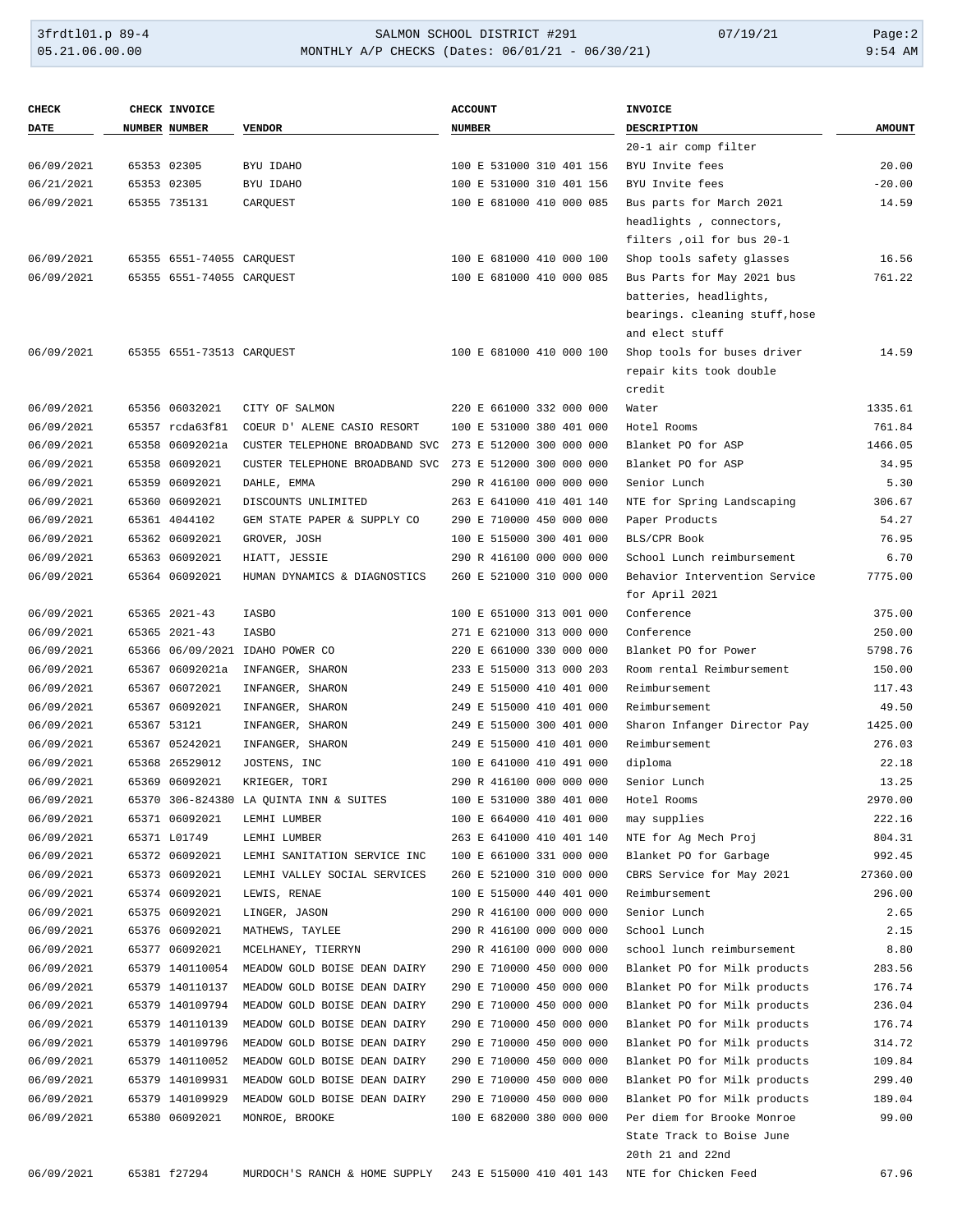# 3frdtl01.p 89-4 <br>
354 AMON SCHOOL DISTRICT #291 07/19/21 Page:2<br>
354 AM
05.21.06.00.00 MONTHLY A/P CHECKS (Dates: 06/01/21 - 06/30/21) MONTHLY A/P CHECKS (Dates: 06/01/21 - 06/30/21)

| <b>CHECK</b> | <b>CHECK INVOICE</b>      |                                              | <b>ACCOUNT</b>           | INVOICE                        |               |
|--------------|---------------------------|----------------------------------------------|--------------------------|--------------------------------|---------------|
| <b>DATE</b>  | NUMBER NUMBER             | <b>VENDOR</b>                                | <b>NUMBER</b>            | DESCRIPTION                    | <b>AMOUNT</b> |
|              |                           |                                              |                          | 20-1 air comp filter           |               |
| 06/09/2021   | 65353 02305               | BYU IDAHO                                    | 100 E 531000 310 401 156 | BYU Invite fees                | 20.00         |
| 06/21/2021   | 65353 02305               | BYU IDAHO                                    | 100 E 531000 310 401 156 | BYU Invite fees                | $-20.00$      |
| 06/09/2021   | 65355 735131              | CARQUEST                                     | 100 E 681000 410 000 085 | Bus parts for March 2021       | 14.59         |
|              |                           |                                              |                          | headlights, connectors,        |               |
|              |                           |                                              |                          | filters , oil for bus 20-1     |               |
| 06/09/2021   | 65355 6551-74055 CAROUEST |                                              | 100 E 681000 410 000 100 | Shop tools safety glasses      | 16.56         |
|              |                           |                                              |                          |                                |               |
| 06/09/2021   | 65355 6551-74055 CARQUEST |                                              | 100 E 681000 410 000 085 | Bus Parts for May 2021 bus     | 761.22        |
|              |                           |                                              |                          | batteries, headlights,         |               |
|              |                           |                                              |                          | bearings. cleaning stuff, hose |               |
|              |                           |                                              |                          | and elect stuff                |               |
| 06/09/2021   | 65355 6551-73513 CARQUEST |                                              | 100 E 681000 410 000 100 | Shop tools for buses driver    | 14.59         |
|              |                           |                                              |                          | repair kits took double        |               |
|              |                           |                                              |                          | credit                         |               |
| 06/09/2021   | 65356 06032021            | CITY OF SALMON                               | 220 E 661000 332 000 000 | Water                          | 1335.61       |
| 06/09/2021   | 65357 rcda63f81           | COEUR D' ALENE CASIO RESORT                  | 100 E 531000 380 401 000 | Hotel Rooms                    | 761.84        |
| 06/09/2021   | 65358 06092021a           | CUSTER TELEPHONE BROADBAND SVC               | 273 E 512000 300 000 000 | Blanket PO for ASP             | 1466.05       |
| 06/09/2021   | 65358 06092021            | CUSTER TELEPHONE BROADBAND SVC               | 273 E 512000 300 000 000 | Blanket PO for ASP             | 34.95         |
| 06/09/2021   | 65359 06092021            | DAHLE, EMMA                                  | 290 R 416100 000 000 000 | Senior Lunch                   | 5.30          |
| 06/09/2021   | 65360 06092021            | DISCOUNTS UNLIMITED                          | 263 E 641000 410 401 140 | NTE for Spring Landscaping     | 306.67        |
| 06/09/2021   | 65361 4044102             | GEM STATE PAPER & SUPPLY CO                  | 290 E 710000 450 000 000 | Paper Products                 | 54.27         |
| 06/09/2021   | 65362 06092021            | GROVER, JOSH                                 | 100 E 515000 300 401 000 | BLS/CPR Book                   | 76.95         |
| 06/09/2021   | 65363 06092021            | HIATT, JESSIE                                | 290 R 416100 000 000 000 | School Lunch reimbursement     | 6.70          |
| 06/09/2021   | 65364 06092021            | HUMAN DYNAMICS & DIAGNOSTICS                 | 260 E 521000 310 000 000 | Behavior Intervention Service  | 7775.00       |
|              |                           |                                              |                          | for April 2021                 |               |
| 06/09/2021   | 65365 2021-43             | <b>IASBO</b>                                 | 100 E 651000 313 001 000 | Conference                     | 375.00        |
| 06/09/2021   | 65365 2021-43             | <b>IASBO</b>                                 | 271 E 621000 313 000 000 | Conference                     | 250.00        |
| 06/09/2021   |                           | 65366 06/09/2021 IDAHO POWER CO              | 220 E 661000 330 000 000 | Blanket PO for Power           | 5798.76       |
| 06/09/2021   | 65367 06092021a           | INFANGER, SHARON                             | 233 E 515000 313 000 203 | Room rental Reimbursement      | 150.00        |
| 06/09/2021   | 65367 06072021            | INFANGER, SHARON                             | 249 E 515000 410 401 000 | Reimbursement                  | 117.43        |
| 06/09/2021   | 65367 06092021            | INFANGER, SHARON                             | 249 E 515000 410 401 000 | Reimbursement                  | 49.50         |
| 06/09/2021   | 65367 53121               | INFANGER, SHARON                             | 249 E 515000 300 401 000 | Sharon Infanger Director Pay   | 1425.00       |
| 06/09/2021   | 65367 05242021            | INFANGER, SHARON                             | 249 E 515000 410 401 000 | Reimbursement                  | 276.03        |
| 06/09/2021   | 65368 26529012            | JOSTENS, INC                                 | 100 E 641000 410 491 000 | diploma                        | 22.18         |
| 06/09/2021   | 65369 06092021            | KRIEGER, TORI                                | 290 R 416100 000 000 000 | Senior Lunch                   | 13.25         |
| 06/09/2021   |                           | 65370 306-824380 LA QUINTA INN & SUITES      | 100 E 531000 380 401 000 | Hotel Rooms                    | 2970.00       |
|              |                           |                                              |                          |                                |               |
| 06/09/2021   | 65371 06092021            | LEMHI LUMBER                                 | 100 E 664000 410 401 000 | may supplies                   | 222.16        |
| 06/09/2021   | 65371 L01749              | LEMHI LUMBER                                 | 263 E 641000 410 401 140 | NTE for Ag Mech Proj           | 804.31        |
| 06/09/2021   | 65372 06092021            | LEMHI SANITATION SERVICE INC                 | 100 E 661000 331 000 000 | Blanket PO for Garbage         | 992.45        |
| 06/09/2021   | 65373 06092021            | LEMHI VALLEY SOCIAL SERVICES                 | 260 E 521000 310 000 000 | CBRS Service for May 2021      | 27360.00      |
| 06/09/2021   | 65374 06092021            | LEWIS, RENAE                                 | 100 E 515000 440 401 000 | Reimbursement                  | 296.00        |
| 06/09/2021   | 65375 06092021            | LINGER, JASON                                | 290 R 416100 000 000 000 | Senior Lunch                   | 2.65          |
| 06/09/2021   | 65376 06092021            | MATHEWS, TAYLEE                              | 290 R 416100 000 000 000 | School Lunch                   | 2.15          |
| 06/09/2021   | 65377 06092021            | MCELHANEY, TIERRYN                           | 290 R 416100 000 000 000 | school lunch reimbursement     | 8.80          |
| 06/09/2021   | 65379 140110054           | MEADOW GOLD BOISE DEAN DAIRY                 | 290 E 710000 450 000 000 | Blanket PO for Milk products   | 283.56        |
| 06/09/2021   | 65379 140110137           | MEADOW GOLD BOISE DEAN DAIRY                 | 290 E 710000 450 000 000 | Blanket PO for Milk products   | 176.74        |
| 06/09/2021   | 65379 140109794           | MEADOW GOLD BOISE DEAN DAIRY                 | 290 E 710000 450 000 000 | Blanket PO for Milk products   | 236.04        |
| 06/09/2021   | 65379 140110139           | MEADOW GOLD BOISE DEAN DAIRY                 | 290 E 710000 450 000 000 | Blanket PO for Milk products   | 176.74        |
| 06/09/2021   | 65379 140109796           | MEADOW GOLD BOISE DEAN DAIRY                 | 290 E 710000 450 000 000 | Blanket PO for Milk products   | 314.72        |
| 06/09/2021   |                           | 65379 140110052 MEADOW GOLD BOISE DEAN DAIRY | 290 E 710000 450 000 000 | Blanket PO for Milk products   | 109.84        |
| 06/09/2021   |                           | 65379 140109931 MEADOW GOLD BOISE DEAN DAIRY | 290 E 710000 450 000 000 | Blanket PO for Milk products   | 299.40        |
| 06/09/2021   |                           | 65379 140109929 MEADOW GOLD BOISE DEAN DAIRY | 290 E 710000 450 000 000 | Blanket PO for Milk products   | 189.04        |
| 06/09/2021   | 65380 06092021            | MONROE, BROOKE                               | 100 E 682000 380 000 000 | Per diem for Brooke Monroe     | 99.00         |
|              |                           |                                              |                          | State Track to Boise June      |               |
|              |                           |                                              |                          | 20th 21 and 22nd               |               |
| 06/09/2021   | 65381 f27294              | MURDOCH'S RANCH & HOME SUPPLY                | 243 E 515000 410 401 143 | NTE for Chicken Feed           | 67.96         |
|              |                           |                                              |                          |                                |               |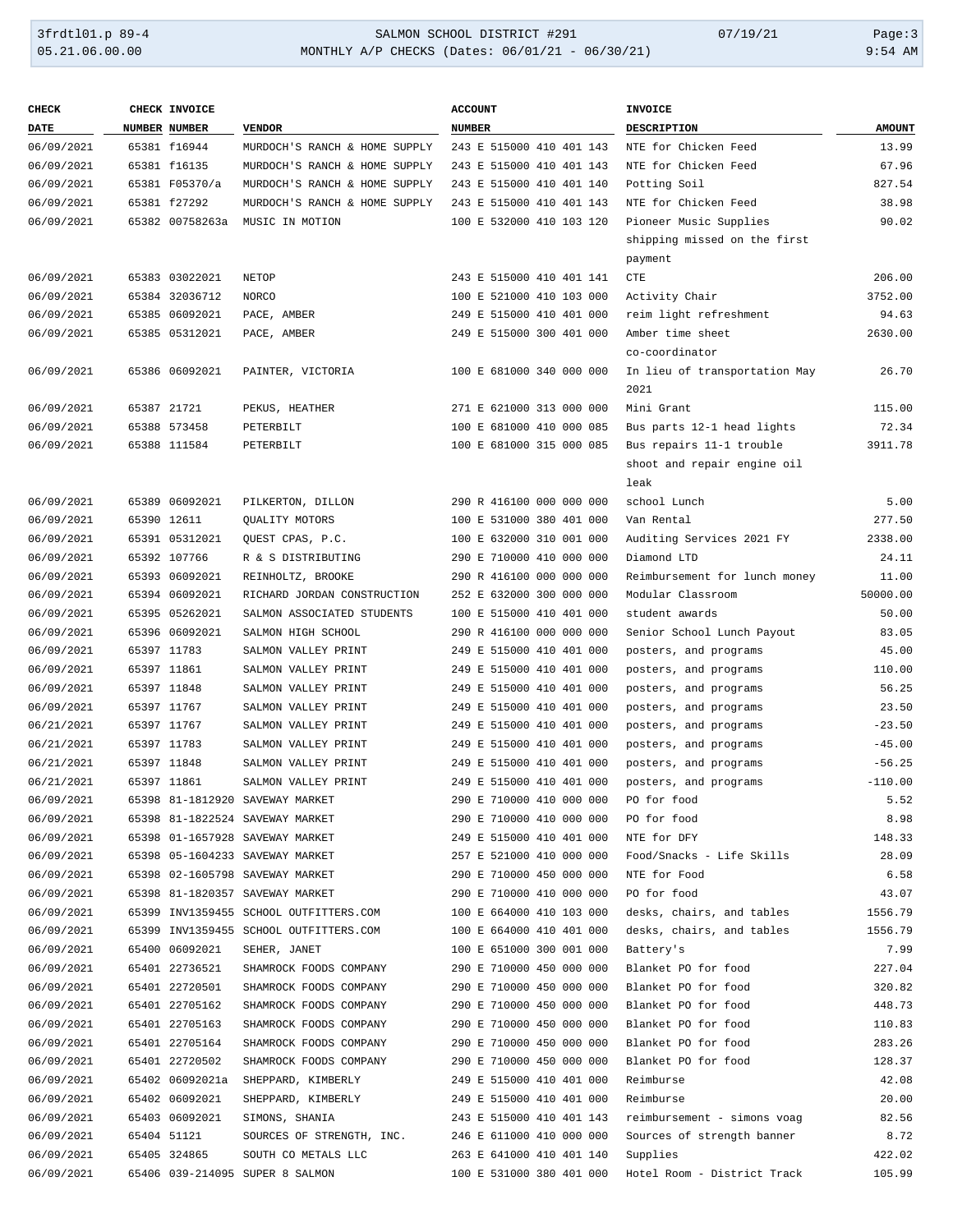## 3frdtl01.p 89-4 <br>
354 MONTHLY A/P CHECKS (Dates: 06/01/21 - 06/30/21) 07/19/21 Page:3<br>
9:54 AM MONTHLY A/P CHECKS (Dates: 06/01/21 - 06/30/21)

| <b>CHECK</b> | <b>CHECK INVOICE</b> |                                        | <b>ACCOUNT</b>           | <b>INVOICE</b>                |               |
|--------------|----------------------|----------------------------------------|--------------------------|-------------------------------|---------------|
| <b>DATE</b>  | NUMBER NUMBER        | <b>VENDOR</b>                          | <b>NUMBER</b>            | DESCRIPTION                   | <b>AMOUNT</b> |
| 06/09/2021   | 65381 f16944         | MURDOCH'S RANCH & HOME SUPPLY          | 243 E 515000 410 401 143 | NTE for Chicken Feed          | 13.99         |
| 06/09/2021   | 65381 f16135         | MURDOCH'S RANCH & HOME SUPPLY          | 243 E 515000 410 401 143 | NTE for Chicken Feed          | 67.96         |
| 06/09/2021   | 65381 F05370/a       | MURDOCH'S RANCH & HOME SUPPLY          | 243 E 515000 410 401 140 | Potting Soil                  | 827.54        |
| 06/09/2021   | 65381 f27292         | MURDOCH'S RANCH & HOME SUPPLY          | 243 E 515000 410 401 143 | NTE for Chicken Feed          | 38.98         |
| 06/09/2021   | 65382 00758263a      | MUSIC IN MOTION                        | 100 E 532000 410 103 120 | Pioneer Music Supplies        | 90.02         |
|              |                      |                                        |                          | shipping missed on the first  |               |
|              |                      |                                        |                          | payment                       |               |
| 06/09/2021   | 65383 03022021       | NETOP                                  | 243 E 515000 410 401 141 | CTE                           | 206.00        |
| 06/09/2021   | 65384 32036712       | NORCO                                  | 100 E 521000 410 103 000 | Activity Chair                | 3752.00       |
| 06/09/2021   | 65385 06092021       | PACE, AMBER                            | 249 E 515000 410 401 000 | reim light refreshment        | 94.63         |
| 06/09/2021   | 65385 05312021       | PACE, AMBER                            | 249 E 515000 300 401 000 | Amber time sheet              | 2630.00       |
|              |                      |                                        |                          | co-coordinator                |               |
| 06/09/2021   | 65386 06092021       | PAINTER, VICTORIA                      | 100 E 681000 340 000 000 | In lieu of transportation May | 26.70         |
|              |                      |                                        |                          | 2021                          |               |
| 06/09/2021   | 65387 21721          | PEKUS, HEATHER                         | 271 E 621000 313 000 000 | Mini Grant                    | 115.00        |
| 06/09/2021   | 65388 573458         | PETERBILT                              | 100 E 681000 410 000 085 | Bus parts 12-1 head lights    | 72.34         |
| 06/09/2021   | 65388 111584         | PETERBILT                              | 100 E 681000 315 000 085 | Bus repairs 11-1 trouble      | 3911.78       |
|              |                      |                                        |                          | shoot and repair engine oil   |               |
|              |                      |                                        |                          | leak                          |               |
| 06/09/2021   | 65389 06092021       | PILKERTON, DILLON                      | 290 R 416100 000 000 000 | school Lunch                  | 5.00          |
| 06/09/2021   | 65390 12611          | QUALITY MOTORS                         | 100 E 531000 380 401 000 | Van Rental                    | 277.50        |
| 06/09/2021   | 65391 05312021       | QUEST CPAS, P.C.                       | 100 E 632000 310 001 000 | Auditing Services 2021 FY     | 2338.00       |
| 06/09/2021   | 65392 107766         | R & S DISTRIBUTING                     | 290 E 710000 410 000 000 | Diamond LTD                   | 24.11         |
| 06/09/2021   | 65393 06092021       | REINHOLTZ, BROOKE                      | 290 R 416100 000 000 000 | Reimbursement for lunch money | 11.00         |
| 06/09/2021   | 65394 06092021       | RICHARD JORDAN CONSTRUCTION            | 252 E 632000 300 000 000 | Modular Classroom             | 50000.00      |
| 06/09/2021   | 65395 05262021       | SALMON ASSOCIATED STUDENTS             | 100 E 515000 410 401 000 | student awards                | 50.00         |
| 06/09/2021   | 65396 06092021       | SALMON HIGH SCHOOL                     | 290 R 416100 000 000 000 | Senior School Lunch Payout    | 83.05         |
| 06/09/2021   | 65397 11783          | SALMON VALLEY PRINT                    | 249 E 515000 410 401 000 | posters, and programs         | 45.00         |
| 06/09/2021   | 65397 11861          | SALMON VALLEY PRINT                    | 249 E 515000 410 401 000 | posters, and programs         | 110.00        |
| 06/09/2021   | 65397 11848          | SALMON VALLEY PRINT                    | 249 E 515000 410 401 000 | posters, and programs         | 56.25         |
| 06/09/2021   | 65397 11767          | SALMON VALLEY PRINT                    | 249 E 515000 410 401 000 | posters, and programs         | 23.50         |
| 06/21/2021   | 65397 11767          | SALMON VALLEY PRINT                    | 249 E 515000 410 401 000 | posters, and programs         | $-23.50$      |
| 06/21/2021   | 65397 11783          | SALMON VALLEY PRINT                    | 249 E 515000 410 401 000 | posters, and programs         | $-45.00$      |
| 06/21/2021   | 65397 11848          | SALMON VALLEY PRINT                    | 249 E 515000 410 401 000 | posters, and programs         | $-56.25$      |
| 06/21/2021   | 65397 11861          | SALMON VALLEY PRINT                    | 249 E 515000 410 401 000 | posters, and programs         | $-110.00$     |
| 06/09/2021   |                      | 65398 81-1812920 SAVEWAY MARKET        | 290 E 710000 410 000 000 | PO for food                   | 5.52          |
| 06/09/2021   |                      | 65398 81-1822524 SAVEWAY MARKET        | 290 E 710000 410 000 000 | PO for food                   | 8.98          |
| 06/09/2021   |                      | 65398 01-1657928 SAVEWAY MARKET        | 249 E 515000 410 401 000 | NTE for DFY                   | 148.33        |
| 06/09/2021   |                      | 65398 05-1604233 SAVEWAY MARKET        | 257 E 521000 410 000 000 | Food/Snacks - Life Skills     | 28.09         |
| 06/09/2021   |                      | 65398 02-1605798 SAVEWAY MARKET        | 290 E 710000 450 000 000 | NTE for Food                  | 6.58          |
| 06/09/2021   |                      | 65398 81-1820357 SAVEWAY MARKET        | 290 E 710000 410 000 000 | PO for food                   | 43.07         |
| 06/09/2021   |                      | 65399 INV1359455 SCHOOL OUTFITTERS.COM | 100 E 664000 410 103 000 | desks, chairs, and tables     | 1556.79       |
| 06/09/2021   |                      | 65399 INV1359455 SCHOOL OUTFITTERS.COM | 100 E 664000 410 401 000 | desks, chairs, and tables     | 1556.79       |
| 06/09/2021   | 65400 06092021       | SEHER, JANET                           | 100 E 651000 300 001 000 | Battery's                     | 7.99          |
| 06/09/2021   | 65401 22736521       | SHAMROCK FOODS COMPANY                 | 290 E 710000 450 000 000 | Blanket PO for food           | 227.04        |
| 06/09/2021   | 65401 22720501       | SHAMROCK FOODS COMPANY                 | 290 E 710000 450 000 000 | Blanket PO for food           | 320.82        |
| 06/09/2021   | 65401 22705162       | SHAMROCK FOODS COMPANY                 | 290 E 710000 450 000 000 | Blanket PO for food           | 448.73        |
| 06/09/2021   | 65401 22705163       | SHAMROCK FOODS COMPANY                 | 290 E 710000 450 000 000 | Blanket PO for food           | 110.83        |
| 06/09/2021   | 65401 22705164       | SHAMROCK FOODS COMPANY                 | 290 E 710000 450 000 000 | Blanket PO for food           | 283.26        |
| 06/09/2021   | 65401 22720502       | SHAMROCK FOODS COMPANY                 | 290 E 710000 450 000 000 | Blanket PO for food           | 128.37        |
| 06/09/2021   | 65402 06092021a      | SHEPPARD, KIMBERLY                     | 249 E 515000 410 401 000 | Reimburse                     | 42.08         |
| 06/09/2021   | 65402 06092021       | SHEPPARD, KIMBERLY                     | 249 E 515000 410 401 000 | Reimburse                     | 20.00         |
| 06/09/2021   | 65403 06092021       | SIMONS, SHANIA                         | 243 E 515000 410 401 143 | reimbursement - simons voag   | 82.56         |
| 06/09/2021   | 65404 51121          | SOURCES OF STRENGTH, INC.              | 246 E 611000 410 000 000 | Sources of strength banner    | 8.72          |
| 06/09/2021   | 65405 324865         | SOUTH CO METALS LLC                    | 263 E 641000 410 401 140 | Supplies                      | 422.02        |
| 06/09/2021   |                      | 65406 039-214095 SUPER 8 SALMON        | 100 E 531000 380 401 000 | Hotel Room - District Track   | 105.99        |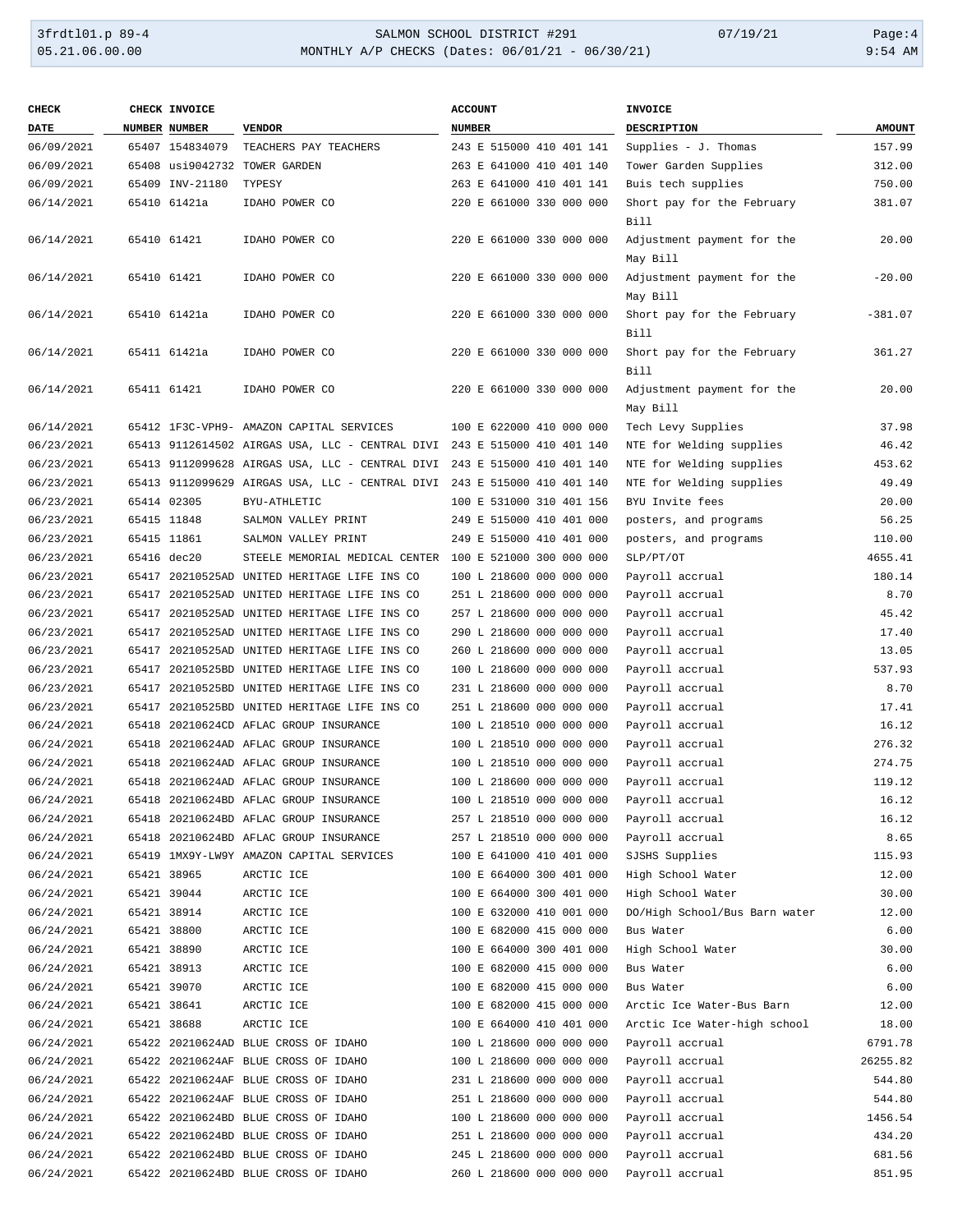#### 3frdtl01.p 89-4 <br>
354 MONTHLY A/P CHECKS (Dates: 06/01/21 - 06/30/21) 07/19/21 Page:4<br>
9:54 AM 9:54 MONTHLY A/P CHECKS (Dates: 06/01/21 - 06/30/21) MONTHLY A/P CHECKS (Dates: 06/01/21 - 06/30/21)

| <b>CHECK</b> | CHECK INVOICE   |                                                                          | <b>ACCOUNT</b>           | <b>INVOICE</b>                         |               |
|--------------|-----------------|--------------------------------------------------------------------------|--------------------------|----------------------------------------|---------------|
| DATE         | NUMBER NUMBER   | <b>VENDOR</b>                                                            | <b>NUMBER</b>            | DESCRIPTION                            | <b>AMOUNT</b> |
| 06/09/2021   | 65407 154834079 | TEACHERS PAY TEACHERS                                                    | 243 E 515000 410 401 141 | Supplies - J. Thomas                   | 157.99        |
| 06/09/2021   |                 | 65408 usi9042732 TOWER GARDEN                                            | 263 E 641000 410 401 140 | Tower Garden Supplies                  | 312.00        |
| 06/09/2021   | 65409 INV-21180 | TYPESY                                                                   | 263 E 641000 410 401 141 | Buis tech supplies                     | 750.00        |
| 06/14/2021   | 65410 61421a    | IDAHO POWER CO                                                           | 220 E 661000 330 000 000 | Short pay for the February<br>Bill     | 381.07        |
| 06/14/2021   | 65410 61421     | IDAHO POWER CO                                                           | 220 E 661000 330 000 000 | Adjustment payment for the<br>May Bill | 20.00         |
| 06/14/2021   | 65410 61421     | IDAHO POWER CO                                                           | 220 E 661000 330 000 000 | Adjustment payment for the<br>May Bill | $-20.00$      |
| 06/14/2021   | 65410 61421a    | IDAHO POWER CO                                                           | 220 E 661000 330 000 000 | Short pay for the February<br>Bill     | $-381.07$     |
| 06/14/2021   | 65411 61421a    | IDAHO POWER CO                                                           | 220 E 661000 330 000 000 | Short pay for the February<br>Bill     | 361.27        |
| 06/14/2021   | 65411 61421     | IDAHO POWER CO                                                           | 220 E 661000 330 000 000 | Adjustment payment for the<br>May Bill | 20.00         |
| 06/14/2021   |                 | 65412 1F3C-VPH9- AMAZON CAPITAL SERVICES                                 | 100 E 622000 410 000 000 | Tech Levy Supplies                     | 37.98         |
| 06/23/2021   |                 | 65413 9112614502 AIRGAS USA, LLC - CENTRAL DIVI 243 E 515000 410 401 140 |                          | NTE for Welding supplies               | 46.42         |
| 06/23/2021   |                 | 65413 9112099628 AIRGAS USA, LLC - CENTRAL DIVI 243 E 515000 410 401 140 |                          | NTE for Welding supplies               | 453.62        |
| 06/23/2021   |                 | 65413 9112099629 AIRGAS USA, LLC - CENTRAL DIVI 243 E 515000 410 401 140 |                          | NTE for Welding supplies               | 49.49         |
| 06/23/2021   | 65414 02305     | BYU-ATHLETIC                                                             | 100 E 531000 310 401 156 | BYU Invite fees                        | 20.00         |
| 06/23/2021   | 65415 11848     | SALMON VALLEY PRINT                                                      | 249 E 515000 410 401 000 | posters, and programs                  | 56.25         |
| 06/23/2021   | 65415 11861     | SALMON VALLEY PRINT                                                      | 249 E 515000 410 401 000 | posters, and programs                  | 110.00        |
| 06/23/2021   | 65416 dec20     | STEELE MEMORIAL MEDICAL CENTER 100 E 521000 300 000 000                  |                          | SLP/PT/OT                              | 4655.41       |
| 06/23/2021   |                 | 65417 20210525AD UNITED HERITAGE LIFE INS CO                             | 100 L 218600 000 000 000 | Payroll accrual                        | 180.14        |
| 06/23/2021   |                 | 65417 20210525AD UNITED HERITAGE LIFE INS CO                             | 251 L 218600 000 000 000 | Payroll accrual                        | 8.70          |
| 06/23/2021   |                 | 65417 20210525AD UNITED HERITAGE LIFE INS CO                             | 257 L 218600 000 000 000 | Payroll accrual                        | 45.42         |
| 06/23/2021   |                 | 65417 20210525AD UNITED HERITAGE LIFE INS CO                             | 290 L 218600 000 000 000 | Payroll accrual                        | 17.40         |
| 06/23/2021   |                 | 65417 20210525AD UNITED HERITAGE LIFE INS CO                             | 260 L 218600 000 000 000 | Payroll accrual                        | 13.05         |
| 06/23/2021   |                 | 65417 20210525BD UNITED HERITAGE LIFE INS CO                             | 100 L 218600 000 000 000 | Payroll accrual                        | 537.93        |
| 06/23/2021   |                 | 65417 20210525BD UNITED HERITAGE LIFE INS CO                             | 231 L 218600 000 000 000 | Payroll accrual                        | 8.70          |
| 06/23/2021   |                 | 65417 20210525BD UNITED HERITAGE LIFE INS CO                             | 251 L 218600 000 000 000 | Payroll accrual                        | 17.41         |
| 06/24/2021   |                 | 65418 20210624CD AFLAC GROUP INSURANCE                                   | 100 L 218510 000 000 000 | Payroll accrual                        | 16.12         |
| 06/24/2021   |                 | 65418 20210624AD AFLAC GROUP INSURANCE                                   | 100 L 218510 000 000 000 | Payroll accrual                        | 276.32        |
| 06/24/2021   |                 | 65418 20210624AD AFLAC GROUP INSURANCE                                   | 100 L 218510 000 000 000 | Payroll accrual                        | 274.75        |
| 06/24/2021   |                 | 65418 20210624AD AFLAC GROUP INSURANCE                                   | 100 L 218600 000 000 000 |                                        | 119.12        |
|              |                 |                                                                          |                          | Payroll accrual                        |               |
| 06/24/2021   |                 | 65418 20210624BD AFLAC GROUP INSURANCE                                   | 100 L 218510 000 000 000 | Payroll accrual                        | 16.12         |
| 06/24/2021   |                 | 65418 20210624BD AFLAC GROUP INSURANCE                                   | 257 L 218510 000 000 000 | Payroll accrual                        | 16.12         |
| 06/24/2021   |                 | 65418 20210624BD AFLAC GROUP INSURANCE                                   | 257 L 218510 000 000 000 | Payroll accrual                        | 8.65          |
| 06/24/2021   |                 | 65419 1MX9Y-LW9Y AMAZON CAPITAL SERVICES                                 | 100 E 641000 410 401 000 | SJSHS Supplies                         | 115.93        |
| 06/24/2021   | 65421 38965     | ARCTIC ICE                                                               | 100 E 664000 300 401 000 | High School Water                      | 12.00         |
| 06/24/2021   | 65421 39044     | ARCTIC ICE                                                               | 100 E 664000 300 401 000 | High School Water                      | 30.00         |
| 06/24/2021   | 65421 38914     | ARCTIC ICE                                                               | 100 E 632000 410 001 000 | DO/High School/Bus Barn water          | 12.00         |
| 06/24/2021   | 65421 38800     | ARCTIC ICE                                                               | 100 E 682000 415 000 000 | Bus Water                              | 6.00          |
| 06/24/2021   | 65421 38890     | ARCTIC ICE                                                               | 100 E 664000 300 401 000 | High School Water                      | 30.00         |
| 06/24/2021   | 65421 38913     | ARCTIC ICE                                                               | 100 E 682000 415 000 000 | Bus Water                              | 6.00          |
| 06/24/2021   | 65421 39070     | ARCTIC ICE                                                               | 100 E 682000 415 000 000 | Bus Water                              | 6.00          |
| 06/24/2021   | 65421 38641     | ARCTIC ICE                                                               | 100 E 682000 415 000 000 | Arctic Ice Water-Bus Barn              | 12.00         |
| 06/24/2021   | 65421 38688     | ARCTIC ICE                                                               | 100 E 664000 410 401 000 | Arctic Ice Water-high school           | 18.00         |
| 06/24/2021   |                 | 65422 20210624AD BLUE CROSS OF IDAHO                                     | 100 L 218600 000 000 000 | Payroll accrual                        | 6791.78       |
| 06/24/2021   |                 | 65422 20210624AF BLUE CROSS OF IDAHO                                     | 100 L 218600 000 000 000 | Payroll accrual                        | 26255.82      |
| 06/24/2021   |                 | 65422 20210624AF BLUE CROSS OF IDAHO                                     | 231 L 218600 000 000 000 | Payroll accrual                        | 544.80        |
| 06/24/2021   |                 | 65422 20210624AF BLUE CROSS OF IDAHO                                     | 251 L 218600 000 000 000 | Payroll accrual                        | 544.80        |
| 06/24/2021   |                 | 65422 20210624BD BLUE CROSS OF IDAHO                                     | 100 L 218600 000 000 000 | Payroll accrual                        | 1456.54       |
| 06/24/2021   |                 | 65422 20210624BD BLUE CROSS OF IDAHO                                     | 251 L 218600 000 000 000 | Payroll accrual                        | 434.20        |
| 06/24/2021   |                 | 65422 20210624BD BLUE CROSS OF IDAHO                                     | 245 L 218600 000 000 000 | Payroll accrual                        | 681.56        |
| 06/24/2021   |                 | 65422 20210624BD BLUE CROSS OF IDAHO                                     | 260 L 218600 000 000 000 | Payroll accrual                        | 851.95        |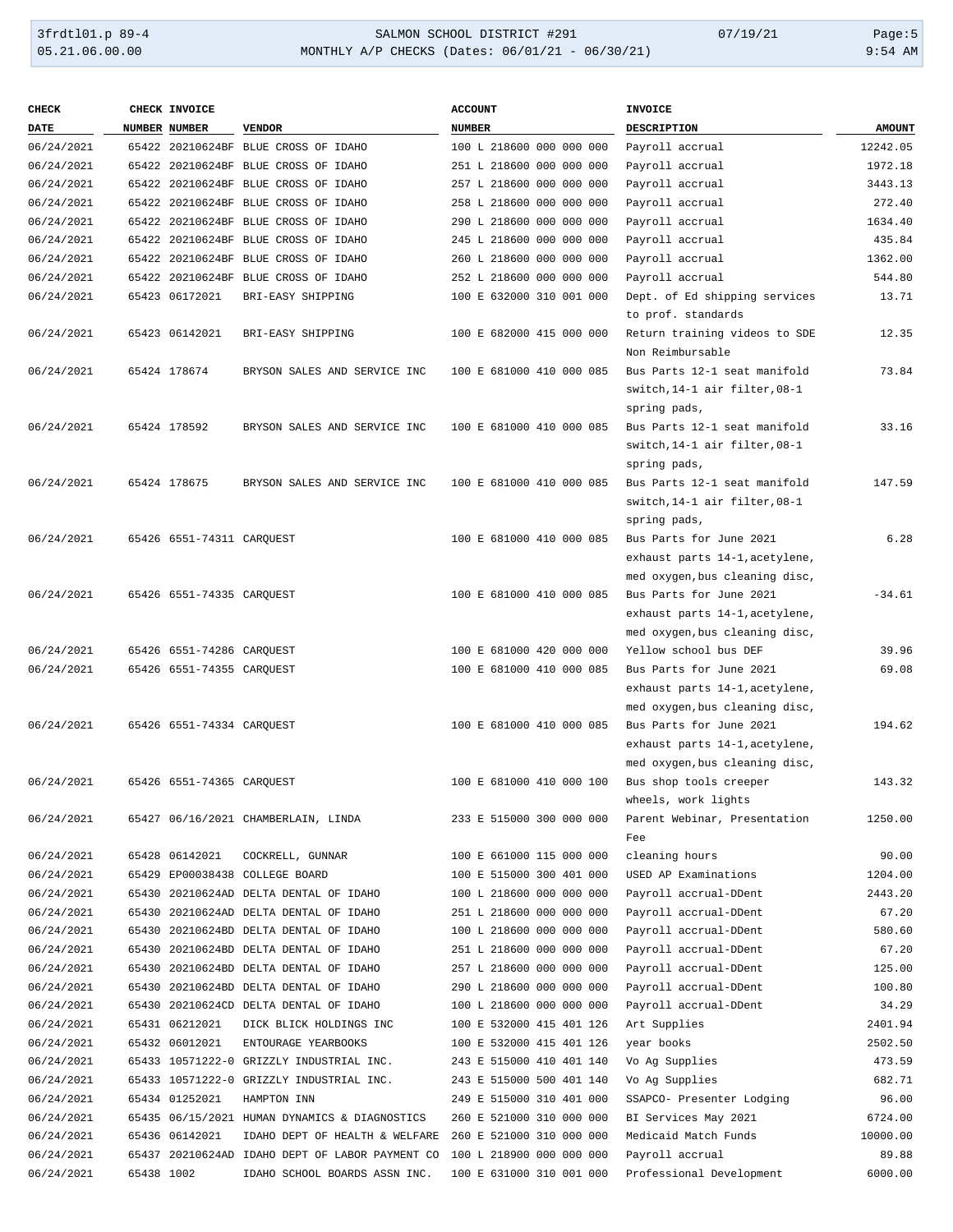## 3frdtl01.p 89-4 <br>
354 MONTHLY A/P CHECKS (Dates: 06/01/21 - 06/30/21) 07/19/21<br>
9:54 AM 9:54 MONTHLY A/P CHECKS (Dates: 06/01/21 - 06/30/21) MONTHLY A/P CHECKS (Dates: 06/01/21 - 06/30/21)

| <b>CHECK</b> |            | CHECK INVOICE             |                                                 | <b>ACCOUNT</b>           | <b>INVOICE</b>                 |               |
|--------------|------------|---------------------------|-------------------------------------------------|--------------------------|--------------------------------|---------------|
| <b>DATE</b>  |            | NUMBER NUMBER             | <b>VENDOR</b>                                   | <b>NUMBER</b>            | <b>DESCRIPTION</b>             | <b>AMOUNT</b> |
| 06/24/2021   |            |                           | 65422 20210624BF BLUE CROSS OF IDAHO            | 100 L 218600 000 000 000 | Payroll accrual                | 12242.05      |
| 06/24/2021   |            |                           | 65422 20210624BF BLUE CROSS OF IDAHO            | 251 L 218600 000 000 000 | Payroll accrual                | 1972.18       |
| 06/24/2021   |            |                           | 65422 20210624BF BLUE CROSS OF IDAHO            | 257 L 218600 000 000 000 | Payroll accrual                | 3443.13       |
| 06/24/2021   |            |                           | 65422 20210624BF BLUE CROSS OF IDAHO            | 258 L 218600 000 000 000 | Payroll accrual                | 272.40        |
| 06/24/2021   |            |                           | 65422 20210624BF BLUE CROSS OF IDAHO            | 290 L 218600 000 000 000 | Payroll accrual                | 1634.40       |
| 06/24/2021   |            |                           | 65422 20210624BF BLUE CROSS OF IDAHO            | 245 L 218600 000 000 000 | Payroll accrual                | 435.84        |
| 06/24/2021   |            |                           | 65422 20210624BF BLUE CROSS OF IDAHO            | 260 L 218600 000 000 000 | Payroll accrual                | 1362.00       |
| 06/24/2021   |            |                           | 65422 20210624BF BLUE CROSS OF IDAHO            | 252 L 218600 000 000 000 | Payroll accrual                | 544.80        |
| 06/24/2021   |            | 65423 06172021            | BRI-EASY SHIPPING                               | 100 E 632000 310 001 000 | Dept. of Ed shipping services  | 13.71         |
|              |            |                           |                                                 |                          | to prof. standards             |               |
| 06/24/2021   |            | 65423 06142021            | BRI-EASY SHIPPING                               | 100 E 682000 415 000 000 | Return training videos to SDE  | 12.35         |
|              |            |                           |                                                 |                          | Non Reimbursable               |               |
| 06/24/2021   |            | 65424 178674              | BRYSON SALES AND SERVICE INC                    | 100 E 681000 410 000 085 | Bus Parts 12-1 seat manifold   | 73.84         |
|              |            |                           |                                                 |                          | switch, 14-1 air filter, 08-1  |               |
|              |            |                           |                                                 |                          | spring pads,                   |               |
| 06/24/2021   |            | 65424 178592              | BRYSON SALES AND SERVICE INC                    | 100 E 681000 410 000 085 | Bus Parts 12-1 seat manifold   | 33.16         |
|              |            |                           |                                                 |                          | switch, 14-1 air filter, 08-1  |               |
|              |            |                           |                                                 |                          | spring pads,                   |               |
| 06/24/2021   |            | 65424 178675              | BRYSON SALES AND SERVICE INC                    | 100 E 681000 410 000 085 | Bus Parts 12-1 seat manifold   | 147.59        |
|              |            |                           |                                                 |                          | switch, 14-1 air filter, 08-1  |               |
|              |            |                           |                                                 |                          | spring pads,                   |               |
| 06/24/2021   |            | 65426 6551-74311 CARQUEST |                                                 | 100 E 681000 410 000 085 | Bus Parts for June 2021        | 6.28          |
|              |            |                           |                                                 |                          | exhaust parts 14-1, acetylene, |               |
|              |            |                           |                                                 |                          | med oxygen, bus cleaning disc, |               |
| 06/24/2021   |            | 65426 6551-74335 CARQUEST |                                                 | 100 E 681000 410 000 085 | Bus Parts for June 2021        | $-34.61$      |
|              |            |                           |                                                 |                          | exhaust parts 14-1, acetylene, |               |
|              |            |                           |                                                 |                          | med oxygen, bus cleaning disc, |               |
| 06/24/2021   |            | 65426 6551-74286 CARQUEST |                                                 | 100 E 681000 420 000 000 | Yellow school bus DEF          | 39.96         |
| 06/24/2021   |            | 65426 6551-74355 CARQUEST |                                                 | 100 E 681000 410 000 085 | Bus Parts for June 2021        | 69.08         |
|              |            |                           |                                                 |                          | exhaust parts 14-1, acetylene, |               |
|              |            |                           |                                                 |                          | med oxygen, bus cleaning disc, |               |
| 06/24/2021   |            | 65426 6551-74334 CARQUEST |                                                 | 100 E 681000 410 000 085 | Bus Parts for June 2021        | 194.62        |
|              |            |                           |                                                 |                          | exhaust parts 14-1, acetylene, |               |
|              |            |                           |                                                 |                          | med oxygen, bus cleaning disc, |               |
| 06/24/2021   |            | 65426 6551-74365 CAROUEST |                                                 | 100 E 681000 410 000 100 | Bus shop tools creeper         | 143.32        |
|              |            |                           |                                                 |                          | wheels, work lights            |               |
| 06/24/2021   |            |                           | 65427 06/16/2021 CHAMBERLAIN, LINDA             | 233 E 515000 300 000 000 | Parent Webinar, Presentation   | 1250.00       |
|              |            |                           |                                                 |                          | Fee                            |               |
| 06/24/2021   |            | 65428 06142021            | COCKRELL, GUNNAR                                | 100 E 661000 115 000 000 | cleaning hours                 | 90.00         |
| 06/24/2021   |            |                           | 65429 EP00038438 COLLEGE BOARD                  | 100 E 515000 300 401 000 | USED AP Examinations           | 1204.00       |
| 06/24/2021   |            |                           | 65430 20210624AD DELTA DENTAL OF IDAHO          | 100 L 218600 000 000 000 | Payroll accrual-DDent          | 2443.20       |
| 06/24/2021   |            |                           | 65430 20210624AD DELTA DENTAL OF IDAHO          | 251 L 218600 000 000 000 | Payroll accrual-DDent          | 67.20         |
| 06/24/2021   |            |                           | 65430 20210624BD DELTA DENTAL OF IDAHO          | 100 L 218600 000 000 000 | Payroll accrual-DDent          | 580.60        |
| 06/24/2021   |            |                           | 65430 20210624BD DELTA DENTAL OF IDAHO          | 251 L 218600 000 000 000 | Payroll accrual-DDent          | 67.20         |
| 06/24/2021   |            |                           | 65430 20210624BD DELTA DENTAL OF IDAHO          | 257 L 218600 000 000 000 | Payroll accrual-DDent          | 125.00        |
| 06/24/2021   |            |                           | 65430 20210624BD DELTA DENTAL OF IDAHO          | 290 L 218600 000 000 000 | Payroll accrual-DDent          | 100.80        |
| 06/24/2021   |            |                           | 65430 20210624CD DELTA DENTAL OF IDAHO          | 100 L 218600 000 000 000 | Payroll accrual-DDent          | 34.29         |
| 06/24/2021   |            | 65431 06212021            | DICK BLICK HOLDINGS INC                         | 100 E 532000 415 401 126 | Art Supplies                   | 2401.94       |
| 06/24/2021   |            | 65432 06012021            | ENTOURAGE YEARBOOKS                             | 100 E 532000 415 401 126 | year books                     | 2502.50       |
| 06/24/2021   |            |                           | 65433 10571222-0 GRIZZLY INDUSTRIAL INC.        | 243 E 515000 410 401 140 | Vo Ag Supplies                 | 473.59        |
| 06/24/2021   |            |                           | 65433 10571222-0 GRIZZLY INDUSTRIAL INC.        | 243 E 515000 500 401 140 | Vo Ag Supplies                 | 682.71        |
| 06/24/2021   |            | 65434 01252021            | HAMPTON INN                                     | 249 E 515000 310 401 000 | SSAPCO- Presenter Lodging      | 96.00         |
| 06/24/2021   |            |                           | 65435 06/15/2021 HUMAN DYNAMICS & DIAGNOSTICS   | 260 E 521000 310 000 000 | BI Services May 2021           | 6724.00       |
| 06/24/2021   |            | 65436 06142021            | IDAHO DEPT OF HEALTH & WELFARE                  | 260 E 521000 310 000 000 | Medicaid Match Funds           | 10000.00      |
| 06/24/2021   |            |                           | 65437 20210624AD IDAHO DEPT OF LABOR PAYMENT CO | 100 L 218900 000 000 000 | Payroll accrual                | 89.88         |
| 06/24/2021   | 65438 1002 |                           | IDAHO SCHOOL BOARDS ASSN INC.                   | 100 E 631000 310 001 000 | Professional Development       | 6000.00       |
|              |            |                           |                                                 |                          |                                |               |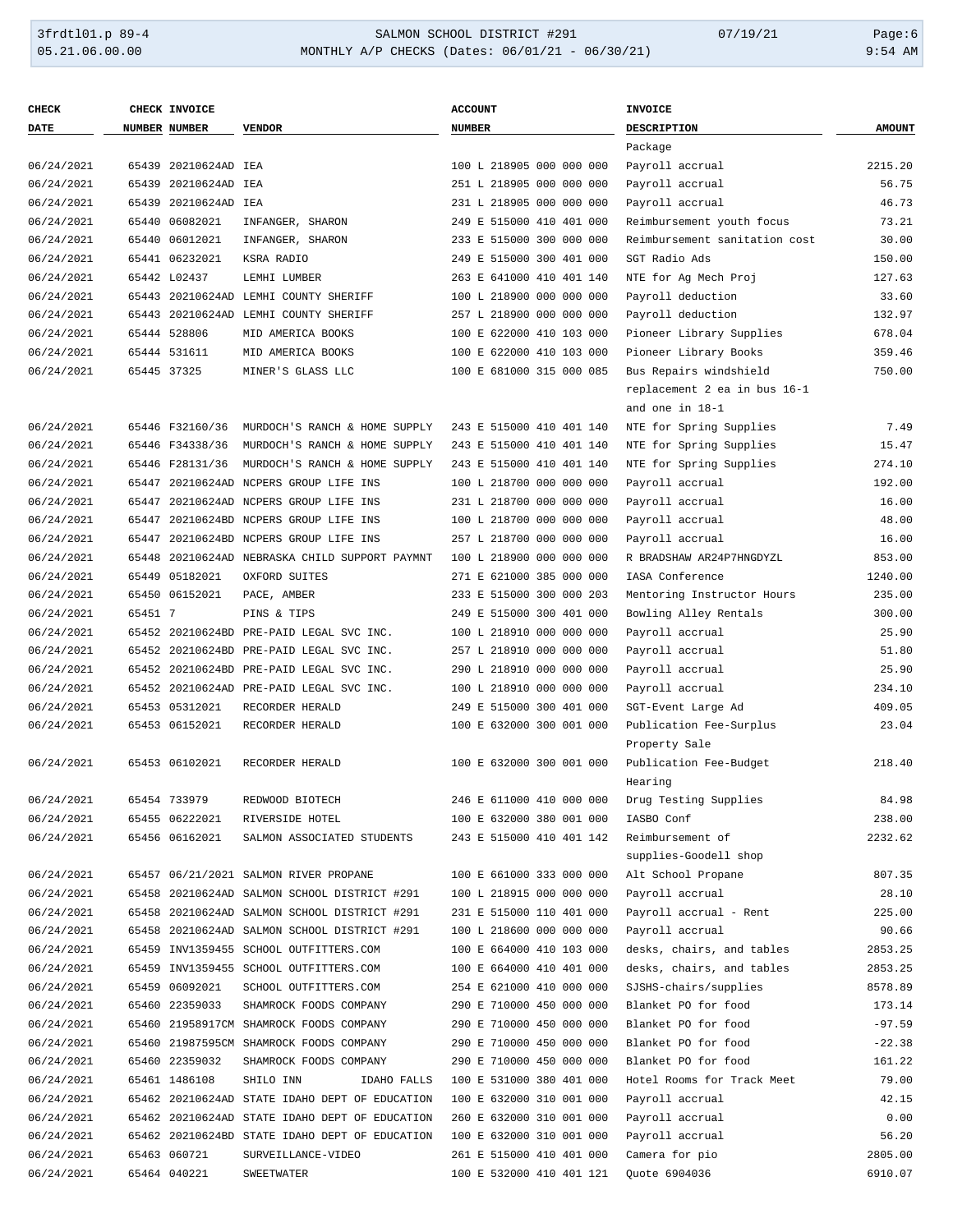## 3frdtl01.p 89-4 <br>
354 MONTHLY A/P CHECKS (Dates: 06/01/21 - 06/30/21) 07/19/21 Page:6<br>
9:54 AM و9:54 MONTHLY A/P CHECKS (Dates: 06/01/21 - 06/30/21) MONTHLY A/P CHECKS (Dates: 06/01/21 - 06/30/21)

| <b>CHECK</b> |         | CHECK INVOICE        |                                                | <b>ACCOUNT</b>           | <b>INVOICE</b>                |               |
|--------------|---------|----------------------|------------------------------------------------|--------------------------|-------------------------------|---------------|
| <b>DATE</b>  |         | <b>NUMBER NUMBER</b> | <b>VENDOR</b>                                  | <b>NUMBER</b>            | <b>DESCRIPTION</b>            | <b>AMOUNT</b> |
|              |         |                      |                                                |                          | Package                       |               |
| 06/24/2021   |         | 65439 20210624AD IEA |                                                | 100 L 218905 000 000 000 | Payroll accrual               | 2215.20       |
| 06/24/2021   |         | 65439 20210624AD IEA |                                                | 251 L 218905 000 000 000 | Payroll accrual               | 56.75         |
| 06/24/2021   |         | 65439 20210624AD IEA |                                                | 231 L 218905 000 000 000 | Payroll accrual               | 46.73         |
| 06/24/2021   |         | 65440 06082021       | INFANGER, SHARON                               | 249 E 515000 410 401 000 | Reimbursement youth focus     | 73.21         |
| 06/24/2021   |         | 65440 06012021       | INFANGER, SHARON                               | 233 E 515000 300 000 000 | Reimbursement sanitation cost | 30.00         |
| 06/24/2021   |         | 65441 06232021       | KSRA RADIO                                     | 249 E 515000 300 401 000 | SGT Radio Ads                 | 150.00        |
| 06/24/2021   |         | 65442 L02437         | LEMHI LUMBER                                   | 263 E 641000 410 401 140 | NTE for Ag Mech Proj          | 127.63        |
| 06/24/2021   |         |                      | 65443 20210624AD LEMHI COUNTY SHERIFF          | 100 L 218900 000 000 000 | Payroll deduction             | 33.60         |
| 06/24/2021   |         |                      | 65443 20210624AD LEMHI COUNTY SHERIFF          | 257 L 218900 000 000 000 | Payroll deduction             | 132.97        |
| 06/24/2021   |         | 65444 528806         | MID AMERICA BOOKS                              | 100 E 622000 410 103 000 | Pioneer Library Supplies      | 678.04        |
| 06/24/2021   |         | 65444 531611         | MID AMERICA BOOKS                              | 100 E 622000 410 103 000 | Pioneer Library Books         | 359.46        |
| 06/24/2021   |         | 65445 37325          | MINER'S GLASS LLC                              | 100 E 681000 315 000 085 | Bus Repairs windshield        | 750.00        |
|              |         |                      |                                                |                          | replacement 2 ea in bus 16-1  |               |
|              |         |                      |                                                |                          | and one in 18-1               |               |
| 06/24/2021   |         | 65446 F32160/36      | MURDOCH'S RANCH & HOME SUPPLY                  | 243 E 515000 410 401 140 | NTE for Spring Supplies       | 7.49          |
| 06/24/2021   |         | 65446 F34338/36      | MURDOCH'S RANCH & HOME SUPPLY                  | 243 E 515000 410 401 140 | NTE for Spring Supplies       | 15.47         |
| 06/24/2021   |         | 65446 F28131/36      | MURDOCH'S RANCH & HOME SUPPLY                  | 243 E 515000 410 401 140 | NTE for Spring Supplies       | 274.10        |
| 06/24/2021   |         |                      | 65447 20210624AD NCPERS GROUP LIFE INS         | 100 L 218700 000 000 000 | Payroll accrual               | 192.00        |
| 06/24/2021   |         |                      | 65447 20210624AD NCPERS GROUP LIFE INS         | 231 L 218700 000 000 000 | Payroll accrual               | 16.00         |
| 06/24/2021   |         |                      | 65447 20210624BD NCPERS GROUP LIFE INS         | 100 L 218700 000 000 000 | Payroll accrual               | 48.00         |
| 06/24/2021   |         |                      | 65447 20210624BD NCPERS GROUP LIFE INS         | 257 L 218700 000 000 000 | Payroll accrual               | 16.00         |
| 06/24/2021   |         |                      | 65448 20210624AD NEBRASKA CHILD SUPPORT PAYMNT | 100 L 218900 000 000 000 | R BRADSHAW AR24P7HNGDYZL      | 853.00        |
| 06/24/2021   |         | 65449 05182021       | OXFORD SUITES                                  | 271 E 621000 385 000 000 | IASA Conference               | 1240.00       |
| 06/24/2021   |         | 65450 06152021       | PACE, AMBER                                    | 233 E 515000 300 000 203 | Mentoring Instructor Hours    | 235.00        |
| 06/24/2021   | 65451 7 |                      | PINS & TIPS                                    | 249 E 515000 300 401 000 | Bowling Alley Rentals         | 300.00        |
| 06/24/2021   |         |                      | 65452 20210624BD PRE-PAID LEGAL SVC INC.       | 100 L 218910 000 000 000 | Payroll accrual               | 25.90         |
| 06/24/2021   |         |                      | 65452 20210624BD PRE-PAID LEGAL SVC INC.       | 257 L 218910 000 000 000 | Payroll accrual               | 51.80         |
| 06/24/2021   |         |                      | 65452 20210624BD PRE-PAID LEGAL SVC INC.       | 290 L 218910 000 000 000 | Payroll accrual               | 25.90         |
| 06/24/2021   |         |                      | 65452 20210624AD PRE-PAID LEGAL SVC INC.       | 100 L 218910 000 000 000 | Payroll accrual               | 234.10        |
| 06/24/2021   |         | 65453 05312021       | RECORDER HERALD                                | 249 E 515000 300 401 000 | SGT-Event Large Ad            | 409.05        |
| 06/24/2021   |         | 65453 06152021       | RECORDER HERALD                                | 100 E 632000 300 001 000 | Publication Fee-Surplus       | 23.04         |
|              |         |                      |                                                |                          | Property Sale                 |               |
| 06/24/2021   |         | 65453 06102021       | RECORDER HERALD                                | 100 E 632000 300 001 000 | Publication Fee-Budget        | 218.40        |
|              |         |                      |                                                |                          | Hearing                       |               |
| 06/24/2021   |         | 65454 733979         | REDWOOD BIOTECH                                | 246 E 611000 410 000 000 | Drug Testing Supplies         | 84.98         |
| 06/24/2021   |         | 65455 06222021       | RIVERSIDE HOTEL                                | 100 E 632000 380 001 000 | IASBO Conf                    | 238.00        |
| 06/24/2021   |         | 65456 06162021       | SALMON ASSOCIATED STUDENTS                     | 243 E 515000 410 401 142 | Reimbursement of              | 2232.62       |
|              |         |                      |                                                |                          | supplies-Goodell shop         |               |
| 06/24/2021   |         |                      | 65457 06/21/2021 SALMON RIVER PROPANE          | 100 E 661000 333 000 000 | Alt School Propane            | 807.35        |
| 06/24/2021   |         |                      | 65458 20210624AD SALMON SCHOOL DISTRICT #291   | 100 L 218915 000 000 000 | Payroll accrual               | 28.10         |
| 06/24/2021   |         |                      | 65458 20210624AD SALMON SCHOOL DISTRICT #291   | 231 E 515000 110 401 000 | Payroll accrual - Rent        | 225.00        |
| 06/24/2021   |         |                      | 65458 20210624AD SALMON SCHOOL DISTRICT #291   | 100 L 218600 000 000 000 | Payroll accrual               | 90.66         |
| 06/24/2021   |         |                      | 65459 INV1359455 SCHOOL OUTFITTERS.COM         | 100 E 664000 410 103 000 | desks, chairs, and tables     | 2853.25       |
| 06/24/2021   |         |                      | 65459 INV1359455 SCHOOL OUTFITTERS.COM         | 100 E 664000 410 401 000 | desks, chairs, and tables     | 2853.25       |
| 06/24/2021   |         | 65459 06092021       | SCHOOL OUTFITTERS.COM                          | 254 E 621000 410 000 000 | SJSHS-chairs/supplies         | 8578.89       |
| 06/24/2021   |         | 65460 22359033       | SHAMROCK FOODS COMPANY                         | 290 E 710000 450 000 000 | Blanket PO for food           | 173.14        |
| 06/24/2021   |         |                      | 65460 21958917CM SHAMROCK FOODS COMPANY        | 290 E 710000 450 000 000 | Blanket PO for food           | $-97.59$      |
| 06/24/2021   |         |                      | 65460 21987595CM SHAMROCK FOODS COMPANY        | 290 E 710000 450 000 000 | Blanket PO for food           | $-22.38$      |
| 06/24/2021   |         | 65460 22359032       | SHAMROCK FOODS COMPANY                         | 290 E 710000 450 000 000 | Blanket PO for food           | 161.22        |
| 06/24/2021   |         | 65461 1486108        | SHILO INN<br>IDAHO FALLS                       | 100 E 531000 380 401 000 | Hotel Rooms for Track Meet    | 79.00         |
| 06/24/2021   |         |                      | 65462 20210624AD STATE IDAHO DEPT OF EDUCATION | 100 E 632000 310 001 000 | Payroll accrual               | 42.15         |
| 06/24/2021   |         |                      | 65462 20210624AD STATE IDAHO DEPT OF EDUCATION | 260 E 632000 310 001 000 | Payroll accrual               | 0.00          |
| 06/24/2021   |         |                      | 65462 20210624BD STATE IDAHO DEPT OF EDUCATION | 100 E 632000 310 001 000 | Payroll accrual               | 56.20         |
| 06/24/2021   |         | 65463 060721         | SURVEILLANCE-VIDEO                             | 261 E 515000 410 401 000 | Camera for pio                | 2805.00       |
| 06/24/2021   |         | 65464 040221         | SWEETWATER                                     | 100 E 532000 410 401 121 | Quote 6904036                 | 6910.07       |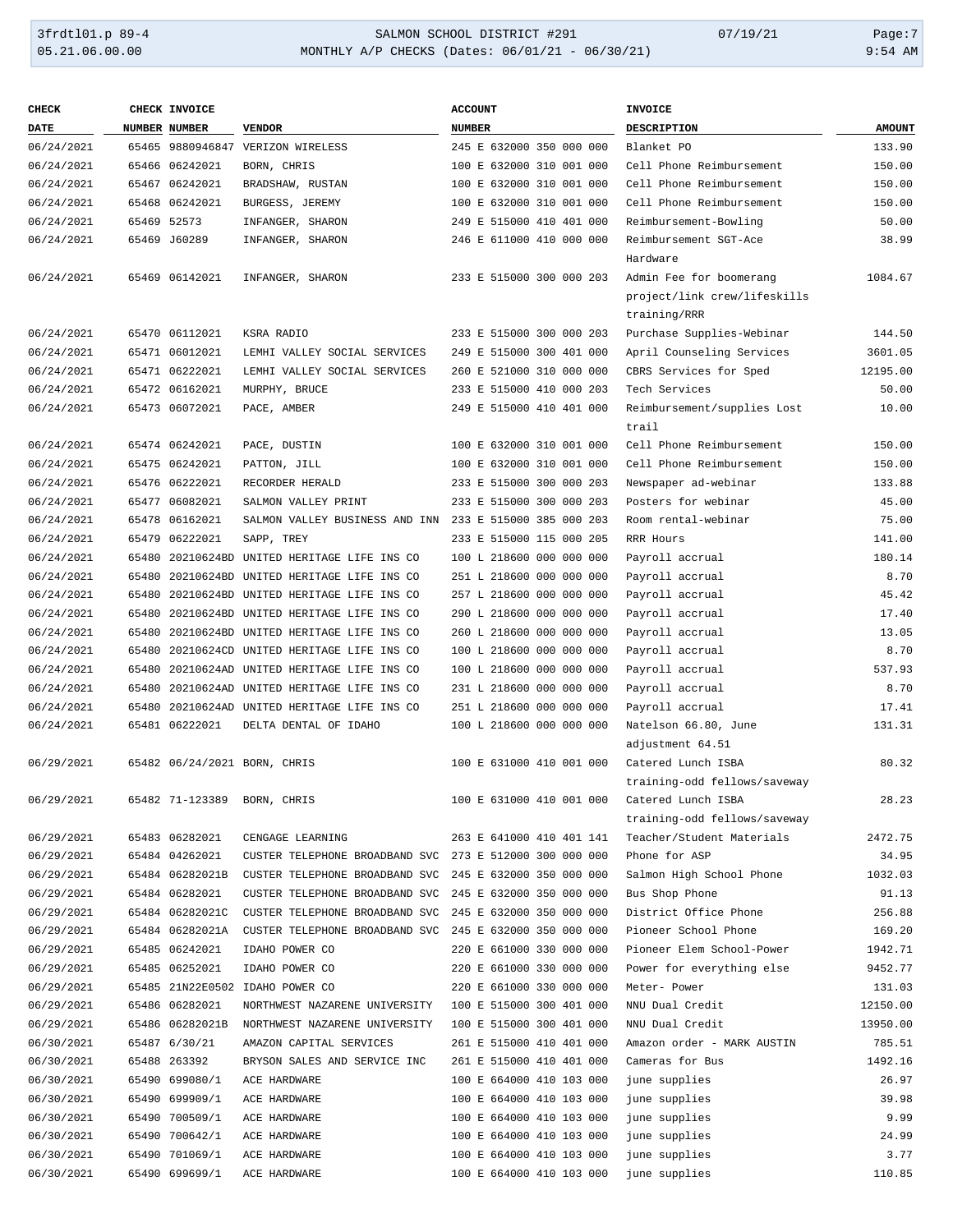## 3frdtl01.p 89-4 SALMON SCHOOL DISTRICT #291 07/19/21 Page:7 MONTHLY A/P CHECKS (Dates: 06/01/21 - 06/30/21)

| <b>CHECK</b> | CHECK INVOICE   |                                                         | <b>ACCOUNT</b>           | INVOICE                      |               |
|--------------|-----------------|---------------------------------------------------------|--------------------------|------------------------------|---------------|
| DATE         | NUMBER NUMBER   | <b>VENDOR</b>                                           | <b>NUMBER</b>            | DESCRIPTION                  | <b>AMOUNT</b> |
| 06/24/2021   |                 | 65465 9880946847 VERIZON WIRELESS                       | 245 E 632000 350 000 000 | Blanket PO                   | 133.90        |
| 06/24/2021   | 65466 06242021  | BORN, CHRIS                                             | 100 E 632000 310 001 000 | Cell Phone Reimbursement     | 150.00        |
| 06/24/2021   | 65467 06242021  | BRADSHAW, RUSTAN                                        | 100 E 632000 310 001 000 | Cell Phone Reimbursement     | 150.00        |
| 06/24/2021   | 65468 06242021  | BURGESS, JEREMY                                         | 100 E 632000 310 001 000 | Cell Phone Reimbursement     | 150.00        |
| 06/24/2021   | 65469 52573     | INFANGER, SHARON                                        | 249 E 515000 410 401 000 | Reimbursement-Bowling        | 50.00         |
| 06/24/2021   | 65469 J60289    | INFANGER, SHARON                                        | 246 E 611000 410 000 000 | Reimbursement SGT-Ace        | 38.99         |
|              |                 |                                                         |                          | Hardware                     |               |
| 06/24/2021   | 65469 06142021  | INFANGER, SHARON                                        | 233 E 515000 300 000 203 | Admin Fee for boomerang      | 1084.67       |
|              |                 |                                                         |                          | project/link crew/lifeskills |               |
|              |                 |                                                         |                          | training/RRR                 |               |
| 06/24/2021   | 65470 06112021  | KSRA RADIO                                              | 233 E 515000 300 000 203 | Purchase Supplies-Webinar    | 144.50        |
| 06/24/2021   | 65471 06012021  | LEMHI VALLEY SOCIAL SERVICES                            | 249 E 515000 300 401 000 | April Counseling Services    | 3601.05       |
| 06/24/2021   | 65471 06222021  | LEMHI VALLEY SOCIAL SERVICES                            | 260 E 521000 310 000 000 | CBRS Services for Sped       | 12195.00      |
| 06/24/2021   | 65472 06162021  | MURPHY, BRUCE                                           | 233 E 515000 410 000 203 | Tech Services                | 50.00         |
| 06/24/2021   | 65473 06072021  | PACE, AMBER                                             | 249 E 515000 410 401 000 | Reimbursement/supplies Lost  | 10.00         |
|              |                 |                                                         |                          | trail                        |               |
| 06/24/2021   | 65474 06242021  | PACE, DUSTIN                                            | 100 E 632000 310 001 000 | Cell Phone Reimbursement     | 150.00        |
| 06/24/2021   | 65475 06242021  | PATTON, JILL                                            | 100 E 632000 310 001 000 | Cell Phone Reimbursement     | 150.00        |
| 06/24/2021   | 65476 06222021  | RECORDER HERALD                                         | 233 E 515000 300 000 203 | Newspaper ad-webinar         | 133.88        |
| 06/24/2021   | 65477 06082021  | SALMON VALLEY PRINT                                     | 233 E 515000 300 000 203 | Posters for webinar          | 45.00         |
| 06/24/2021   | 65478 06162021  | SALMON VALLEY BUSINESS AND INN 233 E 515000 385 000 203 |                          | Room rental-webinar          | 75.00         |
| 06/24/2021   | 65479 06222021  | SAPP, TREY                                              | 233 E 515000 115 000 205 | RRR Hours                    | 141.00        |
| 06/24/2021   |                 | 65480 20210624BD UNITED HERITAGE LIFE INS CO            | 100 L 218600 000 000 000 | Payroll accrual              | 180.14        |
| 06/24/2021   |                 | 65480 20210624BD UNITED HERITAGE LIFE INS CO            | 251 L 218600 000 000 000 | Payroll accrual              | 8.70          |
| 06/24/2021   |                 | 65480 20210624BD UNITED HERITAGE LIFE INS CO            | 257 L 218600 000 000 000 | Payroll accrual              | 45.42         |
| 06/24/2021   |                 | 65480 20210624BD UNITED HERITAGE LIFE INS CO            | 290 L 218600 000 000 000 | Payroll accrual              | 17.40         |
| 06/24/2021   |                 | 65480 20210624BD UNITED HERITAGE LIFE INS CO            | 260 L 218600 000 000 000 | Payroll accrual              | 13.05         |
| 06/24/2021   |                 | 65480 20210624CD UNITED HERITAGE LIFE INS CO            | 100 L 218600 000 000 000 | Payroll accrual              | 8.70          |
| 06/24/2021   |                 | 65480 20210624AD UNITED HERITAGE LIFE INS CO            | 100 L 218600 000 000 000 | Payroll accrual              | 537.93        |
| 06/24/2021   |                 | 65480 20210624AD UNITED HERITAGE LIFE INS CO            | 231 L 218600 000 000 000 | Payroll accrual              | 8.70          |
| 06/24/2021   |                 | 65480 20210624AD UNITED HERITAGE LIFE INS CO            | 251 L 218600 000 000 000 | Payroll accrual              | 17.41         |
| 06/24/2021   | 65481 06222021  | DELTA DENTAL OF IDAHO                                   | 100 L 218600 000 000 000 | Natelson 66.80, June         | 131.31        |
|              |                 |                                                         |                          | adjustment 64.51             |               |
| 06/29/2021   |                 | 65482 06/24/2021 BORN, CHRIS                            | 100 E 631000 410 001 000 | Catered Lunch ISBA           | 80.32         |
|              |                 |                                                         |                          | training-odd fellows/saveway |               |
| 06/29/2021   | 65482 71-123389 | BORN, CHRIS                                             | 100 E 631000 410 001 000 | Catered Lunch ISBA           | 28.23         |
|              |                 |                                                         |                          | training-odd fellows/saveway |               |
| 06/29/2021   | 65483 06282021  | CENGAGE LEARNING                                        | 263 E 641000 410 401 141 | Teacher/Student Materials    | 2472.75       |
| 06/29/2021   | 65484 04262021  | CUSTER TELEPHONE BROADBAND SVC 273 E 512000 300 000 000 |                          | Phone for ASP                | 34.95         |
| 06/29/2021   | 65484 06282021B | CUSTER TELEPHONE BROADBAND SVC                          | 245 E 632000 350 000 000 | Salmon High School Phone     | 1032.03       |
| 06/29/2021   | 65484 06282021  | CUSTER TELEPHONE BROADBAND SVC                          | 245 E 632000 350 000 000 | Bus Shop Phone               | 91.13         |
| 06/29/2021   | 65484 06282021C | CUSTER TELEPHONE BROADBAND SVC                          | 245 E 632000 350 000 000 | District Office Phone        | 256.88        |
| 06/29/2021   | 65484 06282021A | CUSTER TELEPHONE BROADBAND SVC                          | 245 E 632000 350 000 000 | Pioneer School Phone         | 169.20        |
| 06/29/2021   | 65485 06242021  | IDAHO POWER CO                                          | 220 E 661000 330 000 000 | Pioneer Elem School-Power    | 1942.71       |
| 06/29/2021   | 65485 06252021  | IDAHO POWER CO                                          | 220 E 661000 330 000 000 | Power for everything else    | 9452.77       |
| 06/29/2021   |                 | 65485 21N22E0502 IDAHO POWER CO                         | 220 E 661000 330 000 000 | Meter- Power                 | 131.03        |
| 06/29/2021   | 65486 06282021  | NORTHWEST NAZARENE UNIVERSITY                           | 100 E 515000 300 401 000 | NNU Dual Credit              | 12150.00      |
| 06/29/2021   | 65486 06282021B | NORTHWEST NAZARENE UNIVERSITY                           | 100 E 515000 300 401 000 | NNU Dual Credit              | 13950.00      |
| 06/30/2021   | 65487 6/30/21   | AMAZON CAPITAL SERVICES                                 | 261 E 515000 410 401 000 | Amazon order - MARK AUSTIN   | 785.51        |
| 06/30/2021   | 65488 263392    | BRYSON SALES AND SERVICE INC                            | 261 E 515000 410 401 000 | Cameras for Bus              | 1492.16       |
| 06/30/2021   | 65490 699080/1  | ACE HARDWARE                                            | 100 E 664000 410 103 000 | june supplies                | 26.97         |
| 06/30/2021   | 65490 699909/1  | ACE HARDWARE                                            | 100 E 664000 410 103 000 | june supplies                | 39.98         |
| 06/30/2021   | 65490 700509/1  | ACE HARDWARE                                            | 100 E 664000 410 103 000 | june supplies                | 9.99          |
| 06/30/2021   | 65490 700642/1  | ACE HARDWARE                                            | 100 E 664000 410 103 000 | june supplies                | 24.99         |
| 06/30/2021   | 65490 701069/1  | ACE HARDWARE                                            | 100 E 664000 410 103 000 | june supplies                | 3.77          |
| 06/30/2021   | 65490 699699/1  | ACE HARDWARE                                            | 100 E 664000 410 103 000 | june supplies                | 110.85        |
|              |                 |                                                         |                          |                              |               |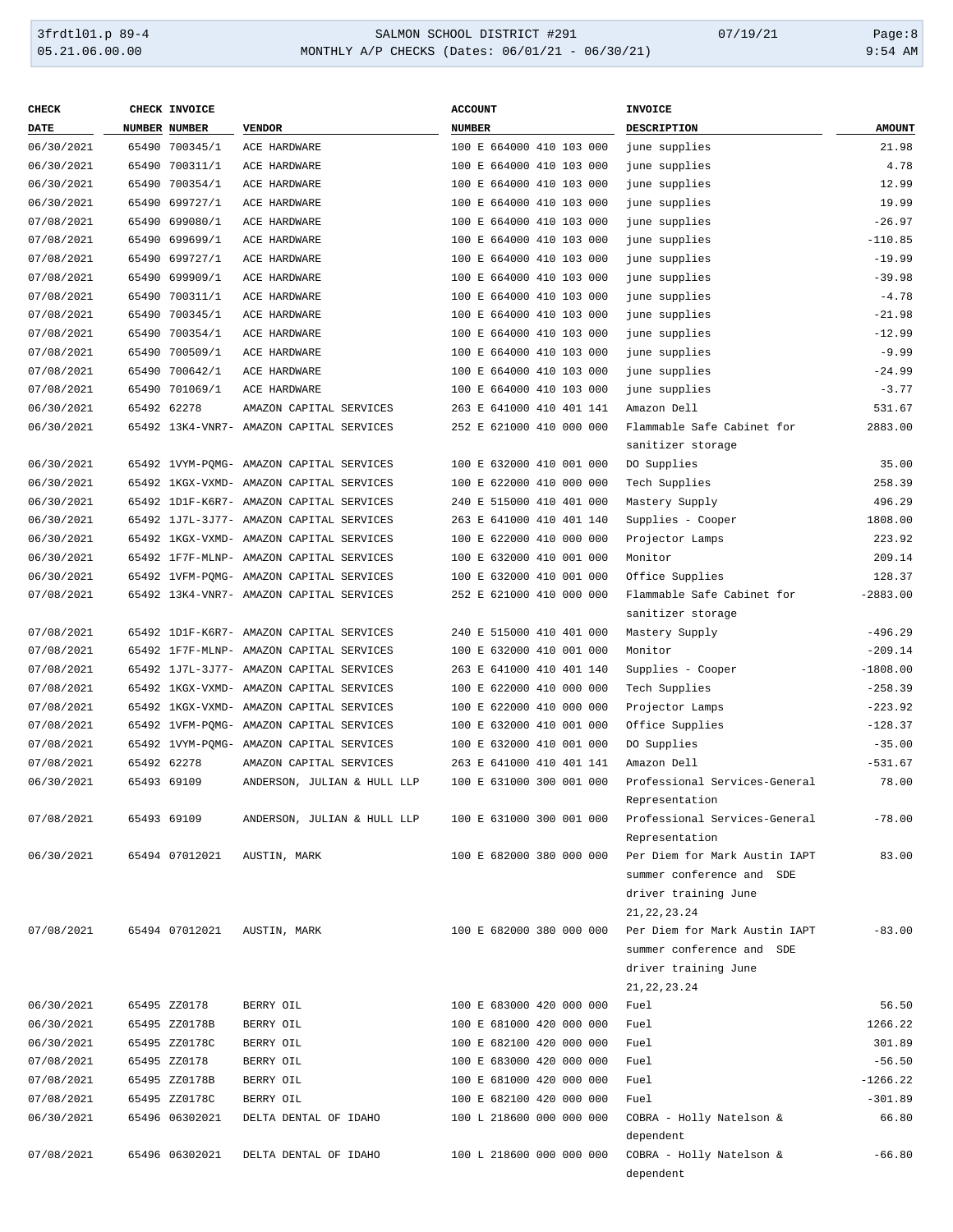#### 3frdtl01.p 89-4 <br>
354 MONTHLY A/P CHECKS (Dates: 06/01/21 - 06/30/21) 07/19/21 Page:8<br>
9:54 AM و9:54 MONTHLY A/P CHECKS (Dates: 06/01/21 - 06/30/21) MONTHLY A/P CHECKS (Dates: 06/01/21 - 06/30/21)

| <b>CHECK</b> | CHECK INVOICE        |                                          | <b>ACCOUNT</b>              | INVOICE                                         |               |
|--------------|----------------------|------------------------------------------|-----------------------------|-------------------------------------------------|---------------|
| DATE         | <b>NUMBER NUMBER</b> | <b>VENDOR</b>                            | <b>NUMBER</b>               | DESCRIPTION                                     | <b>AMOUNT</b> |
| 06/30/2021   | 65490 700345/1       | ACE HARDWARE                             | 100 E 664000 410 103 000    | june supplies                                   | 21.98         |
| 06/30/2021   | 65490 700311/1       | ACE HARDWARE                             | 100 E 664000 410 103 000    | june supplies                                   | 4.78          |
| 06/30/2021   | 65490 700354/1       | ACE HARDWARE                             | 100 E 664000 410 103 000    | june supplies                                   | 12.99         |
| 06/30/2021   | 65490 699727/1       | ACE HARDWARE                             | 100 E 664000 410 103 000    | june supplies                                   | 19.99         |
| 07/08/2021   | 65490 699080/1       | ACE HARDWARE                             | 100 E 664000 410 103 000    | june supplies                                   | $-26.97$      |
| 07/08/2021   | 65490 699699/1       | ACE HARDWARE                             | 100 E 664000 410 103 000    | june supplies                                   | $-110.85$     |
| 07/08/2021   | 65490 699727/1       | ACE HARDWARE                             | 100 E 664000 410 103 000    | june supplies                                   | $-19.99$      |
| 07/08/2021   | 65490 699909/1       | ACE HARDWARE                             | 100 E 664000 410 103 000    | june supplies                                   | $-39.98$      |
| 07/08/2021   |                      | ACE HARDWARE                             | 100 E 664000 410 103 000    | june supplies                                   | $-4.78$       |
|              | 65490 700311/1       | ACE HARDWARE                             |                             |                                                 |               |
| 07/08/2021   | 65490 700345/1       |                                          | 100 E 664000 410 103 000    | june supplies                                   | $-21.98$      |
| 07/08/2021   | 65490 700354/1       | ACE HARDWARE                             | 100 E 664000 410 103 000    | june supplies                                   | $-12.99$      |
| 07/08/2021   | 65490 700509/1       | ACE HARDWARE                             | 100 E 664000 410 103 000    | june supplies                                   | $-9.99$       |
| 07/08/2021   | 65490 700642/1       | ACE HARDWARE                             | 100 E 664000 410 103 000    | june supplies                                   | $-24.99$      |
| 07/08/2021   | 65490 701069/1       | ACE HARDWARE                             | 100 E 664000 410 103 000    | june supplies                                   | $-3.77$       |
| 06/30/2021   | 65492 62278          | AMAZON CAPITAL SERVICES                  | 263 E 641000 410 401 141    | Amazon Dell                                     | 531.67        |
| 06/30/2021   |                      | 65492 13K4-VNR7- AMAZON CAPITAL SERVICES | 252 E 621000 410 000 000    | Flammable Safe Cabinet for<br>sanitizer storage | 2883.00       |
| 06/30/2021   |                      | 65492 1VYM-POMG- AMAZON CAPITAL SERVICES | 100 E 632000 410 001 000    | DO Supplies                                     | 35.00         |
| 06/30/2021   |                      | 65492 1KGX-VXMD- AMAZON CAPITAL SERVICES | 100 E 622000 410 000 000    | Tech Supplies                                   | 258.39        |
| 06/30/2021   |                      | 65492 1D1F-K6R7- AMAZON CAPITAL SERVICES | 240 E 515000 410 401 000    | Mastery Supply                                  | 496.29        |
| 06/30/2021   |                      | 65492 1J7L-3J77- AMAZON CAPITAL SERVICES | 263 E 641000 410 401 140    | Supplies - Cooper                               | 1808.00       |
| 06/30/2021   |                      | 65492 1KGX-VXMD- AMAZON CAPITAL SERVICES | 100 E 622000 410 000 000    | Projector Lamps                                 | 223.92        |
| 06/30/2021   |                      | 65492 1F7F-MLNP- AMAZON CAPITAL SERVICES | 100 E 632000 410 001 000    | Monitor                                         | 209.14        |
| 06/30/2021   |                      | 65492 1VFM-PQMG- AMAZON CAPITAL SERVICES | 100 E 632000 410 001 000    | Office Supplies                                 | 128.37        |
| 07/08/2021   |                      | 65492 13K4-VNR7- AMAZON CAPITAL SERVICES | 252 E 621000 410 000 000    | Flammable Safe Cabinet for                      | $-2883.00$    |
|              |                      |                                          |                             | sanitizer storage                               |               |
| 07/08/2021   |                      | 65492 1D1F-K6R7- AMAZON CAPITAL SERVICES | 240 E 515000 410 401 000    | Mastery Supply                                  | $-496.29$     |
| 07/08/2021   |                      | 65492 1F7F-MLNP- AMAZON CAPITAL SERVICES | 100 E 632000 410 001 000    | Monitor                                         | $-209.14$     |
| 07/08/2021   |                      | 65492 1J7L-3J77- AMAZON CAPITAL SERVICES | 263 E 641000 410 401 140    | Supplies - Cooper                               | $-1808.00$    |
| 07/08/2021   |                      | 65492 1KGX-VXMD- AMAZON CAPITAL SERVICES | E 622000 410 000 000<br>100 | Tech Supplies                                   | $-258.39$     |
| 07/08/2021   |                      | 65492 1KGX-VXMD- AMAZON CAPITAL SERVICES | E 622000 410 000 000<br>100 | Projector Lamps                                 | $-223.92$     |
| 07/08/2021   |                      | 65492 1VFM-PQMG- AMAZON CAPITAL SERVICES | 100 E 632000 410 001 000    | Office Supplies                                 | $-128.37$     |
| 07/08/2021   |                      | 65492 1VYM-PQMG- AMAZON CAPITAL SERVICES | 100 E 632000 410 001 000    | DO Supplies                                     | $-35.00$      |
| 07/08/2021   | 65492 62278          | AMAZON CAPITAL SERVICES                  | 263 E 641000 410 401 141    | Amazon Dell                                     | $-531.67$     |
| 06/30/2021   | 65493 69109          | ANDERSON, JULIAN & HULL LLP              | 100 E 631000 300 001 000    | Professional Services-General                   | 78.00         |
|              |                      |                                          |                             | Representation                                  |               |
| 07/08/2021   | 65493 69109          | ANDERSON, JULIAN & HULL LLP              | 100 E 631000 300 001 000    | Professional Services-General                   | $-78.00$      |
|              |                      |                                          |                             | Representation                                  |               |
| 06/30/2021   | 65494 07012021       | AUSTIN, MARK                             | 100 E 682000 380 000 000    | Per Diem for Mark Austin IAPT                   | 83.00         |
|              |                      |                                          |                             | summer conference and SDE                       |               |
|              |                      |                                          |                             |                                                 |               |
|              |                      |                                          |                             | driver training June                            |               |
| 07/08/2021   |                      | AUSTIN, MARK                             | 100 E 682000 380 000 000    | 21, 22, 23. 24<br>Per Diem for Mark Austin IAPT | $-83.00$      |
|              | 65494 07012021       |                                          |                             |                                                 |               |
|              |                      |                                          |                             | summer conference and SDE                       |               |
|              |                      |                                          |                             | driver training June                            |               |
|              |                      |                                          |                             | 21, 22, 23. 24                                  |               |
| 06/30/2021   | 65495 ZZ0178         | BERRY OIL                                | 100 E 683000 420 000 000    | Fuel                                            | 56.50         |
| 06/30/2021   | 65495 ZZ0178B        | BERRY OIL                                | 100 E 681000 420 000 000    | Fuel                                            | 1266.22       |
| 06/30/2021   | 65495 ZZ0178C        | BERRY OIL                                | 100 E 682100 420 000 000    | Fuel                                            | 301.89        |
| 07/08/2021   | 65495 ZZ0178         | BERRY OIL                                | 100 E 683000 420 000 000    | Fuel                                            | $-56.50$      |
| 07/08/2021   | 65495 ZZ0178B        | BERRY OIL                                | 100 E 681000 420 000 000    | Fuel                                            | $-1266.22$    |
| 07/08/2021   | 65495 ZZ0178C        | BERRY OIL                                | 100 E 682100 420 000 000    | Fuel                                            | $-301.89$     |
| 06/30/2021   | 65496 06302021       | DELTA DENTAL OF IDAHO                    | 100 L 218600 000 000 000    | COBRA - Holly Natelson &                        | 66.80         |
|              |                      |                                          |                             | dependent                                       |               |
| 07/08/2021   | 65496 06302021       | DELTA DENTAL OF IDAHO                    | 100 L 218600 000 000 000    | COBRA - Holly Natelson &                        | $-66.80$      |
|              |                      |                                          |                             | dependent                                       |               |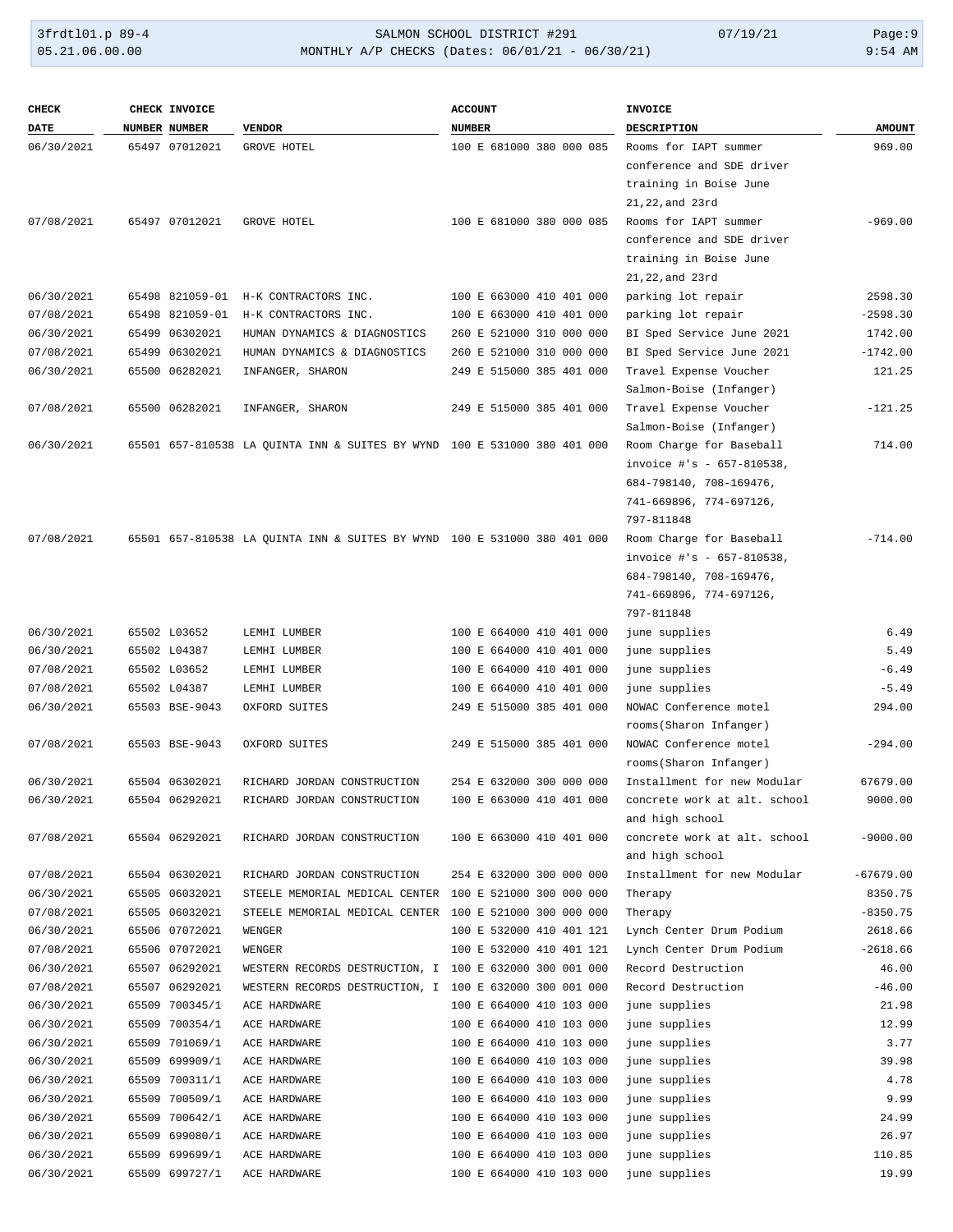| <b>CHECK</b> | CHECK INVOICE   |                                                                          | <b>ACCOUNT</b>           | <b>INVOICE</b>               |               |
|--------------|-----------------|--------------------------------------------------------------------------|--------------------------|------------------------------|---------------|
| <b>DATE</b>  | NUMBER NUMBER   | <b>VENDOR</b>                                                            | <b>NUMBER</b>            | DESCRIPTION                  | <b>AMOUNT</b> |
| 06/30/2021   | 65497 07012021  | GROVE HOTEL                                                              | 100 E 681000 380 000 085 | Rooms for IAPT summer        | 969.00        |
|              |                 |                                                                          |                          | conference and SDE driver    |               |
|              |                 |                                                                          |                          | training in Boise June       |               |
|              |                 |                                                                          |                          | 21,22, and 23rd              |               |
| 07/08/2021   | 65497 07012021  | GROVE HOTEL                                                              | 100 E 681000 380 000 085 | Rooms for IAPT summer        | $-969.00$     |
|              |                 |                                                                          |                          | conference and SDE driver    |               |
|              |                 |                                                                          |                          | training in Boise June       |               |
|              |                 |                                                                          |                          | 21,22, and 23rd              |               |
| 06/30/2021   | 65498 821059-01 | H-K CONTRACTORS INC.                                                     | 100 E 663000 410 401 000 | parking lot repair           | 2598.30       |
| 07/08/2021   | 65498 821059-01 | H-K CONTRACTORS INC.                                                     | 100 E 663000 410 401 000 | parking lot repair           | $-2598.30$    |
| 06/30/2021   | 65499 06302021  | HUMAN DYNAMICS & DIAGNOSTICS                                             | 260 E 521000 310 000 000 | BI Sped Service June 2021    | 1742.00       |
| 07/08/2021   | 65499 06302021  | HUMAN DYNAMICS & DIAGNOSTICS                                             | 260 E 521000 310 000 000 | BI Sped Service June 2021    | $-1742.00$    |
| 06/30/2021   | 65500 06282021  | INFANGER, SHARON                                                         | 249 E 515000 385 401 000 | Travel Expense Voucher       | 121.25        |
|              |                 |                                                                          |                          | Salmon-Boise (Infanger)      |               |
| 07/08/2021   | 65500 06282021  | INFANGER, SHARON                                                         | 249 E 515000 385 401 000 | Travel Expense Voucher       | $-121.25$     |
|              |                 |                                                                          |                          | Salmon-Boise (Infanger)      |               |
| 06/30/2021   |                 | 65501 657-810538 LA QUINTA INN & SUITES BY WYND 100 E 531000 380 401 000 |                          | Room Charge for Baseball     | 714.00        |
|              |                 |                                                                          |                          | invoice #'s - 657-810538,    |               |
|              |                 |                                                                          |                          | 684-798140, 708-169476,      |               |
|              |                 |                                                                          |                          | 741-669896, 774-697126,      |               |
|              |                 |                                                                          |                          | 797-811848                   |               |
| 07/08/2021   |                 | 65501 657-810538 LA QUINTA INN & SUITES BY WYND 100 E 531000 380 401 000 |                          | Room Charge for Baseball     | $-714.00$     |
|              |                 |                                                                          |                          | invoice #'s - 657-810538,    |               |
|              |                 |                                                                          |                          | 684-798140, 708-169476,      |               |
|              |                 |                                                                          |                          | 741-669896, 774-697126,      |               |
|              |                 |                                                                          |                          | 797-811848                   |               |
| 06/30/2021   | 65502 L03652    | LEMHI LUMBER                                                             | 100 E 664000 410 401 000 | june supplies                | 6.49          |
| 06/30/2021   | 65502 L04387    | LEMHI LUMBER                                                             | 100 E 664000 410 401 000 | june supplies                | 5.49          |
| 07/08/2021   | 65502 L03652    | LEMHI LUMBER                                                             | 100 E 664000 410 401 000 | june supplies                | $-6.49$       |
| 07/08/2021   | 65502 L04387    | LEMHI LUMBER                                                             | 100 E 664000 410 401 000 | june supplies                | $-5.49$       |
| 06/30/2021   | 65503 BSE-9043  | OXFORD SUITES                                                            | 249 E 515000 385 401 000 | NOWAC Conference motel       | 294.00        |
|              |                 |                                                                          |                          | rooms (Sharon Infanger)      |               |
| 07/08/2021   | 65503 BSE-9043  | OXFORD SUITES                                                            | 249 E 515000 385 401 000 | NOWAC Conference motel       | $-294.00$     |
|              |                 |                                                                          |                          | rooms (Sharon Infanger)      |               |
| 06/30/2021   | 65504 06302021  | RICHARD JORDAN CONSTRUCTION                                              | 254 E 632000 300 000 000 | Installment for new Modular  | 67679.00      |
| 06/30/2021   | 65504 06292021  | RICHARD JORDAN CONSTRUCTION                                              | 100 E 663000 410 401 000 | concrete work at alt. school | 9000.00       |
|              |                 |                                                                          |                          | and high school              |               |
| 07/08/2021   | 65504 06292021  | RICHARD JORDAN CONSTRUCTION                                              | 100 E 663000 410 401 000 | concrete work at alt. school | $-9000.00$    |
|              |                 |                                                                          |                          | and high school              |               |
| 07/08/2021   | 65504 06302021  | RICHARD JORDAN CONSTRUCTION                                              | 254 E 632000 300 000 000 | Installment for new Modular  | $-67679.00$   |
| 06/30/2021   | 65505 06032021  | STEELE MEMORIAL MEDICAL CENTER                                           | 100 E 521000 300 000 000 | Therapy                      | 8350.75       |
| 07/08/2021   | 65505 06032021  | STEELE MEMORIAL MEDICAL CENTER                                           | 100 E 521000 300 000 000 | Therapy                      | $-8350.75$    |
| 06/30/2021   | 65506 07072021  | WENGER                                                                   | 100 E 532000 410 401 121 | Lynch Center Drum Podium     | 2618.66       |
| 07/08/2021   | 65506 07072021  | WENGER                                                                   | 100 E 532000 410 401 121 | Lynch Center Drum Podium     | $-2618.66$    |
| 06/30/2021   | 65507 06292021  | WESTERN RECORDS DESTRUCTION, I 100 E 632000 300 001 000                  |                          | Record Destruction           | 46.00         |
| 07/08/2021   | 65507 06292021  | WESTERN RECORDS DESTRUCTION, I                                           | 100 E 632000 300 001 000 | Record Destruction           | $-46.00$      |
| 06/30/2021   | 65509 700345/1  | ACE HARDWARE                                                             | 100 E 664000 410 103 000 | june supplies                | 21.98         |
| 06/30/2021   | 65509 700354/1  | ACE HARDWARE                                                             | 100 E 664000 410 103 000 | june supplies                | 12.99         |
| 06/30/2021   | 65509 701069/1  | ACE HARDWARE                                                             | 100 E 664000 410 103 000 | june supplies                | 3.77          |
| 06/30/2021   | 65509 699909/1  | ACE HARDWARE                                                             | 100 E 664000 410 103 000 | june supplies                | 39.98         |
| 06/30/2021   | 65509 700311/1  | ACE HARDWARE                                                             | 100 E 664000 410 103 000 | june supplies                | 4.78          |
| 06/30/2021   | 65509 700509/1  | ACE HARDWARE                                                             | 100 E 664000 410 103 000 | june supplies                | 9.99          |
| 06/30/2021   | 65509 700642/1  | ACE HARDWARE                                                             | 100 E 664000 410 103 000 | june supplies                | 24.99         |
| 06/30/2021   | 65509 699080/1  | ACE HARDWARE                                                             | 100 E 664000 410 103 000 | june supplies                | 26.97         |
| 06/30/2021   | 65509 699699/1  | ACE HARDWARE                                                             | 100 E 664000 410 103 000 | june supplies                | 110.85        |
| 06/30/2021   | 65509 699727/1  | ACE HARDWARE                                                             | 100 E 664000 410 103 000 | june supplies                | 19.99         |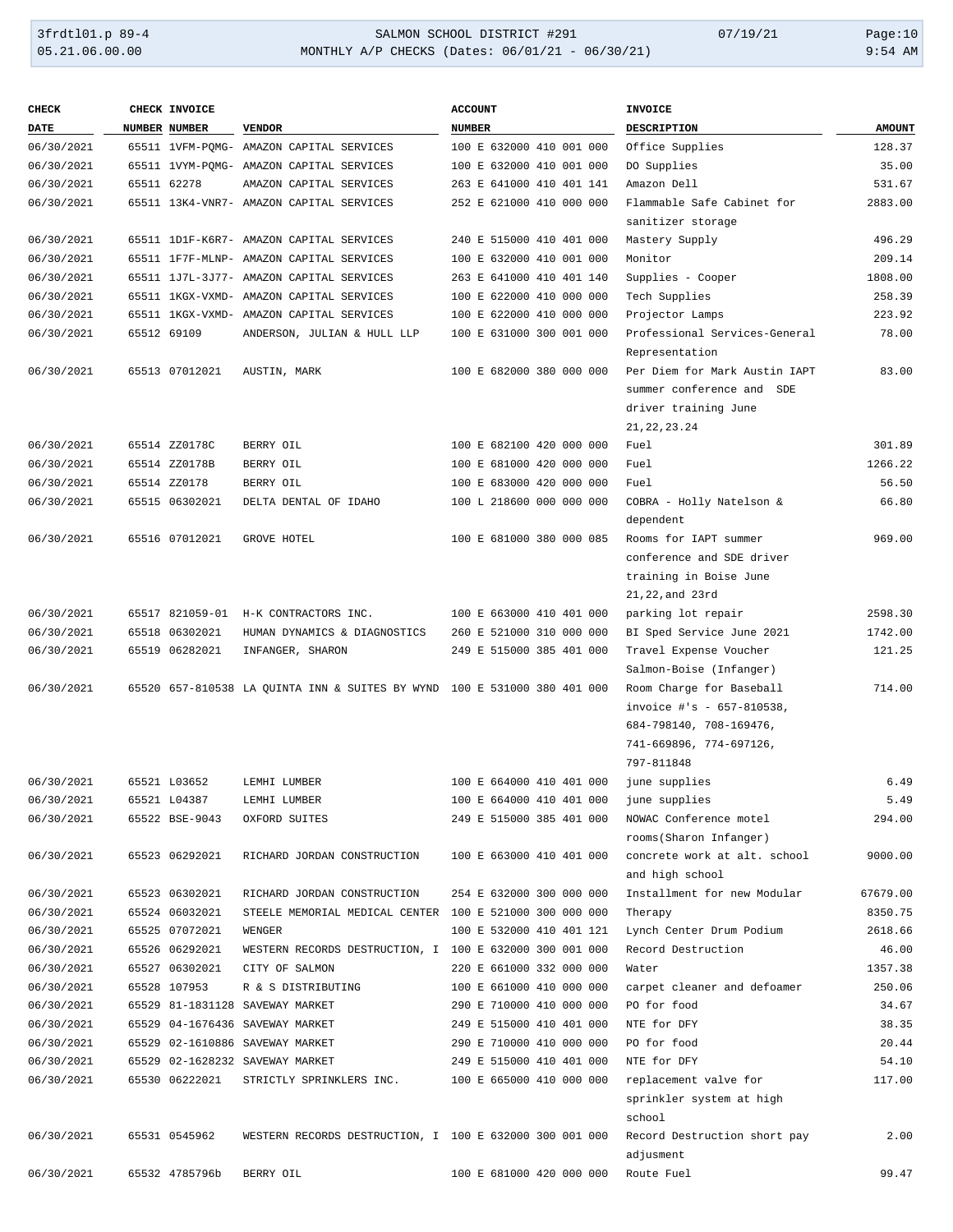#### 3frdtl01.p 89-4 SALMON SCHOOL DISTRICT #291 07/19/21 Page:10 05.21.06.00.00 MONTHLY A/P CHECKS (Dates: 06/01/21 - 06/30/21) 9:54 AM

|  | 9:54 AM |
|--|---------|

| <b>CHECK</b> | CHECK INVOICE        |                                                                          | <b>ACCOUNT</b>           | <b>INVOICE</b>                |               |
|--------------|----------------------|--------------------------------------------------------------------------|--------------------------|-------------------------------|---------------|
| <b>DATE</b>  | <b>NUMBER NUMBER</b> | <b>VENDOR</b>                                                            | <b>NUMBER</b>            | <b>DESCRIPTION</b>            | <b>AMOUNT</b> |
| 06/30/2021   |                      | 65511 1VFM-PQMG- AMAZON CAPITAL SERVICES                                 | 100 E 632000 410 001 000 | Office Supplies               | 128.37        |
| 06/30/2021   |                      | 65511 1VYM-PQMG- AMAZON CAPITAL SERVICES                                 | 100 E 632000 410 001 000 | DO Supplies                   | 35.00         |
| 06/30/2021   | 65511 62278          | AMAZON CAPITAL SERVICES                                                  | 263 E 641000 410 401 141 | Amazon Dell                   | 531.67        |
| 06/30/2021   |                      | 65511 13K4-VNR7- AMAZON CAPITAL SERVICES                                 | 252 E 621000 410 000 000 | Flammable Safe Cabinet for    | 2883.00       |
|              |                      |                                                                          |                          | sanitizer storage             |               |
| 06/30/2021   |                      | 65511 1D1F-K6R7- AMAZON CAPITAL SERVICES                                 | 240 E 515000 410 401 000 | Mastery Supply                | 496.29        |
| 06/30/2021   |                      | 65511 1F7F-MLNP- AMAZON CAPITAL SERVICES                                 | 100 E 632000 410 001 000 | Monitor                       | 209.14        |
| 06/30/2021   |                      | 65511 1J7L-3J77- AMAZON CAPITAL SERVICES                                 | 263 E 641000 410 401 140 | Supplies - Cooper             | 1808.00       |
| 06/30/2021   |                      | 65511 1KGX-VXMD- AMAZON CAPITAL SERVICES                                 | 100 E 622000 410 000 000 | Tech Supplies                 | 258.39        |
| 06/30/2021   |                      | 65511 1KGX-VXMD- AMAZON CAPITAL SERVICES                                 | 100 E 622000 410 000 000 | Projector Lamps               | 223.92        |
| 06/30/2021   | 65512 69109          | ANDERSON, JULIAN & HULL LLP                                              | 100 E 631000 300 001 000 | Professional Services-General | 78.00         |
|              |                      |                                                                          |                          | Representation                |               |
| 06/30/2021   | 65513 07012021       | AUSTIN, MARK                                                             | 100 E 682000 380 000 000 | Per Diem for Mark Austin IAPT | 83.00         |
|              |                      |                                                                          |                          | summer conference and SDE     |               |
|              |                      |                                                                          |                          | driver training June          |               |
|              |                      |                                                                          |                          | 21, 22, 23. 24                |               |
| 06/30/2021   | 65514 ZZ0178C        | BERRY OIL                                                                | 100 E 682100 420 000 000 | Fuel                          | 301.89        |
| 06/30/2021   | 65514 ZZ0178B        | BERRY OIL                                                                | 100 E 681000 420 000 000 | Fuel                          | 1266.22       |
| 06/30/2021   | 65514 ZZ0178         | BERRY OIL                                                                | 100 E 683000 420 000 000 | Fuel                          | 56.50         |
| 06/30/2021   | 65515 06302021       | DELTA DENTAL OF IDAHO                                                    | 100 L 218600 000 000 000 | COBRA - Holly Natelson &      | 66.80         |
|              |                      |                                                                          |                          | dependent                     |               |
| 06/30/2021   | 65516 07012021       | GROVE HOTEL                                                              | 100 E 681000 380 000 085 | Rooms for IAPT summer         | 969.00        |
|              |                      |                                                                          |                          | conference and SDE driver     |               |
|              |                      |                                                                          |                          | training in Boise June        |               |
|              |                      |                                                                          |                          | 21,22, and 23rd               |               |
| 06/30/2021   | 65517 821059-01      | H-K CONTRACTORS INC.                                                     | 100 E 663000 410 401 000 | parking lot repair            | 2598.30       |
| 06/30/2021   | 65518 06302021       | HUMAN DYNAMICS & DIAGNOSTICS                                             | 260 E 521000 310 000 000 | BI Sped Service June 2021     | 1742.00       |
| 06/30/2021   | 65519 06282021       | INFANGER, SHARON                                                         | 249 E 515000 385 401 000 | Travel Expense Voucher        | 121.25        |
|              |                      |                                                                          |                          | Salmon-Boise (Infanger)       |               |
| 06/30/2021   |                      | 65520 657-810538 LA QUINTA INN & SUITES BY WYND 100 E 531000 380 401 000 |                          | Room Charge for Baseball      | 714.00        |
|              |                      |                                                                          |                          | invoice #'s - 657-810538,     |               |
|              |                      |                                                                          |                          | 684-798140, 708-169476,       |               |
|              |                      |                                                                          |                          | 741-669896, 774-697126,       |               |
|              |                      |                                                                          |                          | 797-811848                    |               |
| 06/30/2021   | 65521 L03652         | LEMHI LUMBER                                                             | 100 E 664000 410 401 000 | june supplies                 | 6.49          |
| 06/30/2021   | 65521 L04387         | LEMHI LUMBER                                                             | 100 E 664000 410 401 000 | june supplies                 | 5.49          |
| 06/30/2021   | 65522 BSE-9043       | OXFORD SUITES                                                            | 249 E 515000 385 401 000 | NOWAC Conference motel        | 294.00        |
|              |                      |                                                                          |                          | rooms (Sharon Infanger)       |               |
| 06/30/2021   | 65523 06292021       | RICHARD JORDAN CONSTRUCTION                                              | 100 E 663000 410 401 000 | concrete work at alt. school  | 9000.00       |
|              |                      |                                                                          |                          | and high school               |               |
| 06/30/2021   | 65523 06302021       | RICHARD JORDAN CONSTRUCTION                                              | 254 E 632000 300 000 000 | Installment for new Modular   | 67679.00      |
| 06/30/2021   | 65524 06032021       | STEELE MEMORIAL MEDICAL CENTER                                           | 100 E 521000 300 000 000 | Therapy                       | 8350.75       |
| 06/30/2021   | 65525 07072021       | WENGER                                                                   | 100 E 532000 410 401 121 | Lynch Center Drum Podium      | 2618.66       |
| 06/30/2021   | 65526 06292021       | WESTERN RECORDS DESTRUCTION, I                                           | 100 E 632000 300 001 000 | Record Destruction            | 46.00         |
| 06/30/2021   | 65527 06302021       | CITY OF SALMON                                                           | 220 E 661000 332 000 000 | Water                         | 1357.38       |
| 06/30/2021   | 65528 107953         | R & S DISTRIBUTING                                                       | 100 E 661000 410 000 000 | carpet cleaner and defoamer   | 250.06        |
| 06/30/2021   |                      | 65529 81-1831128 SAVEWAY MARKET                                          | 290 E 710000 410 000 000 | PO for food                   | 34.67         |
| 06/30/2021   |                      | 65529 04-1676436 SAVEWAY MARKET                                          | 249 E 515000 410 401 000 | NTE for DFY                   | 38.35         |
| 06/30/2021   |                      | 65529 02-1610886 SAVEWAY MARKET                                          | 290 E 710000 410 000 000 | PO for food                   | 20.44         |
| 06/30/2021   |                      | 65529 02-1628232 SAVEWAY MARKET                                          | 249 E 515000 410 401 000 | NTE for DFY                   | 54.10         |
| 06/30/2021   | 65530 06222021       | STRICTLY SPRINKLERS INC.                                                 | 100 E 665000 410 000 000 | replacement valve for         | 117.00        |
|              |                      |                                                                          |                          | sprinkler system at high      |               |
|              |                      |                                                                          |                          | school                        |               |
| 06/30/2021   | 65531 0545962        | WESTERN RECORDS DESTRUCTION, I 100 E 632000 300 001 000                  |                          | Record Destruction short pay  | 2.00          |
|              |                      |                                                                          |                          | adjusment                     |               |
| 06/30/2021   | 65532 4785796b       | BERRY OIL                                                                | 100 E 681000 420 000 000 | Route Fuel                    | 99.47         |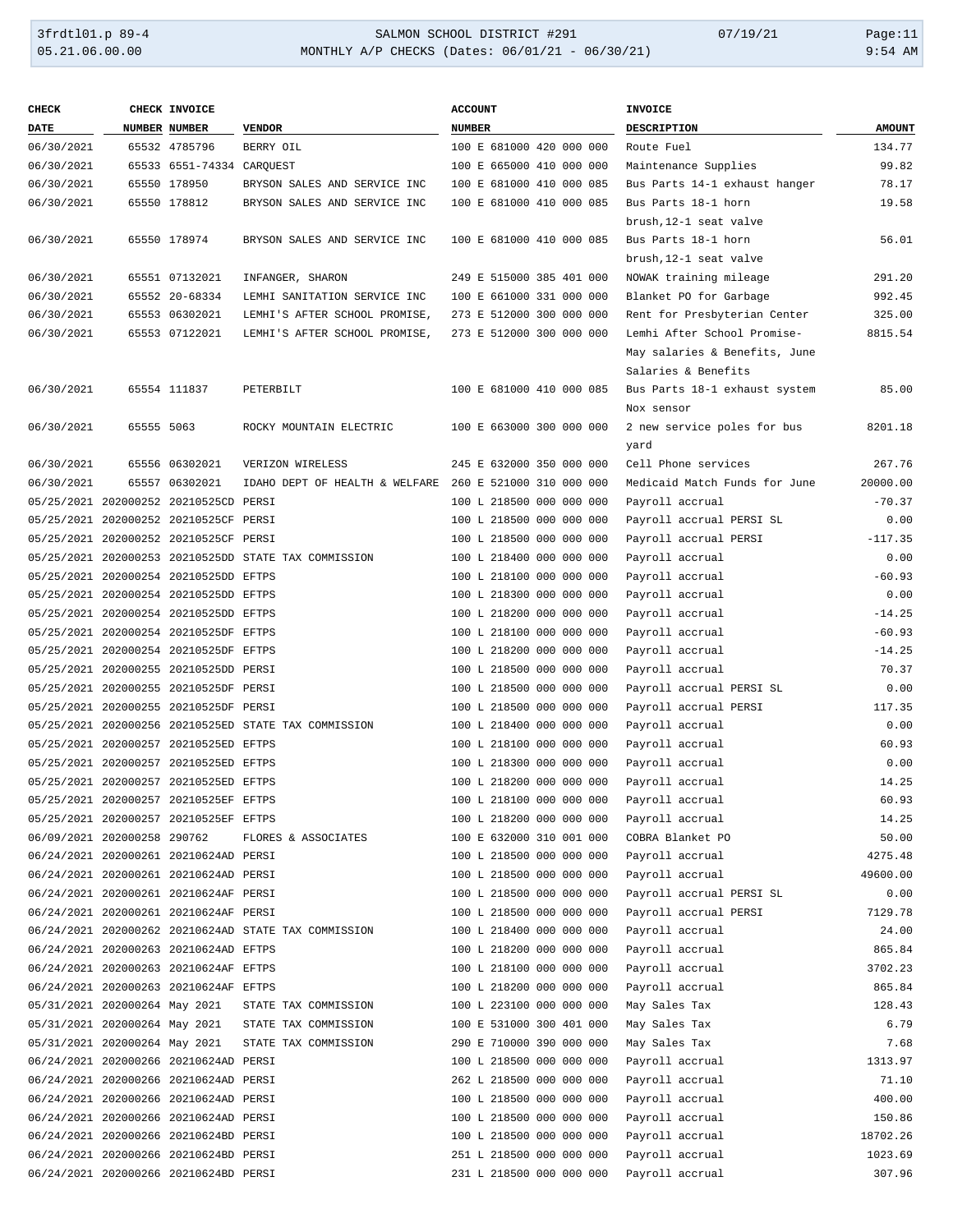# 3frdtl01.p 89-4 <br>
34LMON SCHOOL DISTRICT #291 07/19/21 Page:11<br>
354 AM
05.21.06.00.00 MONTHLY A/P CHECKS (Dates: 06/01/21 - 06/30/21) MONTHLY A/P CHECKS (Dates: 06/01/21 - 06/30/21)

| <b>CHECK</b>                  |            | CHECK INVOICE                         |                                                         | <b>ACCOUNT</b>                           | <b>INVOICE</b>                |               |
|-------------------------------|------------|---------------------------------------|---------------------------------------------------------|------------------------------------------|-------------------------------|---------------|
| <b>DATE</b>                   |            | NUMBER NUMBER                         | <b>VENDOR</b>                                           | <b>NUMBER</b>                            | DESCRIPTION                   | <b>AMOUNT</b> |
| 06/30/2021                    |            | 65532 4785796                         | BERRY OIL                                               | 100 E 681000 420 000 000                 | Route Fuel                    | 134.77        |
| 06/30/2021                    |            | 65533 6551-74334 CARQUEST             |                                                         | 100 E 665000 410 000 000                 | Maintenance Supplies          | 99.82         |
| 06/30/2021                    |            | 65550 178950                          | BRYSON SALES AND SERVICE INC                            | 100 E 681000 410 000 085                 | Bus Parts 14-1 exhaust hanger | 78.17         |
| 06/30/2021                    |            | 65550 178812                          | BRYSON SALES AND SERVICE INC                            | 100 E 681000 410 000 085                 | Bus Parts 18-1 horn           | 19.58         |
|                               |            |                                       |                                                         |                                          | brush, 12-1 seat valve        |               |
|                               |            |                                       |                                                         |                                          |                               | 56.01         |
| 06/30/2021                    |            | 65550 178974                          | BRYSON SALES AND SERVICE INC                            | 100 E 681000 410 000 085                 | Bus Parts 18-1 horn           |               |
|                               |            |                                       |                                                         |                                          | brush, 12-1 seat valve        |               |
| 06/30/2021                    |            | 65551 07132021                        | INFANGER, SHARON                                        | 249 E 515000 385 401 000                 | NOWAK training mileage        | 291.20        |
| 06/30/2021                    |            | 65552 20-68334                        | LEMHI SANITATION SERVICE INC                            | 100 E 661000 331 000 000                 | Blanket PO for Garbage        | 992.45        |
| 06/30/2021                    |            | 65553 06302021                        | LEMHI'S AFTER SCHOOL PROMISE,                           | 273 E 512000 300 000 000                 | Rent for Presbyterian Center  | 325.00        |
| 06/30/2021                    |            | 65553 07122021                        | LEMHI'S AFTER SCHOOL PROMISE,                           | 273 E 512000 300 000 000                 | Lemhi After School Promise-   | 8815.54       |
|                               |            |                                       |                                                         |                                          | May salaries & Benefits, June |               |
|                               |            |                                       |                                                         |                                          | Salaries & Benefits           |               |
| 06/30/2021                    |            | 65554 111837                          | PETERBILT                                               | 100 E 681000 410 000 085                 | Bus Parts 18-1 exhaust system | 85.00         |
|                               |            |                                       |                                                         |                                          | Nox sensor                    |               |
| 06/30/2021                    | 65555 5063 |                                       | ROCKY MOUNTAIN ELECTRIC                                 | 100 E 663000 300 000 000                 | 2 new service poles for bus   | 8201.18       |
|                               |            |                                       |                                                         |                                          | yard                          |               |
| 06/30/2021                    |            | 65556 06302021                        | VERIZON WIRELESS                                        | 245 E 632000 350 000 000                 | Cell Phone services           | 267.76        |
| 06/30/2021                    |            | 65557 06302021                        | IDAHO DEPT OF HEALTH & WELFARE 260 E 521000 310 000 000 |                                          | Medicaid Match Funds for June | 20000.00      |
|                               |            | 05/25/2021 202000252 20210525CD PERSI |                                                         | 100 L 218500 000 000 000                 | Payroll accrual               | $-70.37$      |
|                               |            | 05/25/2021 202000252 20210525CF PERSI |                                                         | 100 L 218500 000 000 000                 | Payroll accrual PERSI SL      | 0.00          |
|                               |            |                                       |                                                         |                                          |                               |               |
|                               |            | 05/25/2021 202000252 20210525CF PERSI |                                                         | 100 L 218500 000 000 000                 | Payroll accrual PERSI         | $-117.35$     |
|                               |            |                                       | 05/25/2021 202000253 20210525DD STATE TAX COMMISSION    | 100 L 218400 000 000 000                 | Payroll accrual               | 0.00          |
|                               |            | 05/25/2021 202000254 20210525DD EFTPS |                                                         | 100 L 218100 000 000 000                 | Payroll accrual               | $-60.93$      |
|                               |            | 05/25/2021 202000254 20210525DD EFTPS |                                                         | 100 L 218300 000 000 000                 | Payroll accrual               | 0.00          |
|                               |            | 05/25/2021 202000254 20210525DD EFTPS |                                                         | 100 L 218200 000 000 000                 | Payroll accrual               | $-14.25$      |
|                               |            | 05/25/2021 202000254 20210525DF EFTPS |                                                         | 100 L 218100 000 000 000                 | Payroll accrual               | $-60.93$      |
|                               |            | 05/25/2021 202000254 20210525DF EFTPS |                                                         | 100 L 218200 000 000 000                 | Payroll accrual               | $-14.25$      |
|                               |            | 05/25/2021 202000255 20210525DD PERSI |                                                         | 100 L 218500 000 000 000                 | Payroll accrual               | 70.37         |
|                               |            | 05/25/2021 202000255 20210525DF PERSI |                                                         | 100 L 218500 000 000 000                 | Payroll accrual PERSI SL      | 0.00          |
|                               |            | 05/25/2021 202000255 20210525DF PERSI |                                                         | 100 L 218500 000 000 000                 | Payroll accrual PERSI         | 117.35        |
|                               |            |                                       | 05/25/2021 202000256 20210525ED STATE TAX COMMISSION    | 100 L 218400 000 000 000                 | Payroll accrual               | 0.00          |
|                               |            | 05/25/2021 202000257 20210525ED EFTPS |                                                         | 100 L 218100 000 000 000                 | Payroll accrual               | 60.93         |
|                               |            | 05/25/2021 202000257 20210525ED EFTPS |                                                         | 100 L 218300 000 000 000                 | Payroll accrual               | 0.00          |
|                               |            | 05/25/2021 202000257 20210525ED EFTPS |                                                         | 100 L 218200 000 000 000                 | Payroll accrual               | 14.25         |
|                               |            | 05/25/2021 202000257 20210525EF EFTPS |                                                         | 100 L 218100 000 000 000 Payroll accrual |                               | 60.93         |
|                               |            | 05/25/2021 202000257 20210525EF EFTPS |                                                         | 100 L 218200 000 000 000                 | Payroll accrual               | 14.25         |
| 06/09/2021 202000258 290762   |            |                                       |                                                         |                                          | COBRA Blanket PO              | 50.00         |
|                               |            |                                       | FLORES & ASSOCIATES                                     | 100 E 632000 310 001 000                 |                               |               |
|                               |            | 06/24/2021 202000261 20210624AD PERSI |                                                         | 100 L 218500 000 000 000                 | Payroll accrual               | 4275.48       |
|                               |            | 06/24/2021 202000261 20210624AD PERSI |                                                         | 100 L 218500 000 000 000                 | Payroll accrual               | 49600.00      |
|                               |            | 06/24/2021 202000261 20210624AF PERSI |                                                         | 100 L 218500 000 000 000                 | Payroll accrual PERSI SL      | 0.00          |
|                               |            | 06/24/2021 202000261 20210624AF PERSI |                                                         | 100 L 218500 000 000 000                 | Payroll accrual PERSI         | 7129.78       |
|                               |            |                                       | 06/24/2021 202000262 20210624AD STATE TAX COMMISSION    | 100 L 218400 000 000 000                 | Payroll accrual               | 24.00         |
|                               |            | 06/24/2021 202000263 20210624AD EFTPS |                                                         | 100 L 218200 000 000 000                 | Payroll accrual               | 865.84        |
|                               |            | 06/24/2021 202000263 20210624AF EFTPS |                                                         | 100 L 218100 000 000 000                 | Payroll accrual               | 3702.23       |
|                               |            | 06/24/2021 202000263 20210624AF EFTPS |                                                         | 100 L 218200 000 000 000                 | Payroll accrual               | 865.84        |
| 05/31/2021 202000264 May 2021 |            |                                       | STATE TAX COMMISSION                                    | 100 L 223100 000 000 000                 | May Sales Tax                 | 128.43        |
| 05/31/2021 202000264 May 2021 |            |                                       | STATE TAX COMMISSION                                    | 100 E 531000 300 401 000                 | May Sales Tax                 | 6.79          |
| 05/31/2021 202000264 May 2021 |            |                                       | STATE TAX COMMISSION                                    | 290 E 710000 390 000 000                 | May Sales Tax                 | 7.68          |
|                               |            | 06/24/2021 202000266 20210624AD PERSI |                                                         | 100 L 218500 000 000 000                 | Payroll accrual               | 1313.97       |
|                               |            | 06/24/2021 202000266 20210624AD PERSI |                                                         | 262 L 218500 000 000 000                 | Payroll accrual               | 71.10         |
|                               |            | 06/24/2021 202000266 20210624AD PERSI |                                                         | 100 L 218500 000 000 000                 | Payroll accrual               | 400.00        |
|                               |            | 06/24/2021 202000266 20210624AD PERSI |                                                         | 100 L 218500 000 000 000                 | Payroll accrual               | 150.86        |
|                               |            | 06/24/2021 202000266 20210624BD PERSI |                                                         | 100 L 218500 000 000 000                 | Payroll accrual               | 18702.26      |
|                               |            | 06/24/2021 202000266 20210624BD PERSI |                                                         | 251 L 218500 000 000 000                 |                               | 1023.69       |
|                               |            |                                       |                                                         |                                          | Payroll accrual               |               |
|                               |            | 06/24/2021 202000266 20210624BD PERSI |                                                         | 231 L 218500 000 000 000                 | Payroll accrual               | 307.96        |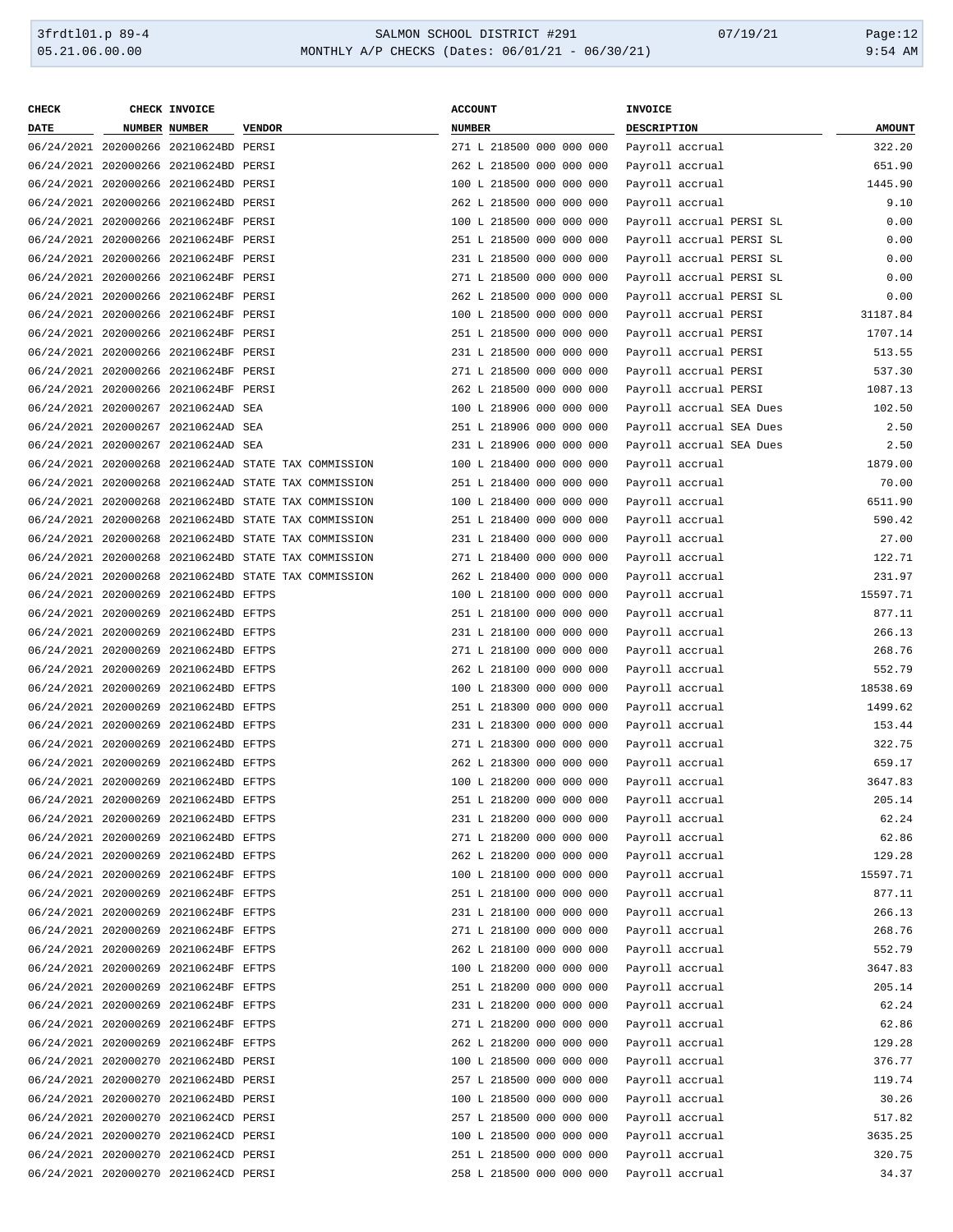| <b>CHECK</b> | CHECK INVOICE                         |                                                      | <b>ACCOUNT</b>           | INVOICE                  |               |
|--------------|---------------------------------------|------------------------------------------------------|--------------------------|--------------------------|---------------|
| <b>DATE</b>  | NUMBER NUMBER                         | <b>VENDOR</b>                                        | <b>NUMBER</b>            | DESCRIPTION              | <b>AMOUNT</b> |
|              | 06/24/2021 202000266 20210624BD PERSI |                                                      | 271 L 218500 000 000 000 | Payroll accrual          | 322.20        |
|              | 06/24/2021 202000266 20210624BD PERSI |                                                      | 262 L 218500 000 000 000 | Payroll accrual          | 651.90        |
|              | 06/24/2021 202000266 20210624BD PERSI |                                                      | 100 L 218500 000 000 000 | Payroll accrual          | 1445.90       |
|              | 06/24/2021 202000266 20210624BD PERSI |                                                      | 262 L 218500 000 000 000 | Payroll accrual          | 9.10          |
|              | 06/24/2021 202000266 20210624BF PERSI |                                                      | 100 L 218500 000 000 000 | Payroll accrual PERSI SL | 0.00          |
|              | 06/24/2021 202000266 20210624BF PERSI |                                                      | 251 L 218500 000 000 000 | Payroll accrual PERSI SL | 0.00          |
|              | 06/24/2021 202000266 20210624BF PERSI |                                                      | 231 L 218500 000 000 000 | Payroll accrual PERSI SL | 0.00          |
|              | 06/24/2021 202000266 20210624BF PERSI |                                                      | 271 L 218500 000 000 000 | Payroll accrual PERSI SL | 0.00          |
|              | 06/24/2021 202000266 20210624BF PERSI |                                                      | 262 L 218500 000 000 000 | Payroll accrual PERSI SL | 0.00          |
|              | 06/24/2021 202000266 20210624BF PERSI |                                                      | 100 L 218500 000 000 000 | Payroll accrual PERSI    | 31187.84      |
|              | 06/24/2021 202000266 20210624BF PERSI |                                                      | 251 L 218500 000 000 000 | Payroll accrual PERSI    | 1707.14       |
|              |                                       |                                                      |                          |                          |               |
|              | 06/24/2021 202000266 20210624BF PERSI |                                                      | 231 L 218500 000 000 000 | Payroll accrual PERSI    | 513.55        |
|              | 06/24/2021 202000266 20210624BF PERSI |                                                      | 271 L 218500 000 000 000 | Payroll accrual PERSI    | 537.30        |
|              | 06/24/2021 202000266 20210624BF PERSI |                                                      | 262 L 218500 000 000 000 | Payroll accrual PERSI    | 1087.13       |
|              | 06/24/2021 202000267 20210624AD SEA   |                                                      | 100 L 218906 000 000 000 | Payroll accrual SEA Dues | 102.50        |
|              | 06/24/2021 202000267 20210624AD SEA   |                                                      | 251 L 218906 000 000 000 | Payroll accrual SEA Dues | 2.50          |
|              | 06/24/2021 202000267 20210624AD SEA   |                                                      | 231 L 218906 000 000 000 | Payroll accrual SEA Dues | 2.50          |
|              |                                       | 06/24/2021 202000268 20210624AD STATE TAX COMMISSION | 100 L 218400 000 000 000 | Payroll accrual          | 1879.00       |
|              |                                       | 06/24/2021 202000268 20210624AD STATE TAX COMMISSION | 251 L 218400 000 000 000 | Payroll accrual          | 70.00         |
|              |                                       | 06/24/2021 202000268 20210624BD STATE TAX COMMISSION | 100 L 218400 000 000 000 | Payroll accrual          | 6511.90       |
|              |                                       | 06/24/2021 202000268 20210624BD STATE TAX COMMISSION | 251 L 218400 000 000 000 | Payroll accrual          | 590.42        |
|              |                                       | 06/24/2021 202000268 20210624BD STATE TAX COMMISSION | 231 L 218400 000 000 000 | Payroll accrual          | 27.00         |
|              |                                       | 06/24/2021 202000268 20210624BD STATE TAX COMMISSION | 271 L 218400 000 000 000 | Payroll accrual          | 122.71        |
|              |                                       | 06/24/2021 202000268 20210624BD STATE TAX COMMISSION | 262 L 218400 000 000 000 | Payroll accrual          | 231.97        |
|              | 06/24/2021 202000269 20210624BD EFTPS |                                                      | 100 L 218100 000 000 000 | Payroll accrual          | 15597.71      |
|              | 06/24/2021 202000269 20210624BD EFTPS |                                                      | 251 L 218100 000 000 000 | Payroll accrual          | 877.11        |
|              | 06/24/2021 202000269 20210624BD EFTPS |                                                      | 231 L 218100 000 000 000 | Payroll accrual          | 266.13        |
|              | 06/24/2021 202000269 20210624BD EFTPS |                                                      | 271 L 218100 000 000 000 | Payroll accrual          | 268.76        |
|              | 06/24/2021 202000269 20210624BD EFTPS |                                                      | 262 L 218100 000 000 000 | Payroll accrual          | 552.79        |
|              | 06/24/2021 202000269 20210624BD EFTPS |                                                      | 100 L 218300 000 000 000 | Payroll accrual          | 18538.69      |
|              | 06/24/2021 202000269 20210624BD EFTPS |                                                      | 251 L 218300 000 000 000 | Payroll accrual          | 1499.62       |
|              | 06/24/2021 202000269 20210624BD EFTPS |                                                      | 231 L 218300 000 000 000 | Payroll accrual          | 153.44        |
|              | 06/24/2021 202000269 20210624BD EFTPS |                                                      | 271 L 218300 000 000 000 | Payroll accrual          | 322.75        |
|              | 06/24/2021 202000269 20210624BD EFTPS |                                                      | 262 L 218300 000 000 000 | Payroll accrual          | 659.17        |
|              | 06/24/2021 202000269 20210624BD EFTPS |                                                      | 100 L 218200 000 000 000 | Payroll accrual          | 3647.83       |
|              | 06/24/2021 202000269 20210624BD EFTPS |                                                      | 251 L 218200 000 000 000 | Payroll accrual          | 205.14        |
|              | 06/24/2021 202000269 20210624BD EFTPS |                                                      | 231 L 218200 000 000 000 | Payroll accrual          | 62.24         |
|              | 06/24/2021 202000269 20210624BD EFTPS |                                                      | 271 L 218200 000 000 000 | Payroll accrual          | 62.86         |
|              | 06/24/2021 202000269 20210624BD EFTPS |                                                      | 262 L 218200 000 000 000 | Payroll accrual          | 129.28        |
|              | 06/24/2021 202000269 20210624BF EFTPS |                                                      | 100 L 218100 000 000 000 | Payroll accrual          | 15597.71      |
|              | 06/24/2021 202000269 20210624BF EFTPS |                                                      | 251 L 218100 000 000 000 | Payroll accrual          | 877.11        |
|              | 06/24/2021 202000269 20210624BF EFTPS |                                                      | 231 L 218100 000 000 000 | Payroll accrual          | 266.13        |
|              | 06/24/2021 202000269 20210624BF EFTPS |                                                      | 271 L 218100 000 000 000 | Payroll accrual          | 268.76        |
|              | 06/24/2021 202000269 20210624BF EFTPS |                                                      | 262 L 218100 000 000 000 | Payroll accrual          | 552.79        |
|              | 06/24/2021 202000269 20210624BF EFTPS |                                                      | 100 L 218200 000 000 000 | Payroll accrual          | 3647.83       |
|              | 06/24/2021 202000269 20210624BF EFTPS |                                                      | 251 L 218200 000 000 000 | Payroll accrual          | 205.14        |
|              | 06/24/2021 202000269 20210624BF EFTPS |                                                      | 231 L 218200 000 000 000 | Payroll accrual          | 62.24         |
|              | 06/24/2021 202000269 20210624BF EFTPS |                                                      | 271 L 218200 000 000 000 | Payroll accrual          | 62.86         |
|              | 06/24/2021 202000269 20210624BF EFTPS |                                                      | 262 L 218200 000 000 000 | Payroll accrual          | 129.28        |
|              | 06/24/2021 202000270 20210624BD PERSI |                                                      | 100 L 218500 000 000 000 | Payroll accrual          | 376.77        |
|              | 06/24/2021 202000270 20210624BD PERSI |                                                      | 257 L 218500 000 000 000 | Payroll accrual          | 119.74        |
|              | 06/24/2021 202000270 20210624BD PERSI |                                                      | 100 L 218500 000 000 000 | Payroll accrual          | 30.26         |
|              | 06/24/2021 202000270 20210624CD PERSI |                                                      | 257 L 218500 000 000 000 | Payroll accrual          | 517.82        |
|              | 06/24/2021 202000270 20210624CD PERSI |                                                      | 100 L 218500 000 000 000 | Payroll accrual          | 3635.25       |
|              | 06/24/2021 202000270 20210624CD PERSI |                                                      | 251 L 218500 000 000 000 | Payroll accrual          | 320.75        |
|              | 06/24/2021 202000270 20210624CD PERSI |                                                      | 258 L 218500 000 000 000 | Payroll accrual          | 34.37         |
|              |                                       |                                                      |                          |                          |               |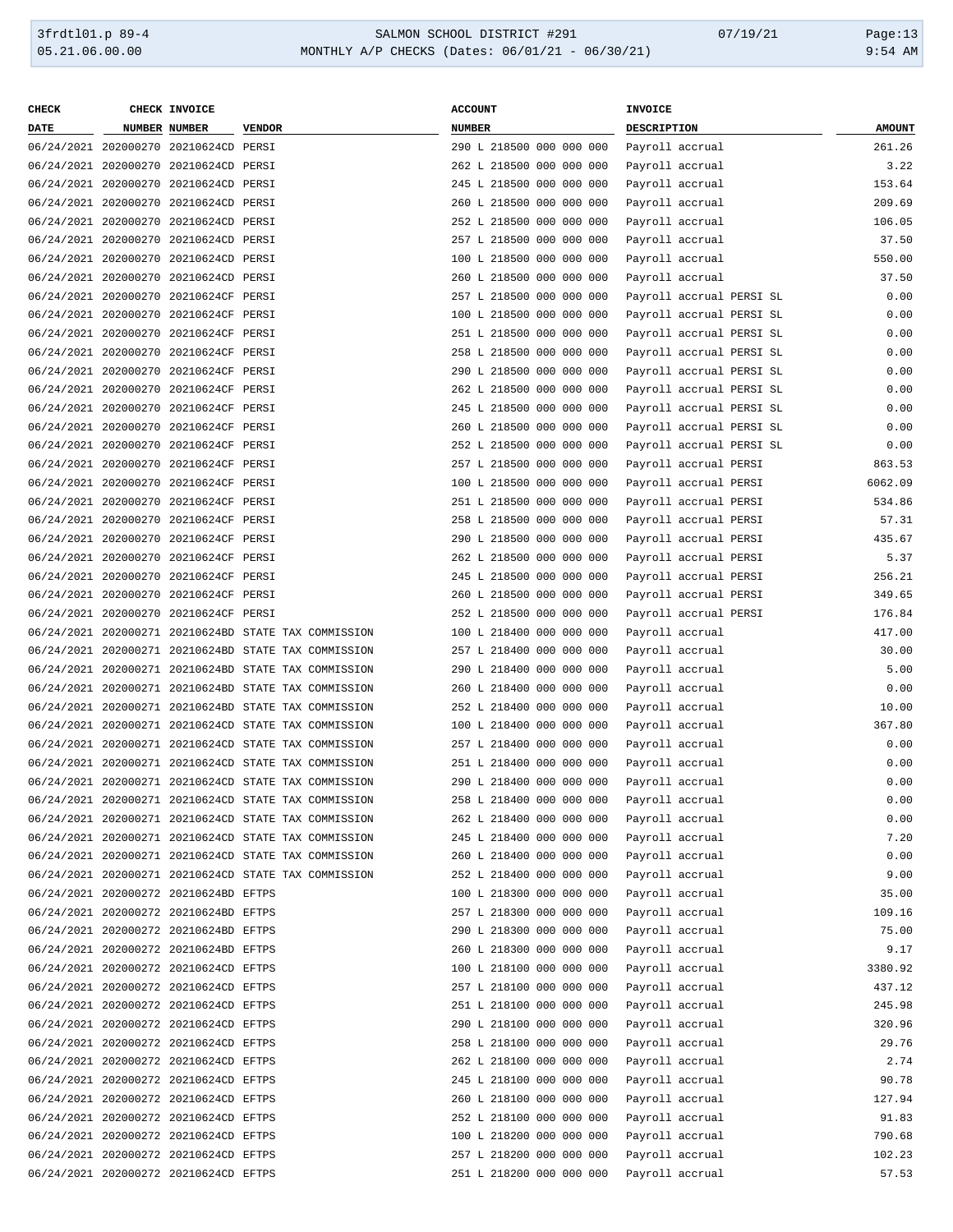| <b>CHECK</b> | CHECK INVOICE                         |                                                                                                              | <b>ACCOUNT</b>           | <b>INVOICE</b>           |               |
|--------------|---------------------------------------|--------------------------------------------------------------------------------------------------------------|--------------------------|--------------------------|---------------|
| <b>DATE</b>  | NUMBER NUMBER                         | <b>VENDOR</b>                                                                                                | <b>NUMBER</b>            | DESCRIPTION              | <b>AMOUNT</b> |
|              | 06/24/2021 202000270 20210624CD PERSI |                                                                                                              | 290 L 218500 000 000 000 | Payroll accrual          | 261.26        |
|              | 06/24/2021 202000270 20210624CD PERSI |                                                                                                              | 262 L 218500 000 000 000 | Payroll accrual          | 3.22          |
|              | 06/24/2021 202000270 20210624CD PERSI |                                                                                                              | 245 L 218500 000 000 000 | Payroll accrual          | 153.64        |
|              | 06/24/2021 202000270 20210624CD PERSI |                                                                                                              | 260 L 218500 000 000 000 | Payroll accrual          | 209.69        |
|              | 06/24/2021 202000270 20210624CD PERSI |                                                                                                              | 252 L 218500 000 000 000 | Payroll accrual          | 106.05        |
|              | 06/24/2021 202000270 20210624CD PERSI |                                                                                                              | 257 L 218500 000 000 000 | Payroll accrual          | 37.50         |
|              |                                       |                                                                                                              | 100 L 218500 000 000 000 |                          |               |
|              | 06/24/2021 202000270 20210624CD PERSI |                                                                                                              |                          | Payroll accrual          | 550.00        |
|              | 06/24/2021 202000270 20210624CD PERSI |                                                                                                              | 260 L 218500 000 000 000 | Payroll accrual          | 37.50         |
|              | 06/24/2021 202000270 20210624CF PERSI |                                                                                                              | 257 L 218500 000 000 000 | Payroll accrual PERSI SL | 0.00          |
|              | 06/24/2021 202000270 20210624CF PERSI |                                                                                                              | 100 L 218500 000 000 000 | Payroll accrual PERSI SL | 0.00          |
|              | 06/24/2021 202000270 20210624CF PERSI |                                                                                                              | 251 L 218500 000 000 000 | Payroll accrual PERSI SL | 0.00          |
|              | 06/24/2021 202000270 20210624CF PERSI |                                                                                                              | 258 L 218500 000 000 000 | Payroll accrual PERSI SL | 0.00          |
|              | 06/24/2021 202000270 20210624CF PERSI |                                                                                                              | 290 L 218500 000 000 000 | Payroll accrual PERSI SL | 0.00          |
|              | 06/24/2021 202000270 20210624CF PERSI |                                                                                                              | 262 L 218500 000 000 000 | Payroll accrual PERSI SL | 0.00          |
|              | 06/24/2021 202000270 20210624CF PERSI |                                                                                                              | 245 L 218500 000 000 000 | Payroll accrual PERSI SL | 0.00          |
|              | 06/24/2021 202000270 20210624CF PERSI |                                                                                                              | 260 L 218500 000 000 000 | Payroll accrual PERSI SL | 0.00          |
|              | 06/24/2021 202000270 20210624CF PERSI |                                                                                                              | 252 L 218500 000 000 000 | Payroll accrual PERSI SL | 0.00          |
|              | 06/24/2021 202000270 20210624CF PERSI |                                                                                                              | 257 L 218500 000 000 000 | Payroll accrual PERSI    | 863.53        |
|              | 06/24/2021 202000270 20210624CF PERSI |                                                                                                              | 100 L 218500 000 000 000 | Payroll accrual PERSI    | 6062.09       |
|              | 06/24/2021 202000270 20210624CF PERSI |                                                                                                              | 251 L 218500 000 000 000 | Payroll accrual PERSI    | 534.86        |
|              | 06/24/2021 202000270 20210624CF PERSI |                                                                                                              | 258 L 218500 000 000 000 | Payroll accrual PERSI    | 57.31         |
|              | 06/24/2021 202000270 20210624CF PERSI |                                                                                                              | 290 L 218500 000 000 000 | Payroll accrual PERSI    | 435.67        |
|              | 06/24/2021 202000270 20210624CF PERSI |                                                                                                              | 262 L 218500 000 000 000 | Payroll accrual PERSI    | 5.37          |
|              | 06/24/2021 202000270 20210624CF PERSI |                                                                                                              | 245 L 218500 000 000 000 | Payroll accrual PERSI    | 256.21        |
|              | 06/24/2021 202000270 20210624CF PERSI |                                                                                                              | 260 L 218500 000 000 000 | Payroll accrual PERSI    | 349.65        |
|              | 06/24/2021 202000270 20210624CF PERSI |                                                                                                              | 252 L 218500 000 000 000 | Payroll accrual PERSI    | 176.84        |
|              |                                       | 06/24/2021 202000271 20210624BD STATE TAX COMMISSION                                                         | 100 L 218400 000 000 000 | Payroll accrual          | 417.00        |
|              |                                       | 06/24/2021 202000271 20210624BD STATE TAX COMMISSION                                                         | 257 L 218400 000 000 000 | Payroll accrual          | 30.00         |
|              |                                       | 06/24/2021 202000271 20210624BD STATE TAX COMMISSION                                                         | 290 L 218400 000 000 000 | Payroll accrual          | 5.00          |
|              |                                       | 06/24/2021 202000271 20210624BD STATE TAX COMMISSION                                                         | 260 L 218400 000 000 000 | Payroll accrual          | 0.00          |
|              |                                       | 06/24/2021 202000271 20210624BD STATE TAX COMMISSION                                                         | 252 L 218400 000 000 000 | Payroll accrual          | 10.00         |
|              |                                       | 06/24/2021 202000271 20210624CD STATE TAX COMMISSION                                                         | 100 L 218400 000 000 000 |                          | 367.80        |
|              |                                       | 06/24/2021 202000271 20210624CD STATE TAX COMMISSION                                                         | 257 L 218400 000 000 000 | Payroll accrual          | 0.00          |
|              |                                       |                                                                                                              |                          | Payroll accrual          |               |
|              |                                       | 06/24/2021 202000271 20210624CD STATE TAX COMMISSION<br>06/24/2021 202000271 20210624CD STATE TAX COMMISSION | 251 L 218400 000 000 000 | Payroll accrual          | 0.00          |
|              |                                       |                                                                                                              | 290 L 218400 000 000 000 | Payroll accrual          | 0.00          |
|              |                                       | 06/24/2021 202000271 20210624CD STATE TAX COMMISSION                                                         | 258 L 218400 000 000 000 | Payroll accrual          | 0.00          |
|              |                                       | 06/24/2021 202000271 20210624CD STATE TAX COMMISSION                                                         | 262 L 218400 000 000 000 | Payroll accrual          | 0.00          |
|              |                                       | 06/24/2021 202000271 20210624CD STATE TAX COMMISSION                                                         | 245 L 218400 000 000 000 | Payroll accrual          | 7.20          |
|              |                                       | 06/24/2021 202000271 20210624CD STATE TAX COMMISSION                                                         | 260 L 218400 000 000 000 | Payroll accrual          | 0.00          |
|              |                                       | 06/24/2021 202000271 20210624CD STATE TAX COMMISSION                                                         | 252 L 218400 000 000 000 | Payroll accrual          | 9.00          |
|              | 06/24/2021 202000272 20210624BD EFTPS |                                                                                                              | 100 L 218300 000 000 000 | Payroll accrual          | 35.00         |
|              | 06/24/2021 202000272 20210624BD EFTPS |                                                                                                              | 257 L 218300 000 000 000 | Payroll accrual          | 109.16        |
|              | 06/24/2021 202000272 20210624BD EFTPS |                                                                                                              | 290 L 218300 000 000 000 | Payroll accrual          | 75.00         |
|              | 06/24/2021 202000272 20210624BD EFTPS |                                                                                                              | 260 L 218300 000 000 000 | Payroll accrual          | 9.17          |
|              | 06/24/2021 202000272 20210624CD EFTPS |                                                                                                              | 100 L 218100 000 000 000 | Payroll accrual          | 3380.92       |
|              | 06/24/2021 202000272 20210624CD EFTPS |                                                                                                              | 257 L 218100 000 000 000 | Payroll accrual          | 437.12        |
|              | 06/24/2021 202000272 20210624CD EFTPS |                                                                                                              | 251 L 218100 000 000 000 | Payroll accrual          | 245.98        |
|              | 06/24/2021 202000272 20210624CD EFTPS |                                                                                                              | 290 L 218100 000 000 000 | Payroll accrual          | 320.96        |
|              | 06/24/2021 202000272 20210624CD EFTPS |                                                                                                              | 258 L 218100 000 000 000 | Payroll accrual          | 29.76         |
|              | 06/24/2021 202000272 20210624CD EFTPS |                                                                                                              | 262 L 218100 000 000 000 | Payroll accrual          | 2.74          |
|              | 06/24/2021 202000272 20210624CD EFTPS |                                                                                                              | 245 L 218100 000 000 000 | Payroll accrual          | 90.78         |
|              | 06/24/2021 202000272 20210624CD EFTPS |                                                                                                              | 260 L 218100 000 000 000 | Payroll accrual          | 127.94        |
|              | 06/24/2021 202000272 20210624CD EFTPS |                                                                                                              | 252 L 218100 000 000 000 | Payroll accrual          | 91.83         |
|              | 06/24/2021 202000272 20210624CD EFTPS |                                                                                                              | 100 L 218200 000 000 000 | Payroll accrual          | 790.68        |
|              | 06/24/2021 202000272 20210624CD EFTPS |                                                                                                              | 257 L 218200 000 000 000 | Payroll accrual          | 102.23        |
|              | 06/24/2021 202000272 20210624CD EFTPS |                                                                                                              | 251 L 218200 000 000 000 | Payroll accrual          | 57.53         |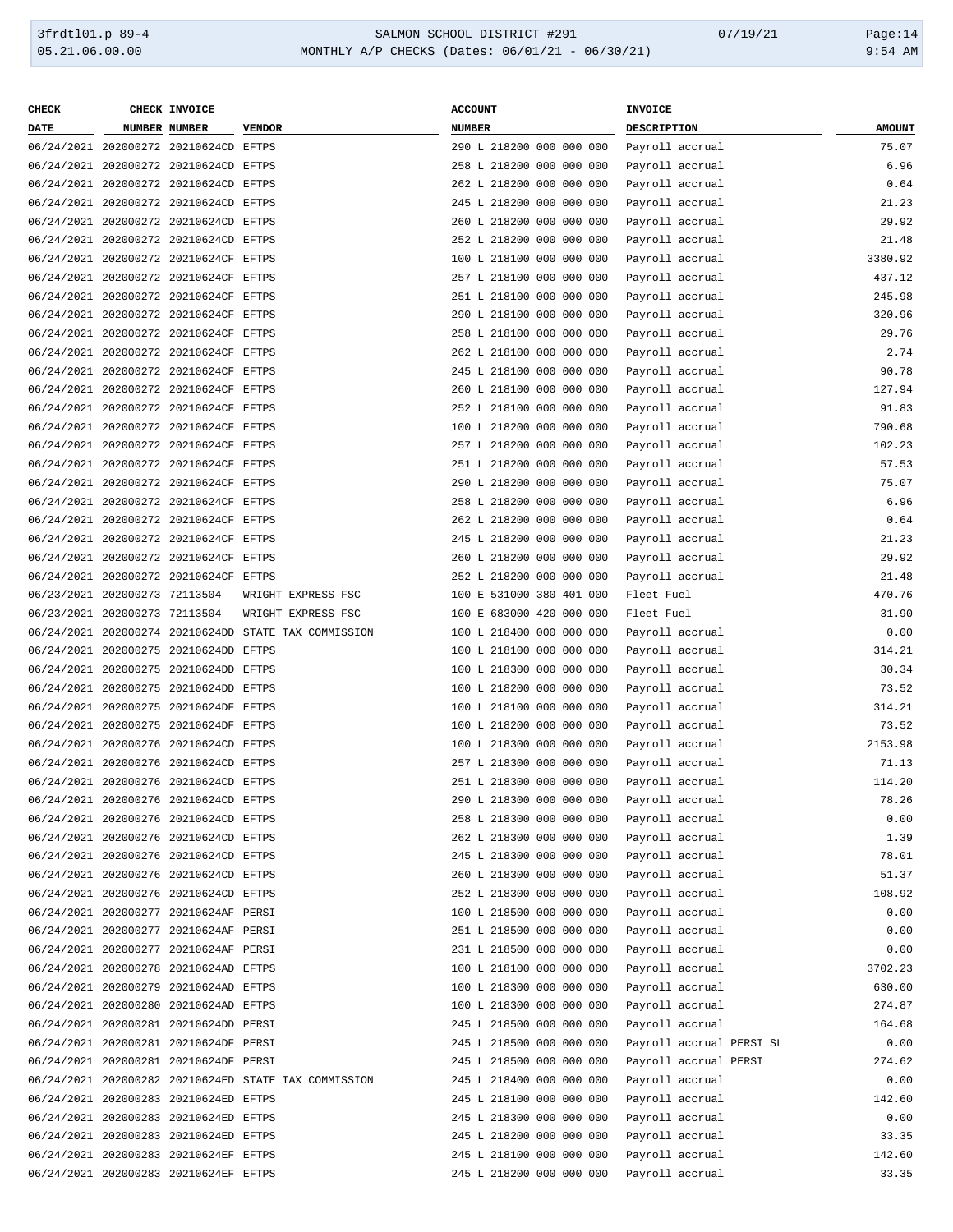| <b>CHECK</b>                  | CHECK INVOICE                         |                                                      | <b>ACCOUNT</b>                                       | INVOICE                            |               |
|-------------------------------|---------------------------------------|------------------------------------------------------|------------------------------------------------------|------------------------------------|---------------|
| <b>DATE</b>                   | NUMBER NUMBER                         | <b>VENDOR</b>                                        | <b>NUMBER</b>                                        | DESCRIPTION                        | <b>AMOUNT</b> |
|                               | 06/24/2021 202000272 20210624CD EFTPS |                                                      | 290 L 218200 000 000 000                             | Payroll accrual                    | 75.07         |
|                               | 06/24/2021 202000272 20210624CD EFTPS |                                                      | 258 L 218200 000 000 000                             | Payroll accrual                    | 6.96          |
|                               | 06/24/2021 202000272 20210624CD EFTPS |                                                      | 262 L 218200 000 000 000                             | Payroll accrual                    | 0.64          |
|                               | 06/24/2021 202000272 20210624CD EFTPS |                                                      | 245 L 218200 000 000 000                             | Payroll accrual                    | 21.23         |
|                               | 06/24/2021 202000272 20210624CD EFTPS |                                                      | 260 L 218200 000 000 000                             | Payroll accrual                    | 29.92         |
|                               | 06/24/2021 202000272 20210624CD EFTPS |                                                      | 252 L 218200 000 000 000                             | Payroll accrual                    | 21.48         |
|                               | 06/24/2021 202000272 20210624CF EFTPS |                                                      | 100 L 218100 000 000 000                             | Payroll accrual                    | 3380.92       |
|                               | 06/24/2021 202000272 20210624CF EFTPS |                                                      | 257 L 218100 000 000 000                             | Payroll accrual                    | 437.12        |
|                               | 06/24/2021 202000272 20210624CF EFTPS |                                                      | 251 L 218100 000 000 000                             | Payroll accrual                    | 245.98        |
|                               | 06/24/2021 202000272 20210624CF EFTPS |                                                      | 290 L 218100 000 000 000                             | Payroll accrual                    | 320.96        |
|                               | 06/24/2021 202000272 20210624CF EFTPS |                                                      | 258 L 218100 000 000 000                             | Payroll accrual                    | 29.76         |
|                               | 06/24/2021 202000272 20210624CF EFTPS |                                                      | 262 L 218100 000 000 000                             | Payroll accrual                    | 2.74          |
|                               | 06/24/2021 202000272 20210624CF EFTPS |                                                      | 245 L 218100 000 000 000                             | Payroll accrual                    | 90.78         |
|                               | 06/24/2021 202000272 20210624CF EFTPS |                                                      | 260 L 218100 000 000 000                             | Payroll accrual                    | 127.94        |
|                               | 06/24/2021 202000272 20210624CF EFTPS |                                                      | 252 L 218100 000 000 000                             | Payroll accrual                    | 91.83         |
|                               | 06/24/2021 202000272 20210624CF EFTPS |                                                      | 100 L 218200 000 000 000                             | Payroll accrual                    | 790.68        |
|                               | 06/24/2021 202000272 20210624CF EFTPS |                                                      | 257 L 218200 000 000 000                             | Payroll accrual                    | 102.23        |
|                               | 06/24/2021 202000272 20210624CF EFTPS |                                                      | 251 L 218200 000 000 000                             | Payroll accrual                    | 57.53         |
|                               | 06/24/2021 202000272 20210624CF EFTPS |                                                      | 290 L 218200 000 000 000                             | Payroll accrual                    | 75.07         |
|                               | 06/24/2021 202000272 20210624CF EFTPS |                                                      | 258 L 218200 000 000 000                             | Payroll accrual                    | 6.96          |
|                               | 06/24/2021 202000272 20210624CF EFTPS |                                                      | 262 L 218200 000 000 000                             | Payroll accrual                    | 0.64          |
|                               | 06/24/2021 202000272 20210624CF EFTPS |                                                      | 245 L 218200 000 000 000                             | Payroll accrual                    | 21.23         |
|                               | 06/24/2021 202000272 20210624CF EFTPS |                                                      | 260 L 218200 000 000 000                             | Payroll accrual                    | 29.92         |
|                               | 06/24/2021 202000272 20210624CF EFTPS |                                                      | 252 L 218200 000 000 000                             | Payroll accrual                    | 21.48         |
| 06/23/2021 202000273 72113504 |                                       | WRIGHT EXPRESS FSC                                   | 100 E 531000 380 401 000                             | Fleet Fuel                         | 470.76        |
| 06/23/2021 202000273 72113504 |                                       | WRIGHT EXPRESS FSC                                   | 100 E 683000 420 000 000                             | Fleet Fuel                         | 31.90         |
|                               |                                       | 06/24/2021 202000274 20210624DD STATE TAX COMMISSION | 100 L 218400 000 000 000                             | Payroll accrual                    | 0.00          |
|                               | 06/24/2021 202000275 20210624DD EFTPS |                                                      | 100 L 218100 000 000 000                             | Payroll accrual                    | 314.21        |
|                               | 06/24/2021 202000275 20210624DD EFTPS |                                                      | 100 L 218300 000 000 000                             | Payroll accrual                    | 30.34         |
|                               | 06/24/2021 202000275 20210624DD EFTPS |                                                      | 100 L 218200 000 000 000                             | Payroll accrual                    | 73.52         |
|                               | 06/24/2021 202000275 20210624DF EFTPS |                                                      | 100 L 218100 000 000 000                             | Payroll accrual                    | 314.21        |
|                               | 06/24/2021 202000275 20210624DF EFTPS |                                                      | 100 L 218200 000 000 000                             | Payroll accrual                    | 73.52         |
|                               | 06/24/2021 202000276 20210624CD EFTPS |                                                      | 100 L 218300 000 000 000                             | Payroll accrual                    | 2153.98       |
|                               | 06/24/2021 202000276 20210624CD EFTPS |                                                      | 257 L 218300 000 000 000                             |                                    | 71.13         |
|                               | 06/24/2021 202000276 20210624CD EFTPS |                                                      | 251 L 218300 000 000 000                             | Payroll accrual<br>Payroll accrual | 114.20        |
|                               | 06/24/2021 202000276 20210624CD EFTPS |                                                      |                                                      |                                    | 78.26         |
|                               |                                       |                                                      | 290 L 218300 000 000 000<br>258 L 218300 000 000 000 | Payroll accrual                    |               |
|                               | 06/24/2021 202000276 20210624CD EFTPS |                                                      | 262 L 218300 000 000 000                             | Payroll accrual                    | 0.00          |
|                               | 06/24/2021 202000276 20210624CD EFTPS |                                                      |                                                      | Payroll accrual                    | 1.39          |
|                               | 06/24/2021 202000276 20210624CD EFTPS |                                                      | 245 L 218300 000 000 000                             | Payroll accrual                    | 78.01         |
|                               | 06/24/2021 202000276 20210624CD EFTPS |                                                      | 260 L 218300 000 000 000                             | Payroll accrual                    | 51.37         |
|                               | 06/24/2021 202000276 20210624CD EFTPS |                                                      | 252 L 218300 000 000 000                             | Payroll accrual                    | 108.92        |
|                               | 06/24/2021 202000277 20210624AF PERSI |                                                      | 100 L 218500 000 000 000                             | Payroll accrual                    | 0.00          |
|                               | 06/24/2021 202000277 20210624AF PERSI |                                                      | 251 L 218500 000 000 000                             | Payroll accrual                    | 0.00          |
|                               | 06/24/2021 202000277 20210624AF PERSI |                                                      | 231 L 218500 000 000 000                             | Payroll accrual                    | 0.00          |
|                               | 06/24/2021 202000278 20210624AD EFTPS |                                                      | 100 L 218100 000 000 000                             | Payroll accrual                    | 3702.23       |
|                               | 06/24/2021 202000279 20210624AD EFTPS |                                                      | 100 L 218300 000 000 000                             | Payroll accrual                    | 630.00        |
|                               | 06/24/2021 202000280 20210624AD EFTPS |                                                      | 100 L 218300 000 000 000                             | Payroll accrual                    | 274.87        |
|                               | 06/24/2021 202000281 20210624DD PERSI |                                                      | 245 L 218500 000 000 000                             | Payroll accrual                    | 164.68        |
|                               | 06/24/2021 202000281 20210624DF PERSI |                                                      | 245 L 218500 000 000 000                             | Payroll accrual PERSI SL           | 0.00          |
|                               | 06/24/2021 202000281 20210624DF PERSI |                                                      | 245 L 218500 000 000 000                             | Payroll accrual PERSI              | 274.62        |
|                               |                                       | 06/24/2021 202000282 20210624ED STATE TAX COMMISSION | 245 L 218400 000 000 000                             | Payroll accrual                    | 0.00          |
|                               | 06/24/2021 202000283 20210624ED EFTPS |                                                      | 245 L 218100 000 000 000                             | Payroll accrual                    | 142.60        |
|                               | 06/24/2021 202000283 20210624ED EFTPS |                                                      | 245 L 218300 000 000 000                             | Payroll accrual                    | 0.00          |
|                               | 06/24/2021 202000283 20210624ED EFTPS |                                                      | 245 L 218200 000 000 000                             | Payroll accrual                    | 33.35         |
|                               | 06/24/2021 202000283 20210624EF EFTPS |                                                      | 245 L 218100 000 000 000                             | Payroll accrual                    | 142.60        |
|                               | 06/24/2021 202000283 20210624EF EFTPS |                                                      | 245 L 218200 000 000 000                             | Payroll accrual                    | 33.35         |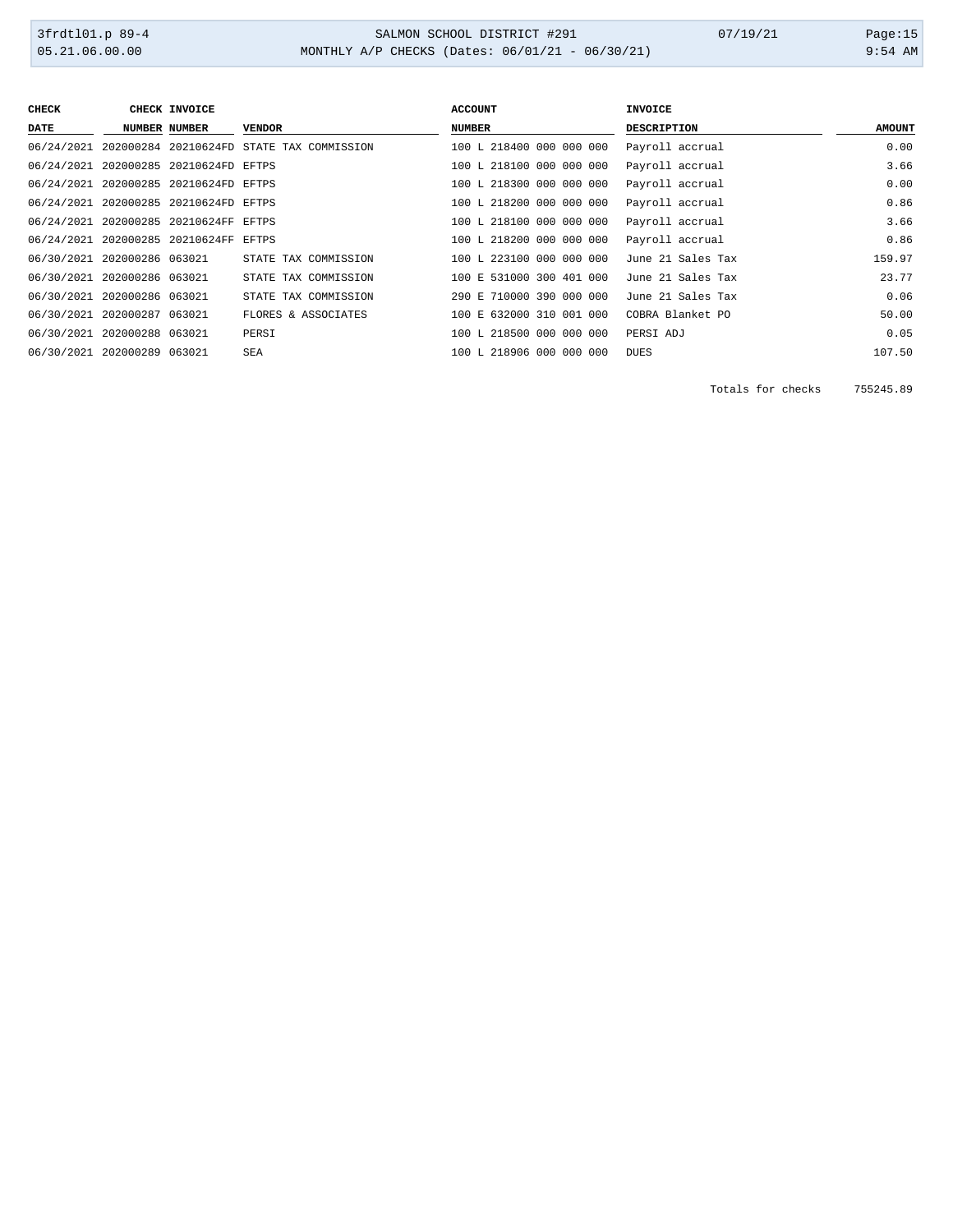3frdtl01.p 89-4 SALMON SCHOOL DISTRICT #291 07/19/21 Page:15 MONTHLY A/P CHECKS (Dates: 06/01/21 - 06/30/21)

| <b>CHECK</b>                | CHECK INVOICE                         |                                                      | <b>ACCOUNT</b>           | <b>INVOICE</b>     |               |
|-----------------------------|---------------------------------------|------------------------------------------------------|--------------------------|--------------------|---------------|
| DATE                        | NUMBER NUMBER                         | <b>VENDOR</b>                                        | <b>NUMBER</b>            | <b>DESCRIPTION</b> | <b>AMOUNT</b> |
|                             |                                       | 06/24/2021 202000284 20210624FD STATE TAX COMMISSION | 100 L 218400 000 000 000 | Payroll accrual    | 0.00          |
|                             | 06/24/2021 202000285 20210624FD EFTPS |                                                      | 100 L 218100 000 000 000 | Payroll accrual    | 3.66          |
|                             | 06/24/2021 202000285 20210624FD EFTPS |                                                      | 100 L 218300 000 000 000 | Payroll accrual    | 0.00          |
|                             | 06/24/2021 202000285 20210624FD EFTPS |                                                      | 100 L 218200 000 000 000 | Payroll accrual    | 0.86          |
|                             | 06/24/2021 202000285 20210624FF EFTPS |                                                      | 100 L 218100 000 000 000 | Payroll accrual    | 3.66          |
|                             | 06/24/2021 202000285 20210624FF EFTPS |                                                      | 100 L 218200 000 000 000 | Payroll accrual    | 0.86          |
| 06/30/2021 202000286 063021 |                                       | STATE TAX COMMISSION                                 | 100 L 223100 000 000 000 | June 21 Sales Tax  | 159.97        |
| 06/30/2021 202000286 063021 |                                       | STATE TAX COMMISSION                                 | 100 E 531000 300 401 000 | June 21 Sales Tax  | 23.77         |
| 06/30/2021 202000286 063021 |                                       | STATE TAX COMMISSION                                 | 290 E 710000 390 000 000 | June 21 Sales Tax  | 0.06          |
| 06/30/2021 202000287 063021 |                                       | FLORES & ASSOCIATES                                  | 100 E 632000 310 001 000 | COBRA Blanket PO   | 50.00         |
| 06/30/2021 202000288 063021 |                                       | PERSI                                                | 100 L 218500 000 000 000 | PERSI ADJ          | 0.05          |
| 06/30/2021 202000289 063021 |                                       | SEA                                                  | 100 L 218906 000 000 000 | <b>DUES</b>        | 107.50        |

Totals for checks 755245.89